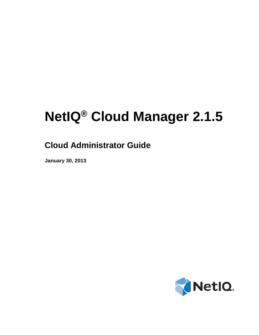# **NetIQ® Cloud Manager 2.1.5**

## **Cloud Administrator Guide**

**January 30, 2013**

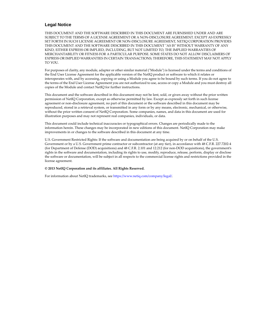#### **Legal Notice**

THIS DOCUMENT AND THE SOFTWARE DESCRIBED IN THIS DOCUMENT ARE FURNISHED UNDER AND ARE SUBJECT TO THE TERMS OF A LICENSE AGREEMENT OR A NON-DISCLOSURE AGREEMENT. EXCEPT AS EXPRESSLY SET FORTH IN SUCH LICENSE AGREEMENT OR NON-DISCLOSURE AGREEMENT, NETIQ CORPORATION PROVIDES THIS DOCUMENT AND THE SOFTWARE DESCRIBED IN THIS DOCUMENT "AS IS" WITHOUT WARRANTY OF ANY KIND, EITHER EXPRESS OR IMPLIED, INCLUDING, BUT NOT LIMITED TO, THE IMPLIED WARRANTIES OF MERCHANTABILITY OR FITNESS FOR A PARTICULAR PURPOSE. SOME STATES DO NOT ALLOW DISCLAIMERS OF EXPRESS OR IMPLIED WARRANTIES IN CERTAIN TRANSACTIONS; THEREFORE, THIS STATEMENT MAY NOT APPLY TO YOU.

For purposes of clarity, any module, adapter or other similar material ("Module") is licensed under the terms and conditions of the End User License Agreement for the applicable version of the NetIQ product or software to which it relates or interoperates with, and by accessing, copying or using a Module you agree to be bound by such terms. If you do not agree to the terms of the End User License Agreement you are not authorized to use, access or copy a Module and you must destroy all copies of the Module and contact NetIQ for further instructions.

This document and the software described in this document may not be lent, sold, or given away without the prior written permission of NetIQ Corporation, except as otherwise permitted by law. Except as expressly set forth in such license agreement or non-disclosure agreement, no part of this document or the software described in this document may be reproduced, stored in a retrieval system, or transmitted in any form or by any means, electronic, mechanical, or otherwise, without the prior written consent of NetIQ Corporation. Some companies, names, and data in this document are used for illustration purposes and may not represent real companies, individuals, or data.

This document could include technical inaccuracies or typographical errors. Changes are periodically made to the information herein. These changes may be incorporated in new editions of this document. NetIQ Corporation may make improvements in or changes to the software described in this document at any time.

U.S. Government Restricted Rights: If the software and documentation are being acquired by or on behalf of the U.S. Government or by a U.S. Government prime contractor or subcontractor (at any tier), in accordance with 48 C.F.R. 227.7202-4 (for Department of Defense (DOD) acquisitions) and 48 C.F.R. 2.101 and 12.212 (for non-DOD acquisitions), the government's rights in the software and documentation, including its rights to use, modify, reproduce, release, perform, display or disclose the software or documentation, will be subject in all respects to the commercial license rights and restrictions provided in the license agreement.

#### **© 2013 NetIQ Corporation and its affiliates. All Rights Reserved.**

For information about NetIQ trademarks, see [https://www.netiq.com/company/legal/.](https://www.netiq.com/company/legal/)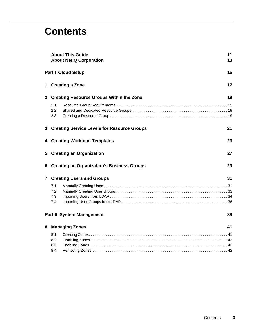## **Contents**

|              |                          | <b>About This Guide</b><br><b>About NetIQ Corporation</b> | 11<br>13 |
|--------------|--------------------------|-----------------------------------------------------------|----------|
|              |                          | <b>Part I Cloud Setup</b>                                 | 15       |
|              |                          | 1 Creating a Zone                                         | 17       |
| $\mathbf{2}$ |                          | <b>Creating Resource Groups Within the Zone</b>           | 19       |
|              | 2.1<br>2.2<br>2.3        |                                                           |          |
|              |                          | 3 Creating Service Levels for Resource Groups             | 21       |
|              |                          | 4 Creating Workload Templates                             | 23       |
| 5            |                          | <b>Creating an Organization</b>                           | 27       |
| 6            |                          | <b>Creating an Organization's Business Groups</b>         | 29       |
|              |                          | <b>7 Creating Users and Groups</b>                        | 31       |
|              | 7.1<br>7.2<br>7.3<br>7.4 |                                                           |          |
|              |                          | <b>Part II System Management</b>                          | 39       |
| 8            |                          | <b>Managing Zones</b>                                     | 41       |
|              | 8.1<br>8.2<br>8.3<br>8.4 |                                                           |          |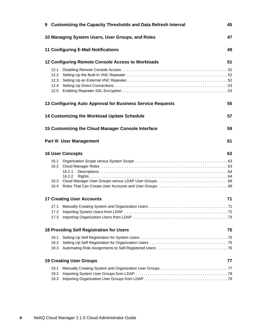|                                                | 9 Customizing the Capacity Thresholds and Data Refresh Interval<br>45 |    |  |  |
|------------------------------------------------|-----------------------------------------------------------------------|----|--|--|
|                                                | 47<br>10 Managing System Users, User Groups, and Roles                |    |  |  |
|                                                | <b>11 Configuring E-Mail Notifications</b>                            | 49 |  |  |
|                                                | 12 Configuring Remote Console Access to Workloads                     | 51 |  |  |
| 12.1<br>$12.2^{\circ}$<br>12.3<br>12.4<br>12.5 |                                                                       |    |  |  |
|                                                | 13 Configuring Auto Approval for Business Service Requests            | 55 |  |  |
|                                                | 14 Customizing the Workload Update Schedule                           | 57 |  |  |
|                                                | 15 Customizing the Cloud Manager Console Interface                    | 59 |  |  |
| 61<br><b>Part III User Management</b>          |                                                                       |    |  |  |
|                                                | <b>16 User Concepts</b>                                               | 63 |  |  |
| 16.1<br>16.2<br>16.3<br>16.4                   | 16.2.1<br>16.2.2                                                      |    |  |  |
|                                                | <b>17 Creating User Accounts</b>                                      | 71 |  |  |
| 17.3                                           |                                                                       |    |  |  |
|                                                | <b>18 Providing Self Registration for Users</b>                       | 75 |  |  |
| 18.1<br>18.2<br>18.3                           |                                                                       |    |  |  |
|                                                | <b>19 Creating User Groups</b>                                        | 77 |  |  |
| 19.1<br>19.2<br>19.3                           |                                                                       |    |  |  |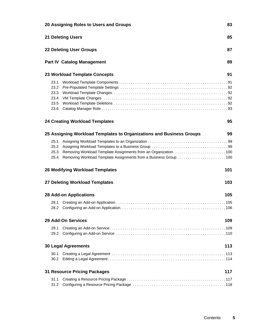| 20 Assigning Roles to Users and Groups<br>83<br>85<br><b>21 Deleting Users</b> |                                                                      |     |  |
|--------------------------------------------------------------------------------|----------------------------------------------------------------------|-----|--|
|                                                                                |                                                                      |     |  |
|                                                                                | <b>Part IV Catalog Management</b>                                    | 89  |  |
|                                                                                | 23 Workload Template Concepts                                        | 91  |  |
| 23.1<br>23.2<br>23.3<br>23.4<br>23.5<br>23.6                                   |                                                                      |     |  |
|                                                                                | <b>24 Creating Workload Templates</b>                                | 95  |  |
|                                                                                | 25 Assigning Workload Templates to Organizations and Business Groups | 99  |  |
| 25.1<br>25.2<br>25.3<br>25.4                                                   |                                                                      |     |  |
|                                                                                | <b>26 Modifying Workload Templates</b>                               | 101 |  |
|                                                                                | 27 Deleting Workload Templates                                       | 103 |  |
|                                                                                | <b>28 Add-on Applications</b>                                        | 105 |  |
| 28.1<br>28.2                                                                   |                                                                      |     |  |
|                                                                                | 29 Add-On Services                                                   | 109 |  |
| 29.1<br>29.2                                                                   |                                                                      |     |  |
|                                                                                | <b>30 Legal Agreements</b>                                           | 113 |  |
| 30.1                                                                           |                                                                      |     |  |
|                                                                                | <b>31 Resource Pricing Packages</b>                                  | 117 |  |
| 31.1<br>31.2                                                                   |                                                                      |     |  |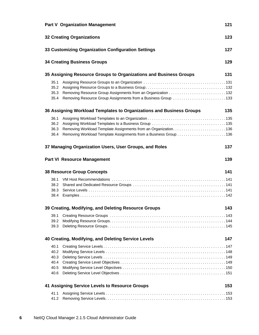| <b>Part V Organization Management</b>                                                                                                                              | 121 |
|--------------------------------------------------------------------------------------------------------------------------------------------------------------------|-----|
| <b>32 Creating Organizations</b>                                                                                                                                   | 123 |
| 33 Customizing Organization Configuration Settings                                                                                                                 | 127 |
| <b>34 Creating Business Groups</b>                                                                                                                                 | 129 |
| 35 Assigning Resource Groups to Organizations and Business Groups                                                                                                  | 131 |
| 35.1<br>35.2<br>35.3<br>Removing Resource Group Assignments from a Business Group 133<br>35.4                                                                      |     |
| 36 Assigning Workload Templates to Organizations and Business Groups                                                                                               | 135 |
| 36.1<br>36.2<br>36.3<br>Removing Workload Template Assignments from an Organization136<br>Removing Workload Template Assignments from a Business Group 136<br>36.4 |     |
| 37 Managing Organization Users, User Groups, and Roles                                                                                                             | 137 |
| <b>Part VI Resource Management</b>                                                                                                                                 | 139 |
| <b>38 Resource Group Concepts</b>                                                                                                                                  | 141 |
| 38.1<br>38.2<br>38.3<br>38.4                                                                                                                                       |     |
| 39 Creating, Modifying, and Deleting Resource Groups                                                                                                               | 143 |
| 39.1<br>39.2<br>39.3                                                                                                                                               |     |
| 40 Creating, Modifying, and Deleting Service Levels                                                                                                                | 147 |
| 40.1<br>40.2<br>40.3<br>40.4<br>40.5<br>40.6                                                                                                                       |     |
| 41 Assigning Service Levels to Resource Groups                                                                                                                     | 153 |
| 41.1<br>41.2                                                                                                                                                       |     |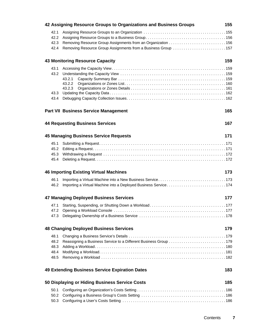|                                      | 42 Assigning Resource Groups to Organizations and Business Groups | 155 |
|--------------------------------------|-------------------------------------------------------------------|-----|
| 42.1<br>42.2<br>42.3<br>42.4         | Removing Resource Group Assignments from a Business Group 157     |     |
|                                      | <b>43 Monitoring Resource Capacity</b>                            | 159 |
| 43.3<br>43.4                         | 43.2.1<br>43.2.2                                                  |     |
|                                      | <b>Part VII Business Service Management</b>                       | 165 |
|                                      | <b>44 Requesting Business Services</b>                            | 167 |
|                                      | <b>45 Managing Business Service Requests</b>                      | 171 |
| 45.1<br>45.2<br>45.4                 |                                                                   |     |
|                                      | <b>46 Importing Existing Virtual Machines</b>                     | 173 |
| 46.1<br>46.2                         | Importing a Virtual Machine into a Deployed Business Service174   |     |
|                                      | <b>47 Managing Deployed Business Services</b>                     | 177 |
| 47.1<br>47.2                         |                                                                   |     |
|                                      | <b>48 Changing Deployed Business Services</b>                     | 179 |
| 48.1<br>48.2<br>48.3<br>48.4<br>48.5 | Reassigning a Business Service to a Different Business Group 179  |     |
|                                      | <b>49 Extending Business Service Expiration Dates</b>             | 183 |
|                                      | 50 Displaying or Hiding Business Service Costs                    | 185 |
| 50.1<br>50.2                         |                                                                   |     |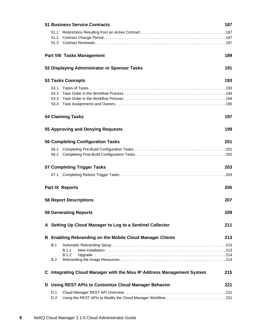|   | <b>51 Business Service Contracts</b><br>187 |                                                                        |     |  |
|---|---------------------------------------------|------------------------------------------------------------------------|-----|--|
|   | 51.1<br>51.2<br>51.3                        |                                                                        |     |  |
|   |                                             | <b>Part VIII Tasks Management</b>                                      | 189 |  |
|   |                                             | 52 Displaying Administrator or Sponsor Tasks                           | 191 |  |
|   |                                             | <b>53 Tasks Concepts</b>                                               | 193 |  |
|   | 53.1<br>53.2<br>53.3<br>53.4                |                                                                        |     |  |
|   |                                             | <b>54 Claiming Tasks</b>                                               | 197 |  |
|   |                                             | 55 Approving and Denying Requests                                      | 199 |  |
|   |                                             | <b>56 Completing Configuration Tasks</b>                               | 201 |  |
|   | 56.1                                        |                                                                        |     |  |
|   |                                             | 57 Completing Trigger Tasks                                            | 203 |  |
|   | 57.1                                        |                                                                        |     |  |
|   |                                             | <b>Part IX Reports</b>                                                 | 205 |  |
|   |                                             | <b>58 Report Descriptions</b>                                          | 207 |  |
|   |                                             | <b>59 Generating Reports</b>                                           | 209 |  |
|   |                                             | A Setting Up Cloud Manager to Log to a Sentinel Collector              | 211 |  |
|   |                                             | <b>B</b> Enabling Rebranding on the Mobile Cloud Manager Clients       | 213 |  |
|   | B.1<br>B.2                                  | B.1.1<br>B.1.2                                                         |     |  |
|   |                                             | C Integrating Cloud Manager with the Nixu IP Address Management System | 215 |  |
| D |                                             | <b>Using REST APIs to Customize Cloud Manager Behavior</b>             | 221 |  |
|   | D.1<br>D.2                                  | Using the REST APIs to Modify the Cloud Manager Workflow 221           |     |  |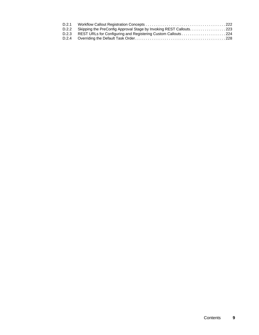| D.2.1 |                                                                          |  |
|-------|--------------------------------------------------------------------------|--|
|       | D.2.2 Skipping the PreConfig Approval Stage by Invoking REST Callouts223 |  |
|       |                                                                          |  |
|       |                                                                          |  |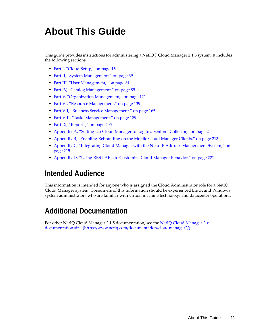## <span id="page-10-0"></span>**About This Guide**

This guide provides instructions for administering a NetIQ® Cloud Manager 2.1.5 system. It includes the following sections:

- [Part I, "Cloud Setup," on page 15](#page-14-1)
- [Part II, "System Management," on page 39](#page-38-1)
- [Part III, "User Management," on page 61](#page-60-1)
- [Part IV, "Catalog Management," on page 89](#page-88-1)
- [Part V, "Organization Management," on page 121](#page-120-1)
- [Part VI, "Resource Management," on page 139](#page-138-1)
- [Part VII, "Business Service Management," on page 165](#page-164-1)
- [Part VIII, "Tasks Management," on page 189](#page-188-1)
- [Part IX, "Reports," on page 205](#page-204-1)
- [Appendix A, "Setting Up Cloud Manager to Log to a Sentinel Collector," on page 211](#page-210-1)
- [Appendix B, "Enabling Rebranding on the Mobile Cloud Manager Clients," on page 213](#page-212-3)
- [Appendix C, "Integrating Cloud Manager with the Nixu IP Address Management System," on](#page-214-1)  [page 215](#page-214-1)
- [Appendix D, "Using REST APIs to Customize Cloud Manager Behavior," on page 221](#page-220-3)

### **Intended Audience**

This information is intended for anyone who is assigned the Cloud Administrator role for a NetIQ Cloud Manager system. Consumers of this information should be experienced Linux and Windows system administrators who are familiar with virtual machine technology and datacenter operations.

### **Additional Documentation**

For other NetIQ Cloud Manager 2.1.5 documentation, see the [NetIQ Cloud Manager 2.](https://www.netiq.com/documentation/cloudmanager2/)*[x](https://www.netiq.com/documentation/cloudmanager2/)* [documentation site](https://www.netiq.com/documentation/cloudmanager2/) (https://www.netiq.com/documentation/cloudmanager2/).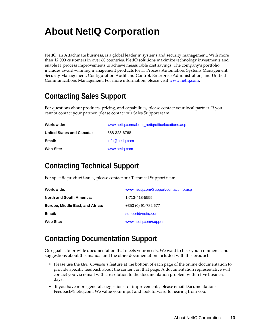## <span id="page-12-0"></span>**About NetIQ Corporation**

NetIQ, an Attachmate business, is a global leader in systems and security management. With more than 12,000 customers in over 60 countries, NetIQ solutions maximize technology investments and enable IT process improvements to achieve measurable cost savings. The company's portfolio includes award-winning management products for IT Process Automation, Systems Management, Security Management, Configuration Audit and Control, Enterprise Administration, and Unified Communications Management. For more information, please visit [www.netiq.com](http://www.netiq.com).

## **Contacting Sales Support**

For questions about products, pricing, and capabilities, please contact your local partner. If you cannot contact your partner, please contact our Sales Support team

| Worldwide:                       | www.netig.com/about netig/officelocations.asp |
|----------------------------------|-----------------------------------------------|
| <b>United States and Canada:</b> | 888-323-6768                                  |
| Email:                           | info@netig.com                                |
| Web Site:                        | www.netig.com                                 |

## **Contacting Technical Support**

For specific product issues, please contact our Technical Support team.

| Worldwide:                       | www.netig.com/Support/contactinfo.asp |
|----------------------------------|---------------------------------------|
| <b>North and South America:</b>  | 1-713-418-5555                        |
| Europe, Middle East, and Africa: | +353 (0) 91-782 677                   |
| Email:                           | support@netig.com                     |
| Web Site:                        | www.netig.com/support                 |

#### **Contacting Documentation Support**

Our goal is to provide documentation that meets your needs. We want to hear your comments and suggestions about this manual and the other documentation included with this product.

- Please use the *User Comments* feature at the bottom of each page of the online documentation to provide specific feedback about the content on that page. A documentation representative will contact you via e-mail with a resolution to the documentation problem within five business days.
- If you have more general suggestions for improvements, please email Documentation-Feedback@netiq.com. We value your input and look forward to hearing from you.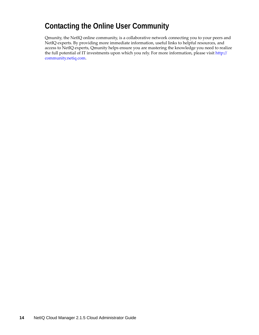#### **Contacting the Online User Community**

Qmunity, the NetIQ online community, is a collaborative network connecting you to your peers and NetIQ experts. By providing more immediate information, useful links to helpful resources, and access to NetIQ experts, Qmunity helps ensure you are mastering the knowledge you need to realize the full potential of IT investments upon which you rely. For more information, please visit [http://](http://community.netiq.com) [community.netiq.com](http://community.netiq.com).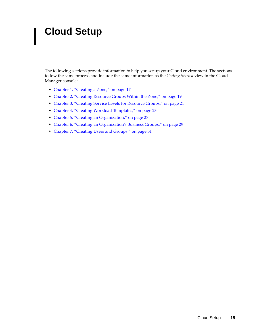## <span id="page-14-1"></span><span id="page-14-0"></span><sup>I</sup>**Cloud Setup**

I

The following sections provide information to help you set up your Cloud environment. The sections follow the same process and include the same information as the *Getting Started* view in the Cloud Manager console:

- [Chapter 1, "Creating a Zone," on page 17](#page-16-1)
- [Chapter 2, "Creating Resource Groups Within the Zone," on page 19](#page-18-4)
- [Chapter 3, "Creating Service Levels for Resource Groups," on page 21](#page-20-1)
- [Chapter 4, "Creating Workload Templates," on page 23](#page-22-1)
- [Chapter 5, "Creating an Organization," on page 27](#page-26-1)
- [Chapter 6, "Creating an Organization's Business Groups," on page 29](#page-28-1)
- [Chapter 7, "Creating Users and Groups," on page 31](#page-30-2)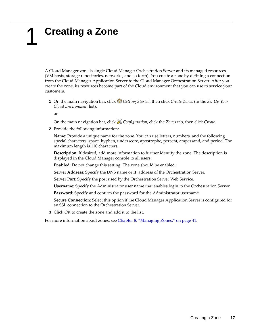## <span id="page-16-1"></span><span id="page-16-0"></span>1 <sup>1</sup>**Creating a Zone**

A Cloud Manager zone is single Cloud Manager Orchestration Server and its managed resources (VM hosts, storage repositories, networks, and so forth). You create a zone by defining a connection from the Cloud Manager Application Server to the Cloud Manager Orchestration Server. After you create the zone, its resources become part of the Cloud environment that you can use to service your customers.

**1** On the main navigation bar, click *Getting Started*, then click *Create Zones* (in the *Set Up Your Cloud Environment* list).

or

On the main navigation bar, click *Configuration*, click the *Zones* tab, then click *Create*.

**2** Provide the following information:

**Name:** Provide a unique name for the zone. You can use letters, numbers, and the following special characters: space, hyphen, underscore, apostrophe, percent, ampersand, and period. The maximum length is 110 characters.

**Description:** If desired, add more information to further identify the zone. The description is displayed in the Cloud Manager console to all users.

**Enabled:** Do not change this setting. The zone should be enabled.

**Server Address:** Specify the DNS name or IP address of the Orchestration Server.

**Server Port:** Specify the port used by the Orchestration Server Web Service.

**Username:** Specify the Administrator user name that enables login to the Orchestration Server.

**Password:** Specify and confirm the password for the Administrator username.

**Secure Connection:** Select this option if the Cloud Manager Application Server is configured for an SSL connection to the Orchestration Server.

**3** Click *OK* to create the zone and add it to the list.

For more information about zones, see [Chapter 8, "Managing Zones," on page 41](#page-40-2).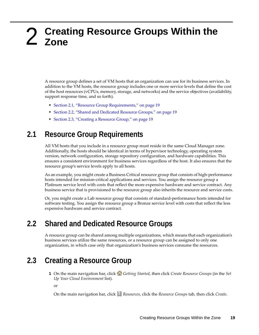## <span id="page-18-4"></span><span id="page-18-0"></span>2 <sup>2</sup>**Creating Resource Groups Within the Zone**

A resource group defines a set of VM hosts that an organization can use for its business services. In addition to the VM hosts, the resource group includes one or more service levels that define the cost of the host resources (vCPUs, memory, storage, and networks) and the service objectives (availability, support response time, and so forth).

- [Section 2.1, "Resource Group Requirements," on page 19](#page-18-1)
- [Section 2.2, "Shared and Dedicated Resource Groups," on page 19](#page-18-2)
- [Section 2.3, "Creating a Resource Group," on page 19](#page-18-3)

#### <span id="page-18-1"></span>**2.1 Resource Group Requirements**

All VM hosts that you include in a resource group must reside in the same Cloud Manager zone. Additionally, the hosts should be identical in terms of hypervisor technology, operating system version, network configuration, storage repository configuration, and hardware capabilities. This ensures a consistent environment for business services regardless of the host. It also ensures that the resource group's service levels apply to all hosts.

As an example, you might create a Business Critical resource group that consists of high-performance hosts intended for mission-critical applications and services. You assign the resource group a Platinum service level with costs that reflect the more expensive hardware and service contract. Any business service that is provisioned to the resource group also inherits the resource and service costs.

Or, you might create a Lab resource group that consists of standard-performance hosts intended for software testing. You assign the resource group a Bronze service level with costs that reflect the less expensive hardware and service contract.

#### <span id="page-18-2"></span>**2.2 Shared and Dedicated Resource Groups**

A resource group can be shared among multiple organizations, which means that each organization's business services utilize the same resources, or a resource group can be assigned to only one organization, in which case only that organization's business services consume the resources.

#### <span id="page-18-3"></span>**2.3 Creating a Resource Group**

**1** On the main navigation bar, click **Getting Started**, then click *Create Resource Groups* (in the *Set Up Your Cloud Environment* list).

or

On the main navigation bar, click *Resources*, click the *Resource Groups* tab, then click *Create*.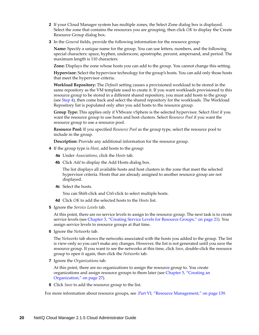- **2** If your Cloud Manager system has multiple zones, the Select Zone dialog box is displayed. Select the zone that contains the resources you are grouping, then click *OK* to display the Create Resource Group dialog box.
- **3** In the *General* fields, provide the following information for the resource group:

**Name:** Specify a unique name for the group. You can use letters, numbers, and the following special characters: space, hyphen, underscore, apostrophe, percent, ampersand, and period. The maximum length is 110 characters.

**Zone:** Displays the zone whose hosts you can add to the group. You cannot change this setting.

**Hypervisor:** Select the hypervisor technology for the group's hosts. You can add only those hosts that meet the hypervisor criteria.

**Workload Repository:** The *Default* setting causes a provisioned workload to be stored in the same repository as the VM template used to create it. If you want workloads provisioned to this resource group to be stored in a different shared repository, you must add hosts to the group (see [Step 4](#page-19-0)), then come back and select the shared repository for the workloads. The Workload Repository list is populated only after you add hosts to the resource group.

**Group Type:** This applies only if VMware vSphere is the selected hypervisor. Select *Host* if you want the resource group to use hosts and host clusters. Select *Resource Pool* if you want the resource group to use a resource pool.

**Resource Pool:** If you specified *Resource Pool* as the group type, select the resource pool to include in the group.

**Description:** Provide any additional information for the resource group.

- <span id="page-19-0"></span>**4** If the group type is *Host*, add hosts to the group:
	- **4a** Under *Associations*, click the *Hosts* tab.
	- **4b** Click *Add* to display the Add Hosts dialog box.

The list displays all available hosts and host clusters in the zone that meet the selected hypervisor criteria. Hosts that are already assigned to another resource group are not displayed.

**4c** Select the hosts.

You can Shift-click and Ctrl-click to select multiple hosts.

- **4d** Click *OK* to add the selected hosts to the *Hosts* list.
- **5** Ignore the *Service Levels* tab.

At this point, there are no service levels to assign to the resource group. The next task is to create service levels (see [Chapter 3, "Creating Service Levels for Resource Groups," on page 21\)](#page-20-1). You assign service levels to resource groups at that time.

**6** Ignore the *Networks* tab.

The *Networks* tab shows the networks associated with the hosts you added to the group. The list is view-only so you can't make any changes. However, the list is not generated until you save the resource group. If you want to see the networks at this time, click *Save*, double-click the resource group to open it again, then click the *Networks* tab.

**7** Ignore the *Organizations* tab.

At this point, there are no organizations to assign the resource group to. You create organizations and assign resource groups to them later (see [Chapter 5, "Creating an](#page-26-1)  [Organization," on page 27](#page-26-1)).

**8** Click *Save* to add the resource group to the list.

For more information about resource groups, see [.Part VI, "Resource Management," on page 139.](#page-138-1)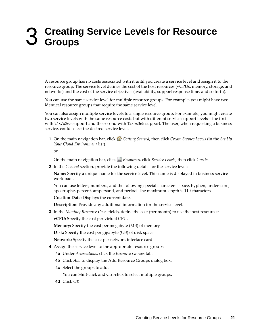## <span id="page-20-1"></span><span id="page-20-0"></span>3 <sup>3</sup>**Creating Service Levels for Resource Groups**

A resource group has no costs associated with it until you create a service level and assign it to the resource group. The service level defines the cost of the host resources (vCPUs, memory, storage, and networks) and the cost of the service objectives (availability, support response time, and so forth).

You can use the same service level for multiple resource groups. For example, you might have two identical resource groups that require the same service level.

You can also assign multiple service levels to a single resource group. For example, you might create two service levels with the same resource costs but with different service support levels—the first with 24x7x365 support and the second with 12x5x365 support. The user, when requesting a business service, could select the desired service level.

**1** On the main navigation bar, click *Getting Started*, then click *Create Service Levels* (in the *Set Up Your Cloud Environment* list).

or

On the main navigation bar, click *Resources*, click *Service Levels*, then click *Create*.

**2** In the *General* section, provide the following details for the service level:

**Name:** Specify a unique name for the service level. This name is displayed in business service workloads.

You can use letters, numbers, and the following special characters: space, hyphen, underscore, apostrophe, percent, ampersand, and period. The maximum length is 110 characters.

**Creation Date:** Displays the current date.

**Description:** Provide any additional information for the service level.

**3** In the *Monthly Resource Costs* fields, define the cost (per month) to use the host resources:

**vCPU:** Specify the cost per virtual CPU.

**Memory:** Specify the cost per megabyte (MB) of memory.

**Disk:** Specify the cost per gigabyte (GB) of disk space.

**Network:** Specify the cost per network interface card.

- **4** Assign the service level to the appropriate resource groups:
	- **4a** Under *Associations*, click the *Resource Groups* tab.
	- **4b** Click *Add* to display the Add Resource Groups dialog box.
	- **4c** Select the groups to add.

You can Shift-click and Ctrl-click to select multiple groups.

**4d** Click *OK*.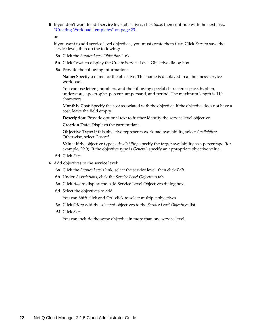**5** If you don't want to add service level objectives, click *Save*, then continue with the next task, ["Creating Workload Templates" on page 23](#page-22-1).

or

If you want to add service level objectives, you must create them first. Click *Save* to save the service level, then do the following:

- **5a** Click the *Service Level Objectives* link.
- **5b** Click *Create* to display the Create Service Level Objective dialog box.
- **5c** Provide the following information:

**Name:** Specify a name for the objective. This name is displayed in all business service workloads.

You can use letters, numbers, and the following special characters: space, hyphen, underscore, apostrophe, percent, ampersand, and period. The maximum length is 110 characters.

**Monthly Cost:** Specify the cost associated with the objective. If the objective does not have a cost, leave the field empty.

**Description:** Provide optional text to further identify the service level objective.

**Creation Date:** Displays the current date.

**Objective Type:** If this objective represents workload availability, select *Availability*. Otherwise, select *General*.

**Value:** If the objective type is *Availability*, specify the target availability as a percentage (for example, 99.9). If the objective type is *General*, specify an appropriate objective value.

- **5d** Click *Save*.
- **6** Add objectives to the service level:
	- **6a** Click the *Service Levels* link, select the service level, then click *Edit*.
	- **6b** Under *Associations*, click the *Service Level Objectives* tab.
	- **6c** Click *Add* to display the Add Service Level Objectives dialog box.
	- **6d** Select the objectives to add.

You can Shift-click and Ctrl-click to select multiple objectives.

- **6e** Click *OK* to add the selected objectives to the *Service Level Objectives* list.
- **6f** Click *Save*.

You can include the same objective in more than one service level.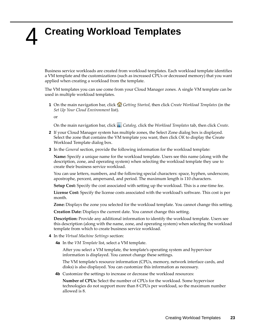## <span id="page-22-1"></span><span id="page-22-0"></span>4 <sup>4</sup>**Creating Workload Templates**

Business service workloads are created from workload templates. Each workload template identifies a VM template and the customizations (such as increased CPUs or decreased memory) that you want applied when creating a workload from the template.

The VM templates you can use come from your Cloud Manager zones. A single VM template can be used in multiple workload templates.

**1** On the main navigation bar, click **G** Getting Started, then click *Create Workload Templates* (in the *Set Up Your Cloud Environment* list).

or

On the main navigation bar, click *Catalog,* click the *Workload Templates* tab, then click *Create*.

- **2** If your Cloud Manager system has multiple zones, the Select Zone dialog box is displayed. Select the zone that contains the VM template you want, then click *OK* to display the Create Workload Template dialog box.
- **3** In the *General* section, provide the following information for the workload template:

**Name:** Specify a unique name for the workload template. Users see this name (along with the description, zone, and operating system) when selecting the workload template they use to create their business service workload.

You can use letters, numbers, and the following special characters: space, hyphen, underscore, apostrophe, percent, ampersand, and period. The maximum length is 110 characters.

**Setup Cost:** Specify the cost associated with setting up the workload. This is a one-time fee.

**License Cost:** Specify the license costs associated with the workload's software. This cost is per month.

**Zone:** Displays the zone you selected for the workload template. You cannot change this setting.

**Creation Date:** Displays the current date. You cannot change this setting.

**Description:** Provide any additional information to identify the workload template. Users see this description (along with the name, zone, and operating system) when selecting the workload template from which to create business service workload.

- **4** In the *Virtual Machine Settings* section:
	- **4a** In the *VM Template* list, select a VM template.

After you select a VM template, the template's operating system and hypervisor information is displayed. You cannot change these settings.

The VM template's resource information (CPUs, memory, network interface cards, and disks) is also displayed. You can customize this information as necessary.

**4b** Customize the settings to increase or decrease the workload resources:

**Number of CPUs:** Select the number of CPUs for the workload. Some hypervisor technologies do not support more than 8 CPUs per workload, so the maximum number allowed is 8.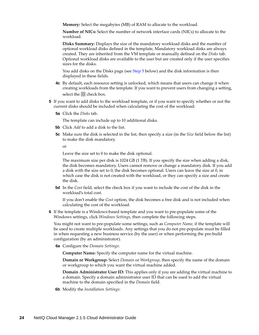**Memory:** Select the megabytes (MB) of RAM to allocate to the workload.

**Number of NICs:** Select the number of network interface cards (NICs) to allocate to the workload.

**Disks Summary:** Displays the size of the mandatory workload disks and the number of optional workload disks defined in the template, Mandatory workload disks are always created. They are inherited from the VM template or manually defined on the *Disks* tab. Optional workload disks are available to the user but are created only if the user specifies sizes for the disks.

You add disks on the Disks page (see [Step 5](#page-23-0) below) and the disk information is then displayed in these fields.

- **4c** By default, each resource setting is unlocked, which means that users can change it when creating workloads from the template. If you want to prevent users from changing a setting, select the check box.
- <span id="page-23-0"></span>**5** If you want to add disks to the workload template, or if you want to specify whether or not the current disks should be included when calculating the cost of the workload:
	- **5a** Click the *Disks* tab.

The template can include up to 10 additional disks.

- **5b** Click *Add* to add a disk to the list.
- **5c** Make sure the disk is selected in the list, then specify a size (in the *Size* field below the list) to make the disk mandatory.

or

Leave the size set to 0 to make the disk optional.

The maximum size per disk is 1024 GB (1 TB). If you specify the size when adding a disk, the disk becomes mandatory. Users cannot remove or change a mandatory disk. If you add a disk with the size set to 0, the disk becomes optional. Users can leave the size at 0, in which case the disk is not created with the workload, or they can specify a size and create the disk.

**5d** In the *Cost* field, select the check box if you want to include the cost of the disk in the workload's total cost.

If you don't enable the *Cost* option, the disk becomes a free disk and is not included when calculating the cost of the workload.

**6** If the template is a Windows-based template and you want to pre-populate some of the Windows settings, click *Windows Settings*, then complete the following steps.

You might not want to pre-populate some settings, such as *Computer Name*, if the template will be used to create multiple workloads. Any settings that you do not pre-populate must be filled in when requesting a new business service (by the user) or when performing the pre-build configuration (by an administrator).

**6a** Configure the *Domain Settings*:

**Computer Name:** Specify the computer name for the virtual machine.

**Domain or Workgroup:** Select *Domain* or *Workgroup*, then specify the name of the domain or workgroup to which you want the virtual machine added.

**Domain Administrator User ID:** This applies only if you are adding the virtual machine to a domain. Specify a domain administrator user ID that can be used to add the virtual machine to the domain specified in the *Domain* field.

**6b** Modify the *Installation Settings*: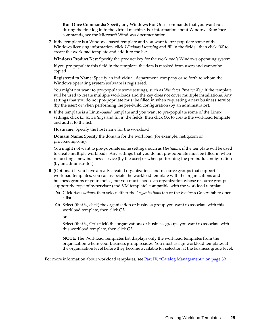**Run Once Commands:** Specify any Windows RunOnce commands that you want run during the first log in to the virtual machine. For information about Windows RunOnce commands, see the Microsoft Windows documentation.

**7** If the template is a Windows-based template and you want to pre-populate some of the Windows licensing information, click *Windows Licensing* and fill in the fields., then click *OK* to create the workload template and add it to the list.

**Windows Product Key:** Specify the product key for the workload's Windows operating system.

If you pre-populate this field in the template, the data is masked from users and cannot be copied.

**Registered to Name:** Specify an individual, department, company or so forth to whom the Windows operating system software is registered.

You might not want to pre-populate some settings, such as *Windows Product Key*, if the template will be used to create multiple workloads and the key does not cover multiple installations. Any settings that you do not pre-populate must be filled in when requesting a new business service (by the user) or when performing the pre-build configuration (by an administrator).

**8** If the template is a Linux-based template and you want to pre-populate some of the Linux settings, click *Linux Settings* and fill in the fields, then click *OK* to create the workload template and add it to the list.

**Hostname:** Specify the host name for the workload

**Domain Name:** Specify the domain for the workload (for example, netiq.com or provo.netiq.com).

You might not want to pre-populate some settings, such as *Hostname*, if the template will be used to create multiple workloads. Any settings that you do not pre-populate must be filled in when requesting a new business service (by the user) or when performing the pre-build configuration (by an administrator).

- **9** (Optional) If you have already created organizations and resource groups that support workload templates, you can associate the workload template with the organizations and business groups of your choice, but you must choose an organization whose resource groups support the type of hypervisor (and VM template) compatible with the workload template.
	- **9a** Click *Associations*, then select either the *Organizations* tab or the *Business Groups* tab to open a list.
	- **9b** Select (that is, click) the organization or business group you want to associate with this workload template, then click *OK*.
		- or

Select (that is, Ctrl+click) the organizations or business groups you want to associate with this workload template, then click *OK*.

**NOTE:** The Workload Templates list displays only the workload templates from the organization where your business group resides. You must assign workload templates at the organization level before they become available for selection at the business group level.

For more information about workload templates, see [Part IV, "Catalog Management," on page 89.](#page-88-1)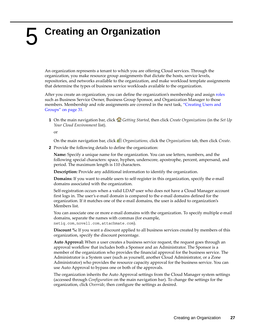# <span id="page-26-1"></span><span id="page-26-0"></span>5 <sup>5</sup>**Creating an Organization**

An organization represents a tenant to which you are offering Cloud services. Through the organization, you make resource group assignments that dictate the hosts, service levels, repositories, and networks available to the organization, and make workload template assignments that determine the types of business service workloads available to the organization.

After you create an organization, you can define the organization's membership and assign [roles](#page-62-3) such as Business Service Owner, Business Group Sponsor, and Organization Manager to those members. Membership and role assignments are covered in the next task, ["Creating Users and](#page-30-2)  [Groups" on page 31](#page-30-2).

**1** On the main navigation bar, click *Getting Started*, then click *Create Organizations* (in the *Set Up Your Cloud Environment* list).

or

On the main navigation bar, click *Organizations,* click the *Organizations* tab, then click *Create*.

**2** Provide the following details to define the organization:

**Name:** Specify a unique name for the organization. You can use letters, numbers, and the following special characters: space, hyphen, underscore, apostrophe, percent, ampersand, and period. The maximum length is 110 characters.

**Description:** Provide any additional information to identify the organization.

**Domains:** If you want to enable users to self-register in this organization, specify the e-mail domains associated with the organization.

Self-registration occurs when a valid LDAP user who does not have a Cloud Manager account first logs in. The user's e-mail domain is compared to the e-mail domains defined for the organization. If it matches one of the e-mail domains, the user is added to organization's Members list.

You can associate one or more e-mail domains with the organization. To specify multiple e-mail domains, separate the names with commas (for example, netiq.com,novell.com,attachmate.com).

**Discount %:** If you want a discount applied to all business services created by members of this organization, specify the discount percentage.

**Auto Approval:** When a user creates a business service request, the request goes through an approval workflow that includes both a Sponsor and an Administrator. The Sponsor is a member of the organization who provides the financial approval for the business service. The Administrator is a System user (such as yourself, another Cloud Administrator, or a Zone Administrator) who provides the resource capacity approval for the business service. You can use Auto Approval to bypass one or both of the approvals.

The organization inherits the Auto Approval settings from the Cloud Manager system settings (accessed through *Configuration* on the main navigation bar). To change the settings for the organization, click *Override*, then configure the settings as desired.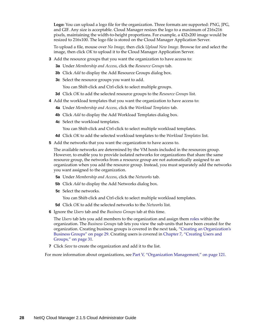**Logo:** You can upload a logo file for the organization. Three formats are supported: PNG, JPG, and GIF. Any size is acceptable. Cloud Manager resizes the logo to a maximum of 216x216 pixels, maintaining the width-to-height proportions. For example, a 432x200 image would be resized to 216x100. The logo file is stored on the Cloud Manager Application Server.

To upload a file, mouse over *No Image*, then click *Upload New Image*. Browse for and select the image, then click *OK* to upload it to the Cloud Manager Application Server.

- **3** Add the resource groups that you want the organization to have access to:
	- **3a** Under *Membership and Access*, click the *Resource Groups* tab.
	- **3b** Click *Add* to display the Add Resource Groups dialog box.
	- **3c** Select the resource groups you want to add.

You can Shift-click and Ctrl-click to select multiple groups.

- **3d** Click *OK* to add the selected resource groups to the *Resource Groups* list.
- **4** Add the workload templates that you want the organization to have access to:
	- **4a** Under *Membership and Access*, click the *Workload Templates* tab.
	- **4b** Click *Add* to display the Add Workload Templates dialog box.
	- **4c** Select the workload templates.

You can Shift-click and Ctrl-click to select multiple workload templates.

- **4d** Click *OK* to add the selected workload templates to the *Workload Templates* list.
- **5** Add the networks that you want the organization to have access to.

The available networks are determined by the VM hosts included in the resources group. However, to enable you to provide isolated networks for organizations that share the same resource group, the networks from a resource group are not automatically assigned to an organization when you add the resource group. Instead, you must separately add the networks you want assigned to the organization.

- **5a** Under *Membership and Access*, click the *Networks* tab.
- **5b** Click *Add* to display the Add Networks dialog box.
- **5c** Select the networks.

You can Shift-click and Ctrl-click to select multiple workload templates.

- **5d** Click *OK* to add the selected networks to the *Networks* list.
- **6** Ignore the *Users* tab and the *Business Groups* tab at this time.

The *Users* tab lets you add members to the organization and assign them [roles](#page-62-3) within the organization. The *Business Groups* tab lets you view the sub-units that have been created for the organization. Creating business groups is covered in the next task, ["Creating an Organization's](#page-28-1)  [Business Groups" on page 29](#page-28-1). Creating users is covered in [Chapter 7, "Creating Users and](#page-30-2)  [Groups," on page 31.](#page-30-2)

**7** Click *Save* to create the organization and add it to the list.

For more information about organizations, see [Part V, "Organization Management," on page 121.](#page-120-1)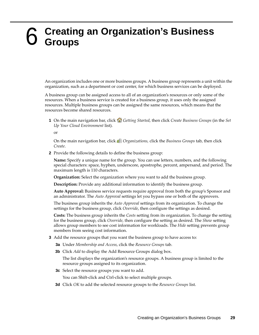## <span id="page-28-1"></span><span id="page-28-0"></span>6 <sup>6</sup>**Creating an Organization's Business Groups**

An organization includes one or more business groups. A business group represents a unit within the organization, such as a department or cost center, for which business services can be deployed.

A business group can be assigned access to all of an organization's resources or only some of the resources. When a business service is created for a business group, it uses only the assigned resources. Multiple business groups can be assigned the same resources, which means that the resources become shared resources.

**1** On the main navigation bar, click *Getting Started*, then click *Create Business Groups* (in the *Set Up Your Cloud Environment* list).

or

On the main navigation bar, click *Organizations,* click the *Business Groups* tab, then click *Create*.

**2** Provide the following details to define the business group:

**Name:** Specify a unique name for the group. You can use letters, numbers, and the following special characters: space, hyphen, underscore, apostrophe, percent, ampersand, and period. The maximum length is 110 characters.

**Organization:** Select the organization where you want to add the business group.

**Description:** Provide any additional information to identify the business group.

**Auto Approval:** Business service requests require approval from both the group's Sponsor and an administrator. The *Auto Approval* settings let you bypass one or both of the approvers.

The business group inherits the *Auto Approval* settings from its organization. To change the settings for the business group, click *Override*, then configure the settings as desired.

**Costs:** The business group inherits the *Costs* setting from its organization. To change the setting for the business group, click *Override*, then configure the setting as desired. The *Show* setting allows group members to see cost information for workloads. The *Hide* setting prevents group members from seeing cost information.

- <span id="page-28-2"></span>**3** Add the resource groups that you want the business group to have access to:
	- **3a** Under *Membership and Access*, click the *Resource Groups* tab.
	- **3b** Click *Add* to display the Add Resource Groups dialog box.

The list displays the organization's resource groups. A business group is limited to the resource groups assigned to its organization.

**3c** Select the resource groups you want to add.

You can Shift-click and Ctrl-click to select multiple groups.

**3d** Click *OK* to add the selected resource groups to the *Resource Groups* list.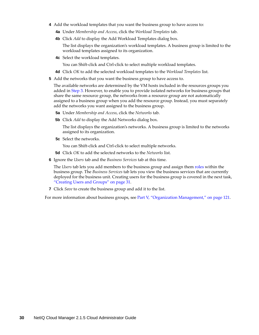- **4** Add the workload templates that you want the business group to have access to:
	- **4a** Under *Membership and Access*, click the *Workload Templates* tab.
	- **4b** Click *Add* to display the Add Workload Templates dialog box.

The list displays the organization's workload templates. A business group is limited to the workload templates assigned to its organization.

**4c** Select the workload templates.

You can Shift-click and Ctrl-click to select multiple workload templates.

- **4d** Click *OK* to add the selected workload templates to the *Workload Templates* list.
- **5** Add the networks that you want the business group to have access to.

The available networks are determined by the VM hosts included in the resources groups you added in [Step 3.](#page-28-2) However, to enable you to provide isolated networks for business groups that share the same resource group, the networks from a resource group are not automatically assigned to a business group when you add the resource group. Instead, you must separately add the networks you want assigned to the business group.

- **5a** Under *Membership and Access*, click the *Networks* tab.
- **5b** Click *Add* to display the Add Networks dialog box.

The list displays the organization's networks. A business group is limited to the networks assigned to its organization.

- **5c** Select the networks.
	- You can Shift-click and Ctrl-click to select multiple networks.
- **5d** Click *OK* to add the selected networks to the *Networks* list.
- **6** Ignore the *Users* tab and the *Business Services* tab at this time.

The *Users* tab lets you add members to the business group and assign them [roles](#page-62-3) within the business group. The *Business Services* tab lets you view the business services that are currently deployed for the business unit. Creating users for the business group is covered in the next task, ["Creating Users and Groups" on page 31](#page-30-2).

**7** Click *Save* to create the business group and add it to the list.

For more information about business groups, see [Part V, "Organization Management," on page 121](#page-120-1).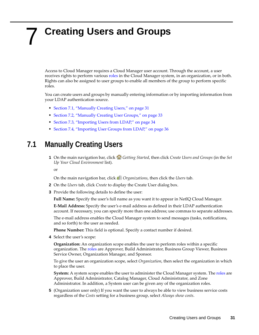## <span id="page-30-2"></span><span id="page-30-0"></span>7 <sup>7</sup>**Creating Users and Groups**

Access to Cloud Manager requires a Cloud Manager user account. Through the account, a user receives rights to perform various [roles](#page-62-3) in the Cloud Manager system, in an organization, or in both. Rights can also be assigned to user groups to enable all members of the group to perform specific roles.

You can create users and groups by manually entering information or by importing information from your LDAP authentication source.

- [Section 7.1, "Manually Creating Users," on page 31](#page-30-1)
- [Section 7.2, "Manually Creating User Groups," on page 33](#page-32-0)
- [Section 7.3, "Importing Users from LDAP," on page 34](#page-33-0)
- [Section 7.4, "Importing User Groups from LDAP," on page 36](#page-35-0)

#### <span id="page-30-1"></span>**7.1 Manually Creating Users**

**1** On the main navigation bar, click *Getting Started*, then click *Create Users and Groups* (in the *Set Up Your Cloud Environment* list).

or

On the main navigation bar, click *Organizations*, then click the *Users* tab.

- **2** On the *Users* tab, click *Create* to display the Create User dialog box.
- **3** Provide the following details to define the user:

**Full Name:** Specify the user's full name as you want it to appear in NetIQ Cloud Manager.

**E-Mail Address:** Specify the user's e-mail address as defined in their LDAP authentication account. If necessary, you can specify more than one address; use commas to separate addresses.

The e-mail address enables the Cloud Manager system to send messages (tasks, notifications, and so forth) to the user as needed.

**Phone Number:** This field is optional. Specify a contact number if desired.

**4** Select the user's scope:

**Organization:** An organization scope enables the user to perform roles within a specific organization. The [roles](#page-62-3) are Approver, Build Administrator, Business Group Viewer, Business Service Owner, Organization Manager, and Sponsor.

To give the user an organization scope, select *Organization*, then select the organization in which to place the user.

**System:** A system scope enables the user to administer the Cloud Manager system. The [roles](#page-62-3) are Approver, Build Administrator, Catalog Manager, Cloud Administrator, and Zone Administrator. In addition, a System user can be given any of the organization roles.

**5** (Organization user only) If you want the user to always be able to view business service costs regardless of the *Costs* setting for a business group, select *Always show costs*.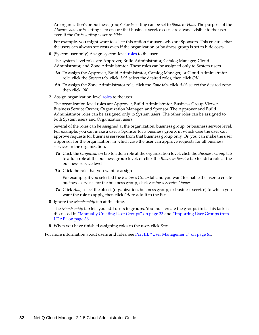An organization's or business group's *Costs* setting can be set to *Show* or *Hide*. The purpose of the *Always show costs* setting is to ensure that business service costs are always visible to the user even if the *Costs* setting is set to *Hide*.

For example, you might want to select this option for users who are Sponsors. This ensures that the users can always see costs even if the organization or business group is set to hide costs.

**6** (System user only) Assign system-level roles to the user.

The system-level roles are Approver, Build Administrator, Catalog Manager, Cloud Administrator, and Zone Administrator. These roles can be assigned only to System users.

- **6a** To assign the Approver, Build Administrator, Catalog Manager, or Cloud Administrator role, click the *System* tab, click *Add*, select the desired roles, then click *OK*.
- **6b** To assign the Zone Administrator role, click the *Zone* tab, click *Add*, select the desired zone, then click *OK*.
- **7** Assign organization-level roles to the user.

The organization-level roles are Approver, Build Administrator, Business Group Viewer, Business Service Owner, Organization Manager, and Sponsor. The Approver and Build Administrator roles can be assigned only to System users. The other roles can be assigned to both System users and Organization users.

Several of the roles can be assigned at the organization, business group, or business service level. For example, you can make a user a Sponsor for a business group, in which case the user can approve requests for business services from that business group only. Or, you can make the user a Sponsor for the organization, in which case the user can approve requests for all business services in the organization.

- **7a** Click the *Organization* tab to add a role at the organization level, click the *Business Group* tab to add a role at the business group level, or click the *Business Service* tab to add a role at the business service level.
- **7b** Click the role that you want to assign

For example, if you selected the *Business Group* tab and you want to enable the user to create business services for the business group, click *Business Service Owner*.

- **7c** Click *Add*, select the object (organization, business group, or business service) to which you want the role to apply, then click *OK* to add it to the list.
- **8** Ignore the *Membership* tab at this time.

The *Membership* tab lets you add users to groups. You must create the groups first. This task is discussed in ["Manually Creating User Groups" on page 33](#page-32-0) and ["Importing User Groups from](#page-35-0)  [LDAP" on page 36](#page-35-0)

**9** When you have finished assigning roles to the user, click *Save*.

For more information about users and roles, see [Part III, "User Management," on page 61](#page-60-1).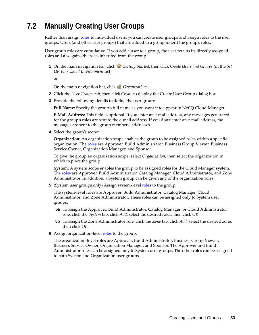## <span id="page-32-0"></span>**7.2 Manually Creating User Groups**

Rather than assign [roles](#page-62-3) to individual users, you can create user groups and assign roles to the user groups. Users (and other user groups) that are added to a group inherit the group's roles.

User group roles are cumulative. If you add a user to a group, the user retains its directly assigned roles and also gains the roles inherited from the group.

**1** On the main navigation bar, click *Getting Started*, then click *Create Users and Groups* (in the *Set Up Your Cloud Environment* list).

or

On the main navigation bar, click *Organizations*.

- **2** Click the *User Groups* tab, then click *Create* to display the Create User Group dialog box.
- **3** Provide the following details to define the user group:

**Full Name:** Specify the group's full name as you want it to appear in NetIQ Cloud Manager.

**E-Mail Address:** This field is optional. If you enter an e-mail address, any messages generated for the group's roles are sent to the e-mail address. If you don't enter an e-mail address, the messages are sent to the group members' addresses.

**4** Select the group's scope:

**Organization:** An organization scope enables the group to be assigned roles within a specific organization. The [roles](#page-62-3) are Approver, Build Administrator, Business Group Viewer, Business Service Owner, Organization Manager, and Sponsor.

To give the group an organization scope, select *Organization*, then select the organization in which to place the group.

**System:** A system scope enables the group to be assigned roles for the Cloud Manager system. The [roles](#page-62-3) are Approver, Build Administrator, Catalog Manager, Cloud Administrator, and Zone Administrator. In addition, a System group can be given any of the organization roles.

**5** (System user groups only) Assign system-level roles to the group.

The system-level roles are Approver, Build Administrator, Catalog Manager, Cloud Administrator, and Zone Administrator. These roles can be assigned only to System user groups.

- **5a** To assign the Approver, Build Administrator, Catalog Manager, or Cloud Administrator role, click the *System* tab, click *Add*, select the desired roles, then click *OK*.
- **5b** To assign the Zone Administrator role, click the *Zone* tab, click *Add*, select the desired zone, then click *OK*.
- **6** Assign organization-level roles to the group.

The organization-level roles are Approver, Build Administrator, Business Group Viewer, Business Service Owner, Organization Manager, and Sponsor. The Approver and Build Administrator roles can be assigned only to System user groups. The other roles can be assigned to both System and Organization user groups.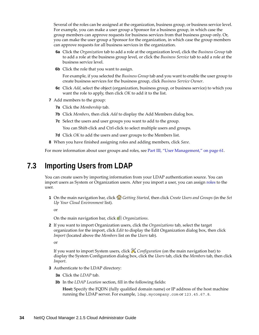Several of the roles can be assigned at the organization, business group, or business service level. For example, you can make a user group a Sponsor for a business group, in which case the group members can approve requests for business services from that business group only. Or, you can make the user group a Sponsor for the organization, in which case the group members can approve requests for all business services in the organization.

- **6a** Click the *Organization* tab to add a role at the organization level, click the *Business Group* tab to add a role at the business group level, or click the *Business Service* tab to add a role at the business service level.
- **6b** Click the role that you want to assign.

For example, if you selected the *Business Group* tab and you want to enable the user group to create business services for the business group, click *Business Service Owner*.

- **6c** Click *Add*, select the object (organization, business group, or business service) to which you want the role to apply, then click *OK* to add it to the list.
- **7** Add members to the group:
	- **7a** Click the *Membership* tab.
	- **7b** Click *Members*, then click *Add* to display the Add Members dialog box.
	- **7c** Select the users and user groups you want to add to the group.

You can Shift-click and Ctrl-click to select multiple users and groups.

- **7d** Click *OK* to add the users and user groups to the Members list.
- **8** When you have finished assigning roles and adding members, click *Save*.

For more information about user groups and roles, see [Part III, "User Management," on page 61.](#page-60-1)

#### <span id="page-33-0"></span>**7.3 Importing Users from LDAP**

You can create users by importing information from your LDAP authentication source. You can import users as System or Organization users. After you import a user, you can assign [roles](#page-62-3) to the user.

**1** On the main navigation bar, click *Getting Started*, then click *Create Users and Groups* (in the *Set Up Your Cloud Environment* list).

or

On the main navigation bar, click *Organizations*.

**2** If you want to import Organization users, click the *Organizations* tab, select the target organization for the import, click *Edit* to display the Edit Organization dialog box, then click *Import* (located above the *Members* list on the *Users* tab).

or

If you want to import System users, click *Configuration* (on the main navigation bar) to display the System Configuration dialog box, click the *Users* tab, click the *Members* tab, then click *Import*.

- **3** Authenticate to the LDAP directory:
	- **3a** Click the *LDAP* tab.
	- **3b** In the *LDAP Location* section, fill in the following fields:

**Host:** Specify the FQDN (fully qualified domain name) or IP address of the host machine running the LDAP server. For example, ldap.mycompany.com or 123.45.67.8.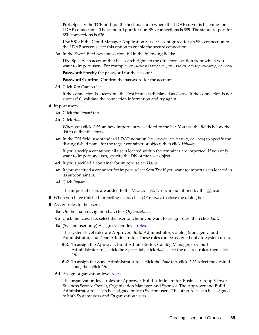**Port:** Specify the TCP port (on the host machine) where the LDAP server is listening for LDAP connections. The standard port for non-SSL connections is 389. The standard port for SSL connections is 636.

**Use SSL:** If the Cloud Manager Application Server is configured for an SSL connection to the LDAP server, select this option to enable the secure connection.

**3c** In the *Search Bind Account* section, fill in the following fields:

**DN:** Specify an account that has search rights to the directory location from which you want to import users. For example, cn=Administrator, cn=Users, dc=MyCompany, dc=com

**Password:** Specify the password for the account.

Password Confirm: Confirm the password for the account.

**3d** Click *Test Connection*.

If the connection is successful, the Test Status is displayed as *Passed*. If the connection is not successful, validate the connection information and try again.

- **4** Import users:
	- **4a** Click the *Import* tab.
	- **4b** Click *Add*.

When you click *Add*, an new import entry is added to the list. You use the fields below the list to define the entry.

**4c** In the DN field, use standard LDAP notation (ou=provo, dc=netiq, dc=com) to specify the distinguished name for the target container or object, then click *Validate*.

If you specify a container, all users located within the container are imported. If you only want to import one user, specify the DN of the user object.

- **4d** If you specified a container for import, select *Users*.
- **4e** If you specified a container for import, select *Scan Tree* if you want to import users located in its subcontainers.
- **4f** Click *Import*.

The imported users are added to the *Members* list. Users are identified by the  $\triangle$  icon.

- **5** When you have finished importing users, click *OK* or *Save* to close the dialog box.
- **6** Assign roles to the users:
	- **6a** On the main navigation bar, click *Organizations*.
	- **6b** Click the *Users* tab, select the user to whom you want to assign roles, then click *Edit*.
	- **6c** (System user only) Assign system-level roles.

The system-level roles are Approver, Build Administrator, Catalog Manager, Cloud Administrator, and Zone Administrator. These roles can be assigned only to System users.

- **6c1** To assign the Approver, Build Administrator, Catalog Manager, or Cloud Administrator role, click the *System* tab, click *Add*, select the desired roles, then click *OK*.
- **6c2** To assign the Zone Administrator role, click the *Zone* tab, click *Add*, select the desired zone, then click *OK*.
- **6d** Assign organization-level roles.

The organization-level roles are Approver, Build Administrator, Business Group Viewer, Business Service Owner, Organization Manager, and Sponsor. The Approver and Build Administrator roles can be assigned only to System users. The other roles can be assigned to both System users and Organization users.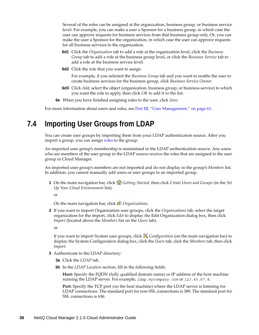Several of the roles can be assigned at the organization, business group, or business service level. For example, you can make a user a Sponsor for a business group, in which case the user can approve requests for business services from that business group only. Or, you can make the user a Sponsor for the organization, in which case the user can approve requests for all business services in the organization.

- **6d1** Click the *Organization* tab to add a role at the organization level, click the *Business Group* tab to add a role at the business group level, or click the *Business Service* tab to add a role at the business service level.
- **6d2** Click the role that you want to assign

For example, if you selected the *Business Group* tab and you want to enable the user to create business services for the business group, click *Business Service Owner*.

- **6d3** Click *Add*, select the object (organization, business group, or business service) to which you want the role to apply, then click *OK* to add it to the list.
- **6e** When you have finished assigning roles to the user, click *Save*.

For more information about users and roles, see [Part III, "User Management," on page 61](#page-60-1).

#### <span id="page-35-0"></span>**7.4 Importing User Groups from LDAP**

You can create user groups by importing them from your LDAP authentication source. After you import a group, you can assign [roles](#page-62-3) to the group.

An imported user group's membership is maintained in the LDAP authentication source. Any users who are members of the user group in the LDAP source receive the roles that are assigned to the user group in Cloud Manager.

An imported user group's members are not imported and do not display in the group's *Members* list. In addition, you cannot manually add users or user groups to an imported group.

**1** On the main navigation bar, click *Getting Started*, then click *Create Users and Groups* (in the *Set Up Your Cloud Environment* list).

or

On the main navigation bar, click *Organizations*.

**2** If you want to import Organization user groups, click the *Organizations* tab, select the target organization for the import, click *Edit* to display the Edit Organization dialog box, then click *Import* (located above the *Members* list on the *Users* tab).

or

If you want to import System user groups, click *Configuration* (on the main navigation bar) to display the System Configuration dialog box, click the *Users* tab, click the *Members* tab, then click *Import*.

- **3** Authenticate to the LDAP directory:
	- **3a** Click the *LDAP* tab.
	- **3b** In the *LDAP Location* section, fill in the following fields:

**Host:** Specify the FQDN (fully qualified domain name) or IP address of the host machine running the LDAP server. For example, ldap.mycompany.com or 123.45.67.8.

**Port:** Specify the TCP port (on the host machine) where the LDAP server is listening for LDAP connections. The standard port for non-SSL connections is 389. The standard port for SSL connections is 636.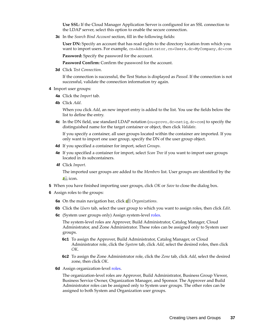**Use SSL:** If the Cloud Manager Application Server is configured for an SSL connection to the LDAP server, select this option to enable the secure connection.

**3c** In the *Search Bind Account* section, fill in the following fields:

**User DN:** Specify an account that has read rights to the directory location from which you want to import users. For example, cn=Administrator, cn=Users, dc=MyCompany, dc=com

**Password:** Specify the password for the account.

Password Confirm: Confirm the password for the account.

**3d** Click *Test Connection*.

If the connection is successful, the Test Status is displayed as *Passed*. If the connection is not successful, validate the connection information try again.

- **4** Import user groups:
	- **4a** Click the *Import* tab.
	- **4b** Click *Add*.

When you click *Add*, an new import entry is added to the list. You use the fields below the list to define the entry.

**4c** In the DN field, use standard LDAP notation (ou=provo, dc=netiq, dc=com) to specify the distinguished name for the target container or object, then click *Validate*.

If you specify a container, all user groups located within the container are imported. If you only want to import one user group, specify the DN of the user group object.

- **4d** If you specified a container for import, select *Groups*.
- **4e** If you specified a container for import, select *Scan Tree* if you want to import user groups located in its subcontainers.
- **4f** Click *Import*.

The imported user groups are added to the *Members* list. User groups are identified by the  $\mathbb{P}^{\mathbb{Q}}$  icon.

- **5** When you have finished importing user groups, click *OK* or *Save* to close the dialog box.
- **6** Assign roles to the groups:
	- **6a** On the main navigation bar, click *Organizations*.
	- **6b** Click the *Users* tab, select the user group to which you want to assign roles, then click *Edit*.
	- **6c** (System user groups only) Assign system-level roles.

The system-level roles are Approver, Build Administrator, Catalog Manager, Cloud Administrator, and Zone Administrator. These roles can be assigned only to System user groups.

- **6c1** To assign the Approver, Build Administrator, Catalog Manager, or Cloud Administrator role, click the *System* tab, click *Add*, select the desired roles, then click *OK*.
- **6c2** To assign the Zone Administrator role, click the *Zone* tab, click *Add*, select the desired zone, then click *OK*.
- **6d** Assign organization-level roles.

The organization-level roles are Approver, Build Administrator, Business Group Viewer, Business Service Owner, Organization Manager, and Sponsor. The Approver and Build Administrator roles can be assigned only to System user groups. The other roles can be assigned to both System and Organization user groups.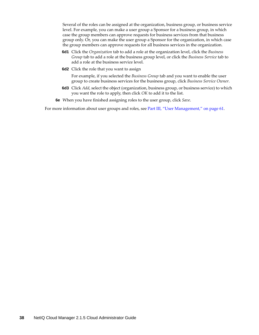Several of the roles can be assigned at the organization, business group, or business service level. For example, you can make a user group a Sponsor for a business group, in which case the group members can approve requests for business services from that business group only. Or, you can make the user group a Sponsor for the organization, in which case the group members can approve requests for all business services in the organization.

- **6d1** Click the *Organization* tab to add a role at the organization level, click the *Business Group* tab to add a role at the business group level, or click the *Business Service* tab to add a role at the business service level.
- **6d2** Click the role that you want to assign

For example, if you selected the *Business Group* tab and you want to enable the user group to create business services for the business group, click *Business Service Owner*.

- **6d3** Click *Add*, select the object (organization, business group, or business service) to which you want the role to apply, then click *OK* to add it to the list.
- **6e** When you have finished assigning roles to the user group, click *Save*.

For more information about user groups and roles, see [Part III, "User Management," on page 61.](#page-60-0)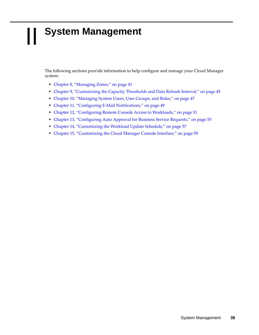# II **System Management**

The following sections provide information to help configure and manage your Cloud Manager system:

- [Chapter 8, "Managing Zones," on page 41](#page-40-0)
- [Chapter 9, "Customizing the Capacity Thresholds and Data Refresh Interval," on page 45](#page-44-0)
- [Chapter 10, "Managing System Users, User Groups, and Roles," on page 47](#page-46-0)
- [Chapter 11, "Configuring E-Mail Notifications," on page 49](#page-48-0)
- [Chapter 12, "Configuring Remote Console Access to Workloads," on page 51](#page-50-0)
- [Chapter 13, "Configuring Auto Approval for Business Service Requests," on page 55](#page-54-0)
- [Chapter 14, "Customizing the Workload Update Schedule," on page 57](#page-56-0)
- [Chapter 15, "Customizing the Cloud Manager Console Interface," on page 59](#page-58-0)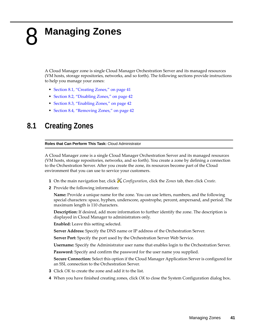# <span id="page-40-0"></span>8 <sup>8</sup>**Managing Zones**

A Cloud Manager zone is single Cloud Manager Orchestration Server and its managed resources (VM hosts, storage repositories, networks, and so forth). The following sections provide instructions to help you manage your zones:

- [Section 8.1, "Creating Zones," on page 41](#page-40-1)
- [Section 8.2, "Disabling Zones," on page 42](#page-41-1)
- [Section 8.3, "Enabling Zones," on page 42](#page-41-2)
- [Section 8.4, "Removing Zones," on page 42](#page-41-0)

#### <span id="page-40-1"></span>**8.1 Creating Zones**

**Roles that Can Perform This Task:** Cloud Administrator

A Cloud Manager zone is a single Cloud Manager Orchestration Server and its managed resources (VM hosts, storage repositories, networks, and so forth). You create a zone by defining a connection to the Orchestration Server. After you create the zone, its resources become part of the Cloud environment that you can use to service your customers.

- **1** On the main navigation bar, click *Configuration*, click the *Zones* tab, then click *Create*.
- **2** Provide the following information:

**Name:** Provide a unique name for the zone. You can use letters, numbers, and the following special characters: space, hyphen, underscore, apostrophe, percent, ampersand, and period. The maximum length is 110 characters.

**Description:** If desired, add more information to further identify the zone. The description is displayed in Cloud Manager to administrators only.

**Enabled:** Leave this setting selected.

**Server Address:** Specify the DNS name or IP address of the Orchestration Server.

**Server Port:** Specify the port used by the Orchestration Server Web Service.

**Username:** Specify the Administrator user name that enables login to the Orchestration Server.

**Password:** Specify and confirm the password for the user name you supplied.

**Secure Connection:** Select this option if the Cloud Manager Application Server is configured for an SSL connection to the Orchestration Server.

- **3** Click *OK* to create the zone and add it to the list.
- **4** When you have finished creating zones, click *OK* to close the System Configuration dialog box.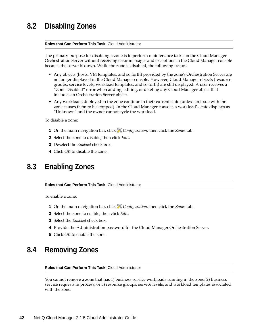## <span id="page-41-1"></span>**8.2 Disabling Zones**

#### **Roles that Can Perform This Task:** Cloud Administrator

The primary purpose for disabling a zone is to perform maintenance tasks on the Cloud Manager Orchestration Server without receiving error messages and exceptions in the Cloud Manager console because the server is down. While the zone is disabled, the following occurs:

- Any objects (hosts, VM templates, and so forth) provided by the zone's Orchestration Server are no longer displayed in the Cloud Manager console. However, Cloud Manager objects (resource groups, service levels, workload templates, and so forth) are still displayed. A user receives a "Zone Disabled" error when adding, editing, or deleting any Cloud Manager object that includes an Orchestration Server object.
- Any workloads deployed in the zone continue in their current state (unless an issue with the zone causes them to be stopped). In the Cloud Manager console, a workload's state displays as "Unknown" and the owner cannot cycle the workload.

To disable a zone:

- **1** On the main navigation bar, click *Configuration*, then click the *Zones* tab.
- **2** Select the zone to disable, then click *Edit*.
- **3** Deselect the *Enabled* check box.
- **4** Click *OK* to disable the zone.

#### <span id="page-41-2"></span>**8.3 Enabling Zones**

#### **Roles that Can Perform This Task:** Cloud Administrator

To enable a zone:

- **1** On the main navigation bar, click *Configuration*, then click the *Zones* tab.
- **2** Select the zone to enable, then click *Edit*.
- **3** Select the *Enabled* check box.
- **4** Provide the Administration password for the Cloud Manager Orchestration Server.
- **5** Click *OK* to enable the zone.

#### <span id="page-41-0"></span>**8.4 Removing Zones**

**Roles that Can Perform This Task:** Cloud Administrator

You cannot remove a zone that has 1) business service workloads running in the zone, 2) business service requests in process, or 3) resource groups, service levels, and workload templates associated with the zone.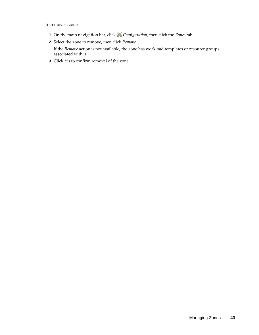To remove a zone:

- **1** On the main navigation bar, click *Configuration*, then click the *Zones* tab.
- **2** Select the zone to remove, then click *Remove*.

If the *Remove* action is not available, the zone has workload templates or resource groups associated with it.

**3** Click *Yes* to confirm removal of the zone.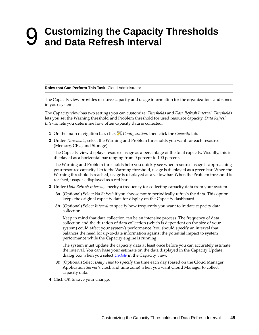#### <span id="page-44-0"></span>9 <sup>9</sup>**Customizing the Capacity Thresholds and Data Refresh Interval**

#### **Roles that Can Perform This Task:** Cloud Administrator

The Capacity view provides resource capacity and usage information for the organizations and zones in your system.

The Capacity view has two settings you can customize: *Thresholds* and *Data Refresh Interval*. *Thresholds* lets you set the Warning threshold and Problem threshold for used resource capacity. *Data Refresh Interval* lets you determine how often capacity data is collected.

- **1** On the main navigation bar, click *Configuration*, then click the *Capacity* tab.
- **2** Under *Thresholds*, select the Warning and Problem thresholds you want for each resource (Memory, CPU, and Storage).

The Capacity view displays resource usage as a percentage of the total capacity. Visually, this is displayed as a horizontal bar ranging from 0 percent to 100 percent.

The Warning and Problem thresholds help you quickly see when resource usage is approaching your resource capacity. Up to the Warning threshold, usage is displayed as a green bar. When the Warning threshold is reached, usage is displayed as a yellow bar. When the Problem threshold is reached, usage is displayed as a red bar.

- **3** Under *Data Refresh Interval*, specify a frequency for collecting capacity data from your system.
	- **3a** (Optional) Select *No Refresh* if you choose not to periodically refresh the data. This option keeps the original capacity data for display on the Capacity dashboard.
	- **3b** (Optional) Select *Interval* to specify how frequently you want to initiate capacity data collection.

Keep in mind that data collection can be an intensive process. The frequency of data collection and the duration of data collection (which is dependent on the size of your system) could affect your system's performance. You should specify an interval that balances the need for up-to-date information against the potential impact to system performance while the Capacity engine is running.

The system must update the capacity data at least once before you can accurately estimate the interval. You can base your estimate on the data displayed in the Capacity Update dialog box when you select *[Update](#page-161-0)* in the Capacity view.

- **3c** (Optional) Select *Daily Time* to specify the time each day (based on the Cloud Manager Application Server's clock and time zone) when you want Cloud Manager to collect capacity data.
- **4** Click *OK* to save your change.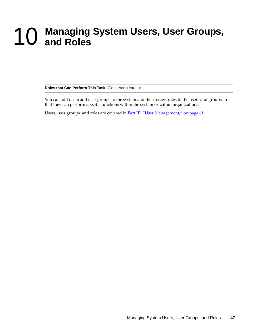# <span id="page-46-0"></span>10 <sup>10</sup>**Managing System Users, User Groups, and Roles**

**Roles that Can Perform This Task:** Cloud Administrator

You can add users and user groups to the system and then assign roles to the users and groups so that they can perform specific functions within the system or within organizations.

Users, user groups, and roles are covered in [Part III, "User Management," on page 61.](#page-60-0)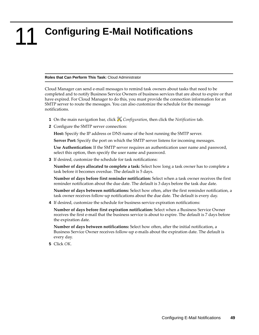## <span id="page-48-0"></span>11 <sup>11</sup>**Configuring E-Mail Notifications**

#### **Roles that Can Perform This Task:** Cloud Administrator

Cloud Manager can send e-mail messages to remind task owners about tasks that need to be completed and to notify Business Service Owners of business services that are about to expire or that have expired. For Cloud Manager to do this, you must provide the connection information for an SMTP server to route the messages. You can also customize the schedule for the message notifications.

- **1** On the main navigation bar, click *Configuration*, then click the *Notification* tab.
- **2** Configure the SMTP server connection:

**Host:** Specify the IP address or DNS name of the host running the SMTP server.

**Server Port:** Specify the port on which the SMTP server listens for incoming messages.

**Use Authentication:** If the SMTP server requires an authentication user name and password, select this option, then specify the user name and password.

**3** If desired, customize the schedule for task notifications:

**Number of days allocated to complete a task:** Select how long a task owner has to complete a task before it becomes overdue. The default is 5 days.

**Number of days before first reminder notification:** Select when a task owner receives the first reminder notification about the due date. The default is 3 days before the task due date.

**Number of days between notifications:** Select how often, after the first reminder notification, a task owner receives follow-up notifications about the due date. The default is every day.

**4** If desired, customize the schedule for business service expiration notifications:

**Number of days before first expiration notification:** Select when a Business Service Owner receives the first e-mail that the business service is about to expire. The default is 7 days before the expiration date.

**Number of days between notifications:** Select how often, after the initial notification, a Business Service Owner receives follow-up e-mails about the expiration date. The default is every day.

**5** Click *OK*.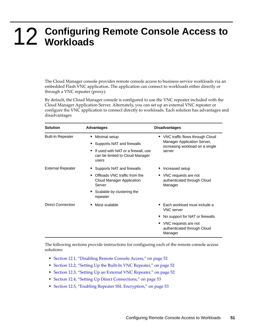# <span id="page-50-0"></span>12 <sup>12</sup>**Configuring Remote Console Access to Workloads**

The Cloud Manager console provides remote console access to business service workloads via an embedded Flash VNC application. The application can connect to workloads either directly or through a VNC repeater (proxy).

By default, the Cloud Manager console is configured to use the VNC repeater included with the Cloud Manager Application Server. Alternately, you can set up an external VNC repeater or configure the VNC application to connect directly to workloads. Each solution has advantages and disadvantages

| <b>Solution</b>          | <b>Advantages</b>                                                               | <b>Disadvantages</b>                                             |
|--------------------------|---------------------------------------------------------------------------------|------------------------------------------------------------------|
| <b>Built-In Repeater</b> | Minimal setup                                                                   | • VNC traffic flows through Cloud                                |
|                          | Supports NAT and firewalls                                                      | Manager Application Server,<br>increasing workload on a single   |
|                          | If used with NAT or a firewall, use<br>can be limited to Cloud Manager<br>users | server                                                           |
| External Repeater        | Supports NAT and firewalls                                                      | Increased setup                                                  |
|                          | Offloads VNC traffic from the<br>Cloud Manager Application<br>Server            | • VNC requests are not<br>authenticated through Cloud<br>Manager |
|                          | Scalable by clustering the<br>repeater                                          |                                                                  |
| Direct Connection        | Most scalable                                                                   | Each workload must include a<br><b>VNC</b> server                |
|                          |                                                                                 | No support for NAT or firewalls                                  |
|                          |                                                                                 | • VNC requests are not<br>authenticated through Cloud<br>Manager |

The following sections provide instructions for configuring each of the remote console access solutions:

- [Section 12.1, "Disabling Remote Console Access," on page 52](#page-51-0)
- [Section 12.2, "Setting Up the Built-In VNC Repeater," on page 52](#page-51-1)
- [Section 12.3, "Setting Up an External VNC Repeater," on page 52](#page-51-2)
- [Section 12.4, "Setting Up Direct Connections," on page 53](#page-52-1)
- [Section 12.5, "Enabling Repeater SSL Encryption," on page 53](#page-52-0)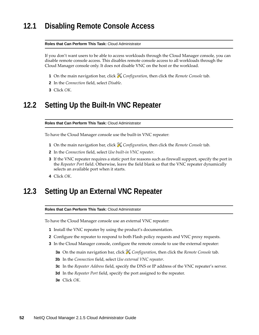### <span id="page-51-0"></span>**12.1 Disabling Remote Console Access**

#### **Roles that Can Perform This Task:** Cloud Administrator

If you don't want users to be able to access workloads through the Cloud Manager console, you can disable remote console access. This disables remote console access to all workloads through the Cloud Manager console only. It does not disable VNC on the host or the workload.

- **1** On the main navigation bar, click *Configuration*, then click the *Remote Console* tab.
- **2** In the *Connection* field, select *Disable*.
- **3** Click *OK*.

## <span id="page-51-1"></span>**12.2 Setting Up the Built-In VNC Repeater**

**Roles that Can Perform This Task:** Cloud Administrator

To have the Cloud Manager console use the built-in VNC repeater:

- **1** On the main navigation bar, click *Configuration*, then click the *Remote Console* tab.
- **2** In the *Connection* field, select *Use built-in VNC repeater*.
- **3** If the VNC repeater requires a static port for reasons such as firewall support, specify the port in the *Repeater Port* field. Otherwise, leave the field blank so that the VNC repeater dynamically selects an available port when it starts.
- **4** Click *OK*.

### <span id="page-51-2"></span>**12.3 Setting Up an External VNC Repeater**

**Roles that Can Perform This Task:** Cloud Administrator

To have the Cloud Manager console use an external VNC repeater:

- **1** Install the VNC repeater by using the product's documentation.
- **2** Configure the repeater to respond to both Flash policy requests and VNC proxy requests.
- **3** In the Cloud Manager console, configure the remote console to use the external repeater:
	- **3a** On the main navigation bar, click *Configuration*, then click the *Remote Console* tab.
	- **3b** In the *Connection* field, select *Use external VNC repeater*.
	- **3c** In the *Repeater Address* field, specify the DNS or IP address of the VNC repeater's server.
	- **3d** In the *Repeater Port* field, specify the port assigned to the repeater.
	- **3e** Click *OK*.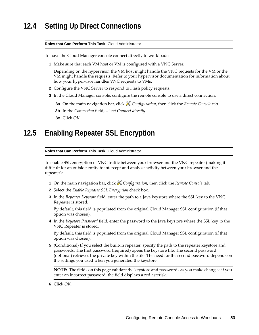## <span id="page-52-1"></span>**12.4 Setting Up Direct Connections**

#### **Roles that Can Perform This Task:** Cloud Administrator

To have the Cloud Manager console connect directly to workloads:

**1** Make sure that each VM host or VM is configured with a VNC Server.

Depending on the hypervisor, the VM host might handle the VNC requests for the VM or the VM might handle the requests. Refer to your hypervisor documentation for information about how your hypervisor handles VNC requests to VMs.

- **2** Configure the VNC Server to respond to Flash policy requests.
- **3** In the Cloud Manager console, configure the remote console to use a direct connection:
	- **3a** On the main navigation bar, click *Configuration*, then click the *Remote Console* tab.
	- **3b** In the *Connection* field, select *Connect directly*.
	- **3c** Click *OK*.

#### <span id="page-52-0"></span>**12.5 Enabling Repeater SSL Encryption**

**Roles that Can Perform This Task:** Cloud Administrator

To enable SSL encryption of VNC traffic between your browser and the VNC repeater (making it difficult for an outside entity to intercept and analyze activity between your browser and the repeater):

- **1** On the main navigation bar, click *Configuration*, then click the *Remote Console* tab.
- **2** Select the *Enable Repeater SSL Encryption* check box.
- **3** In the *Repeater Keystore* field, enter the path to a Java keystore where the SSL key to the VNC Repeater is stored.

By default, this field is populated from the original Cloud Manager SSL configuration (if that option was chosen).

**4** In the *Keystore Password* field, enter the password to the Java keystore where the SSL key to the VNC Repeater is stored.

By default, this field is populated from the original Cloud Manager SSL configuration (if that option was chosen).

**5** (Conditional) If you select the built-in repeater, specify the path to the repeater keystore and passwords. The first password (required) opens the keystore file. The second password (optional) retrieves the private key within the file. The need for the second password depends on the settings you used when you generated the keystore.

**NOTE:** The fields on this page validate the keystore and passwords as you make changes: if you enter an incorrect password, the field displays a red asterisk.

**6** Click *OK*.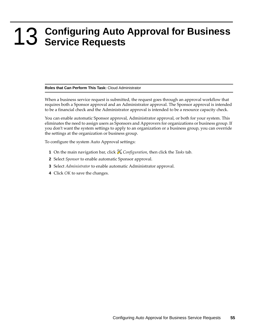# <span id="page-54-0"></span>13 <sup>13</sup>**Configuring Auto Approval for Business Service Requests**

#### **Roles that Can Perform This Task:** Cloud Administrator

When a business service request is submitted, the request goes through an approval workflow that requires both a Sponsor approval and an Administrator approval. The Sponsor approval is intended to be a financial check and the Administrator approval is intended to be a resource capacity check.

You can enable automatic Sponsor approval, Administrator approval, or both for your system. This eliminates the need to assign users as Sponsors and Approvers for organizations or business group. If you don't want the system settings to apply to an organization or a business group, you can override the settings at the organization or business group.

To configure the system Auto Approval settings:

- **1** On the main navigation bar, click *Configuration*, then click the *Tasks* tab.
- **2** Select *Sponsor* to enable automatic Sponsor approval.
- **3** Select *Administrator* to enable automatic Administrator approval.
- **4** Click *OK* to save the changes.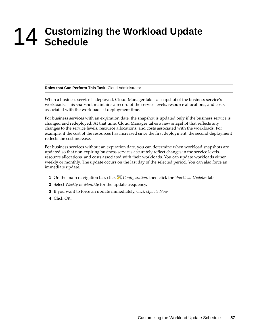# <span id="page-56-0"></span>14 <sup>14</sup>**Customizing the Workload Update Schedule**

#### **Roles that Can Perform This Task:** Cloud Administrator

When a business service is deployed, Cloud Manager takes a snapshot of the business service's workloads. This snapshot maintains a record of the service levels, resource allocations, and costs associated with the workloads at deployment time.

For business services with an expiration date, the snapshot is updated only if the business service is changed and redeployed. At that time, Cloud Manager takes a new snapshot that reflects any changes to the service levels, resource allocations, and costs associated with the workloads. For example, if the cost of the resources has increased since the first deployment, the second deployment reflects the cost increase.

For business services without an expiration date, you can determine when workload snapshots are updated so that non-expiring business services accurately reflect changes in the service levels, resource allocations, and costs associated with their workloads. You can update workloads either weekly or monthly. The update occurs on the last day of the selected period. You can also force an immediate update.

- **1** On the main navigation bar, click *Configuration*, then click the *Workload Updates* tab.
- **2** Select *Weekly* or *Monthly* for the update frequency.
- **3** If you want to force an update immediately, click *Update Now.*
- **4** Click *OK*.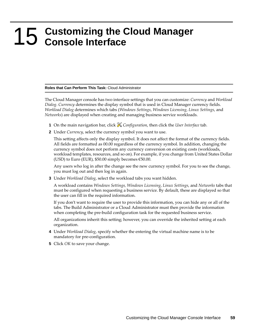# <span id="page-58-0"></span>15 <sup>15</sup>**Customizing the Cloud Manager Console Interface**

#### **Roles that Can Perform This Task:** Cloud Administrator

The Cloud Manager console has two interface settings that you can customize: *Currency* and *Workload Dialog*. *Currency* determines the display symbol that is used in Cloud Manager currency fields. *Workload Dialog* determines which tabs (*Windows Settings*, *Windows Licensing*, *Linux Settings*, and *Networks*) are displayed when creating and managing business service workloads.

- **1** On the main navigation bar, click *Configuration*, then click the *User Interface* tab.
- **2** Under *Currency*, select the currency symbol you want to use.

This setting affects only the display symbol. It does not affect the format of the currency fields. All fields are formatted as 00.00 regardless of the currency symbol. In addition, changing the currency symbol does not perform any currency conversion on existing costs (workloads, workload templates, resources, and so on). For example, if you change from United States Dollar (USD) to Euro (EUR),  $$50.00$  simply becomes  $$50.00$ .

Any users who log in after the change see the new currency symbol. For you to see the change, you must log out and then log in again.

**3** Under *Workload Dialog*, select the workload tabs you want hidden.

A workload contains *Windows Settings, Windows Licensing*, *Linux Settings*, and *Networks* tabs that must be configured when requesting a business service. By default, these are displayed so that the user can fill in the required information.

If you don't want to require the user to provide this information, you can hide any or all of the tabs. The Build Administrator or a Cloud Administrator must then provide the information when completing the pre-build configuration task for the requested business service.

All organizations inherit this setting; however, you can override the inherited setting at each organization.

- **4** Under *Workload Dialog*, specify whether the entering the virtual machine name is to be mandatory for pre-configuration.
- **5** Click *OK* to save your change.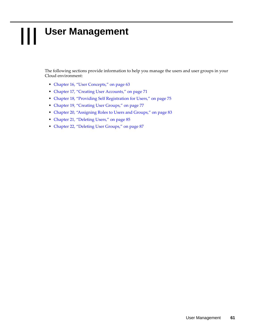# III **User Management**

<span id="page-60-0"></span>The following sections provide information to help you manage the users and user groups in your Cloud environment:

- [Chapter 16, "User Concepts," on page 63](#page-62-0)
- [Chapter 17, "Creating User Accounts," on page 71](#page-70-0)
- [Chapter 18, "Providing Self Registration for Users," on page 75](#page-74-0)
- [Chapter 19, "Creating User Groups," on page 77](#page-76-0)
- [Chapter 20, "Assigning Roles to Users and Groups," on page 83](#page-82-0)
- [Chapter 21, "Deleting Users," on page 85](#page-84-0)
- [Chapter 22, "Deleting User Groups," on page 87](#page-86-0)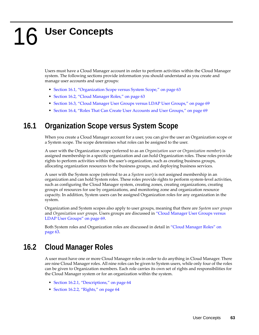# <span id="page-62-0"></span>16 <sup>16</sup>**User Concepts**

Users must have a Cloud Manager account in order to perform activities within the Cloud Manager system. The following sections provide information you should understand as you create and manage user accounts and user groups:

- [Section 16.1, "Organization Scope versus System Scope," on page 63](#page-62-2)
- [Section 16.2, "Cloud Manager Roles," on page 63](#page-62-1)
- [Section 16.3, "Cloud Manager User Groups versus LDAP User Groups," on page 69](#page-68-0)
- \* [Section 16.4, "Roles That Can Create User Accounts and User Groups," on page 69](#page-68-1)

## <span id="page-62-2"></span>**16.1 Organization Scope versus System Scope**

When you create a Cloud Manager account for a user, you can give the user an Organization scope or a System scope. The scope determines what roles can be assigned to the user.

A user with the Organization scope (referred to as an *Organization user* or *Organization member*) is assigned membership in a specific organization and can hold Organization roles. These roles provide rights to perform activities within the user's organization, such as creating business groups, allocating organization resources to the business groups, and deploying business services.

A user with the System scope (referred to as a *System user*) is not assigned membership in an organization and can hold System roles. These roles provide rights to perform system-level activities, such as configuring the Cloud Manager system, creating zones, creating organizations, creating groups of resources for use by organizations, and monitoring zone and organization resource capacity. In addition, System users can be assigned Organization roles for any organization in the system.

Organization and System scopes also apply to user groups, meaning that there are *System user groups* and *Organization user groups*. Users groups are discussed in ["Cloud Manager User Groups versus](#page-68-0)  [LDAP User Groups" on page 69.](#page-68-0)

Both System roles and Organization roles are discussed in detail in ["Cloud Manager Roles" on](#page-62-1)  [page 63.](#page-62-1)

## <span id="page-62-1"></span>**16.2 Cloud Manager Roles**

A user must have one or more Cloud Manager roles in order to do anything in Cloud Manager. There are nine Cloud Manager roles. All nine roles can be given to System users, while only four of the roles can be given to Organization members. Each role carries its own set of rights and responsibilities for the Cloud Manager system or for an organization within the system.

- [Section 16.2.1, "Descriptions," on page 64](#page-63-0)
- [Section 16.2.2, "Rights," on page 64](#page-63-1)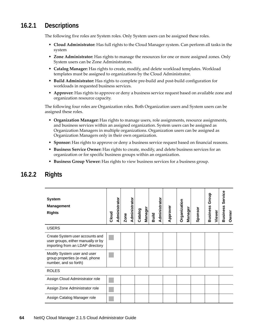#### <span id="page-63-0"></span>**16.2.1 Descriptions**

The following five roles are System roles. Only System users can be assigned these roles.

- **Cloud Administrator:** Has full rights to the Cloud Manager system. Can perform all tasks in the system
- **Zone Administrator:** Has rights to manage the resources for one or more assigned zones. Only System users can be Zone Administrators.
- **Catalog Manager:** Has rights to create, modify, and delete workload templates. Workload templates must be assigned to organizations by the Cloud Administrator.
- **Build Administrator:** Has rights to complete pre-build and post-build configuration for workloads in requested business services.
- **Approver:** Has rights to approve or deny a business service request based on available zone and organization resource capacity.

The following four roles are Organization roles. Both Organization users and System users can be assigned these roles.

- **Organization Manager:** Has rights to manage users, role assignments, resource assignments, and business services within an assigned organization. System users can be assigned as Organization Managers in multiple organizations. Organization users can be assigned as Organization Managers only in their own organization.
- **Sponsor:** Has rights to approve or deny a business service request based on financial reasons.
- **Business Service Owner:** Has rights to create, modify, and delete business services for an organization or for specific business groups within an organization.
- **Business Group Viewer:** Has rights to view business services for a business group.

| <b>System</b><br><b>Management</b><br><b>Rights</b>                                                       | Cloud | Administrator | Zone | Administrator | Catalog | Manager | Build | Administrator | Approver | Organization | <b>Manager</b> | Sponsor | Group<br><b>Business</b> | Viewer | Service<br><b>Business</b> | Owner |
|-----------------------------------------------------------------------------------------------------------|-------|---------------|------|---------------|---------|---------|-------|---------------|----------|--------------|----------------|---------|--------------------------|--------|----------------------------|-------|
| <b>USERS</b>                                                                                              |       |               |      |               |         |         |       |               |          |              |                |         |                          |        |                            |       |
| Create System user accounts and<br>user groups, either manually or by<br>importing from an LDAP directory |       |               |      |               |         |         |       |               |          |              |                |         |                          |        |                            |       |
| Modify System user and user<br>group properties (e-mail, phone<br>number, and so forth)                   |       |               |      |               |         |         |       |               |          |              |                |         |                          |        |                            |       |
| <b>ROLES</b>                                                                                              |       |               |      |               |         |         |       |               |          |              |                |         |                          |        |                            |       |
| Assign Cloud Administrator role                                                                           |       |               |      |               |         |         |       |               |          |              |                |         |                          |        |                            |       |
| Assign Zone Administrator role                                                                            |       |               |      |               |         |         |       |               |          |              |                |         |                          |        |                            |       |
| Assign Catalog Manager role                                                                               |       |               |      |               |         |         |       |               |          |              |                |         |                          |        |                            |       |

#### <span id="page-63-1"></span>**16.2.2 Rights**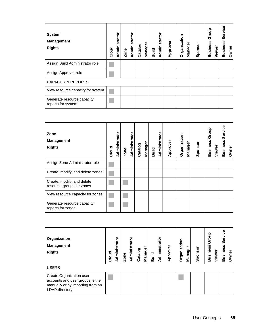| <b>System</b><br><b>Management</b><br><b>Rights</b> | Cloud | <u>Administrator</u> | Zone | <u>Administrator</u> | Catalog | Manager | Build | <b>Administrator</b> | Approver | Organization | <b>Manager</b> | Sponsor | Group<br><b>Business</b> | Viewer | Service<br><b>Business</b> | Owner |
|-----------------------------------------------------|-------|----------------------|------|----------------------|---------|---------|-------|----------------------|----------|--------------|----------------|---------|--------------------------|--------|----------------------------|-------|
| Assign Build Administrator role                     |       |                      |      |                      |         |         |       |                      |          |              |                |         |                          |        |                            |       |
| Assign Approver role                                |       |                      |      |                      |         |         |       |                      |          |              |                |         |                          |        |                            |       |
| <b>CAPACITY &amp; REPORTS</b>                       |       |                      |      |                      |         |         |       |                      |          |              |                |         |                          |        |                            |       |
| View resource capacity for system                   |       |                      |      |                      |         |         |       |                      |          |              |                |         |                          |        |                            |       |
| Generate resource capacity<br>reports for system    |       |                      |      |                      |         |         |       |                      |          |              |                |         |                          |        |                            |       |

| Zone<br><b>Management</b><br><b>Rights</b>              | Cloud | Administrator | Zone | <b>Administrator</b> | Catalog | Manager | Build | <b>Administrator</b> | Approver | Organization | Manager | Sponsor | Group<br><b>Business</b> | Viewer | Service<br>Business | Owner |
|---------------------------------------------------------|-------|---------------|------|----------------------|---------|---------|-------|----------------------|----------|--------------|---------|---------|--------------------------|--------|---------------------|-------|
| Assign Zone Administrator role                          |       |               |      |                      |         |         |       |                      |          |              |         |         |                          |        |                     |       |
| Create, modify, and delete zones                        |       |               |      |                      |         |         |       |                      |          |              |         |         |                          |        |                     |       |
| Create, modify, and delete<br>resource groups for zones |       |               |      |                      |         |         |       |                      |          |              |         |         |                          |        |                     |       |
| View resource capacity for zones                        |       |               |      |                      |         |         |       |                      |          |              |         |         |                          |        |                     |       |
| Generate resource capacity<br>reports for zones         |       |               |      |                      |         |         |       |                      |          |              |         |         |                          |        |                     |       |

| Organization<br><b>Management</b><br><b>Rights</b>                                                                        | Cloud | Administrator | Zone | Administrator | Catalog | <b>Manager</b> | Build | Administrator | Approver | Organization | Manager | Sponsor | roup<br>ō<br><b>Business</b> | Viewer | Service<br>Business | Owner |
|---------------------------------------------------------------------------------------------------------------------------|-------|---------------|------|---------------|---------|----------------|-------|---------------|----------|--------------|---------|---------|------------------------------|--------|---------------------|-------|
| <b>USERS</b>                                                                                                              |       |               |      |               |         |                |       |               |          |              |         |         |                              |        |                     |       |
| Create Organization user<br>accounts and user groups, either<br>manually or by importing from an<br><b>LDAP</b> directory |       |               |      |               |         |                |       |               |          |              |         |         |                              |        |                     |       |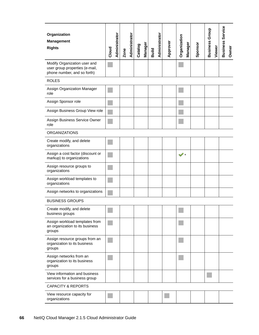| Organization<br><b>Management</b><br><b>Rights</b>                                            | Cloud | Administrator | Zone | Administrator | Catalog | Manager | Build | Administrator | Approver | Organization | Manager | Sponsor | <b>Business Group</b> | Viewer | <b>Business Service</b> | Owner |
|-----------------------------------------------------------------------------------------------|-------|---------------|------|---------------|---------|---------|-------|---------------|----------|--------------|---------|---------|-----------------------|--------|-------------------------|-------|
| Modify Organization user and<br>user group properties (e-mail,<br>phone number, and so forth) |       |               |      |               |         |         |       |               |          |              |         |         |                       |        |                         |       |
| <b>ROLES</b>                                                                                  |       |               |      |               |         |         |       |               |          |              |         |         |                       |        |                         |       |
| Assign Organization Manager<br>role                                                           |       |               |      |               |         |         |       |               |          |              |         |         |                       |        |                         |       |
| Assign Sponsor role                                                                           |       |               |      |               |         |         |       |               |          |              |         |         |                       |        |                         |       |
| Assign Business Group View role                                                               |       |               |      |               |         |         |       |               |          |              |         |         |                       |        |                         |       |
| Assign Business Service Owner<br>role                                                         |       |               |      |               |         |         |       |               |          |              |         |         |                       |        |                         |       |
| <b>ORGANIZATIONS</b>                                                                          |       |               |      |               |         |         |       |               |          |              |         |         |                       |        |                         |       |
| Create modify, and delete<br>organizations                                                    |       |               |      |               |         |         |       |               |          |              |         |         |                       |        |                         |       |
| Assign a cost factor (discount or<br>markup) to organizations                                 |       |               |      |               |         |         |       |               |          |              |         |         |                       |        |                         |       |
| Assign resource groups to<br>organizations                                                    |       |               |      |               |         |         |       |               |          |              |         |         |                       |        |                         |       |
| Assign workload templates to<br>organizations                                                 |       |               |      |               |         |         |       |               |          |              |         |         |                       |        |                         |       |
| Assign networks to organizations                                                              |       |               |      |               |         |         |       |               |          |              |         |         |                       |        |                         |       |
| <b>BUSINESS GROUPS</b>                                                                        |       |               |      |               |         |         |       |               |          |              |         |         |                       |        |                         |       |
| Create modify, and delete<br>business groups                                                  |       |               |      |               |         |         |       |               |          |              |         |         |                       |        |                         |       |
| Assign workload templates from<br>an organization to its business<br>groups                   |       |               |      |               |         |         |       |               |          |              |         |         |                       |        |                         |       |
| Assign resource groups from an<br>organization to its business<br>groups                      |       |               |      |               |         |         |       |               |          |              |         |         |                       |        |                         |       |
| Assign networks from an<br>organization to its business<br>groups                             |       |               |      |               |         |         |       |               |          |              |         |         |                       |        |                         |       |
| View information and business<br>services for a business group                                |       |               |      |               |         |         |       |               |          |              |         |         |                       |        |                         |       |
| <b>CAPACITY &amp; REPORTS</b>                                                                 |       |               |      |               |         |         |       |               |          |              |         |         |                       |        |                         |       |
| View resource capacity for<br>organizations                                                   |       |               |      |               |         |         |       |               |          |              |         |         |                       |        |                         |       |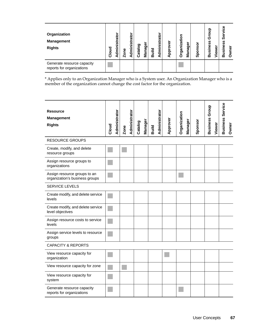| Organization<br><b>Management</b><br><b>Rights</b>      | Cloud | istrato<br>Ξ<br>Ē | Zone | Administrato | Catalog | <b>Manager</b> | <b>Build</b> | ato<br><u>isi</u><br>dmini<br>⋖ | Approver | <b>Organizatio</b> | Manager | Sponsor | Ω<br>_<br>შ<br>n<br><b>Busines</b> | Viewer | ω<br>ပ<br>ω<br>Ø<br>ഗ<br>Busines | wner<br>$\circ$ |
|---------------------------------------------------------|-------|-------------------|------|--------------|---------|----------------|--------------|---------------------------------|----------|--------------------|---------|---------|------------------------------------|--------|----------------------------------|-----------------|
| Generate resource capacity<br>reports for organizations |       |                   |      |              |         |                |              |                                 |          |                    |         |         |                                    |        |                                  |                 |

\* Applies only to an Organization Manager who is a System user. An Organization Manager who is a member of the organization cannot change the cost factor for the organization.

| <b>Resource</b><br><b>Management</b><br><b>Rights</b>          | Cloud | Administrator | Zone | Administrator | Catalog | <b>Manager</b> | <b>Build</b> | Administrator | Approver | Organization<br>Manager | Sponsor | Group<br><b>Business</b><br>Viewer | <b>Business Service</b><br>Owner |
|----------------------------------------------------------------|-------|---------------|------|---------------|---------|----------------|--------------|---------------|----------|-------------------------|---------|------------------------------------|----------------------------------|
| <b>RESOURCE GROUPS</b>                                         |       |               |      |               |         |                |              |               |          |                         |         |                                    |                                  |
| Create, modify, and delete<br>resource groups                  |       |               |      |               |         |                |              |               |          |                         |         |                                    |                                  |
| Assign resource groups to<br>organizations                     |       |               |      |               |         |                |              |               |          |                         |         |                                    |                                  |
| Assign resource groups to an<br>organization's business groups |       |               |      |               |         |                |              |               |          |                         |         |                                    |                                  |
| <b>SERVICE LEVELS</b>                                          |       |               |      |               |         |                |              |               |          |                         |         |                                    |                                  |
| Create modify, and delete service<br>levels                    |       |               |      |               |         |                |              |               |          |                         |         |                                    |                                  |
| Create modify, and delete service<br>level objectives          |       |               |      |               |         |                |              |               |          |                         |         |                                    |                                  |
| Assign resource costs to service<br>levels                     |       |               |      |               |         |                |              |               |          |                         |         |                                    |                                  |
| Assign service levels to resource<br>groups                    |       |               |      |               |         |                |              |               |          |                         |         |                                    |                                  |
| <b>CAPACITY &amp; REPORTS</b>                                  |       |               |      |               |         |                |              |               |          |                         |         |                                    |                                  |
| View resource capacity for<br>organization                     |       |               |      |               |         |                |              |               |          |                         |         |                                    |                                  |
| View resource capacity for zone                                |       |               |      |               |         |                |              |               |          |                         |         |                                    |                                  |
| View resource capacity for<br>system                           |       |               |      |               |         |                |              |               |          |                         |         |                                    |                                  |
| Generate resource capacity<br>reports for organizations        |       |               |      |               |         |                |              |               |          |                         |         |                                    |                                  |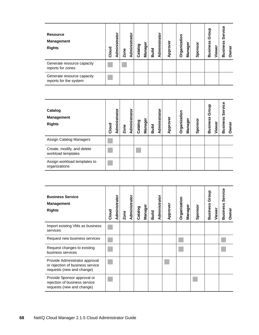| <b>Resource</b><br><b>Management</b><br><b>Rights</b> | Cloud | ato<br>Admin | Zone | <b>Administrator</b> | Catalog | <b>Manager</b> | Build | Administrato | pprover<br>⋖ | ō<br><b>Organizati</b> | Manage | Sponsor | Group<br><b>Business</b> | Viewer | ω<br><u>ه.</u><br>စ္တီ<br>ທ<br><b>Busines</b> | Owner |
|-------------------------------------------------------|-------|--------------|------|----------------------|---------|----------------|-------|--------------|--------------|------------------------|--------|---------|--------------------------|--------|-----------------------------------------------|-------|
| Generate resource capacity<br>reports for zones       |       |              |      |                      |         |                |       |              |              |                        |        |         |                          |        |                                               |       |
| Generate resource capacity<br>reports for the system  |       |              |      |                      |         |                |       |              |              |                        |        |         |                          |        |                                               |       |

| Catalog<br><b>Management</b><br><b>Rights</b>    | Cloud | Administrator | Zone | Administrator | Catalog | <b>Manager</b> | Build | Administrato | Approver | Organization | <b>Manager</b> | Sponsor | Group<br>Business | Viewer | Service<br>Business | Owner |
|--------------------------------------------------|-------|---------------|------|---------------|---------|----------------|-------|--------------|----------|--------------|----------------|---------|-------------------|--------|---------------------|-------|
| Assign Catalog Managers                          |       |               |      |               |         |                |       |              |          |              |                |         |                   |        |                     |       |
| Create, modify, and delete<br>workload templates |       |               |      |               |         |                |       |              |          |              |                |         |                   |        |                     |       |
| Assign workload templates to<br>organizations    |       |               |      |               |         |                |       |              |          |              |                |         |                   |        |                     |       |

| <b>Business Service</b><br><b>Management</b><br><b>Rights</b>                                   | Cloud | Administrator | Zone | Administrator | Catalog | Manager | <b>Build</b> | Administrator | Approver | Organization | Manager | Sponsor | Group<br><b>Business</b> | Viewer | Service<br><b>Business</b> | Owner |
|-------------------------------------------------------------------------------------------------|-------|---------------|------|---------------|---------|---------|--------------|---------------|----------|--------------|---------|---------|--------------------------|--------|----------------------------|-------|
| Import existing VMs as business<br>services                                                     |       |               |      |               |         |         |              |               |          |              |         |         |                          |        |                            |       |
| Request new business services                                                                   |       |               |      |               |         |         |              |               |          |              |         |         |                          |        |                            |       |
| Request changes to existing<br>business services                                                |       |               |      |               |         |         |              |               |          |              |         |         |                          |        |                            |       |
| Provide Administrator approval<br>or rejection of business service<br>requests (new and change) |       |               |      |               |         |         |              |               |          |              |         |         |                          |        |                            |       |
| Provide Sponsor approval or<br>rejection of business service<br>requests (new and change)       |       |               |      |               |         |         |              |               |          |              |         |         |                          |        |                            |       |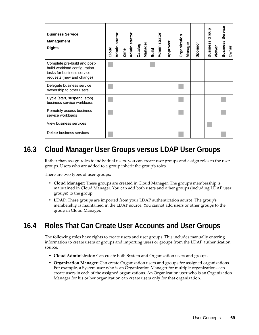| <b>Business Service</b><br><b>Management</b><br><b>Rights</b>                                                           | Cloud | Administrator | Zone | Administrator | Catalog | Manager | <b>Build</b> | Administrator | Approver | Organization | <b>Manager</b> | Sponsor | Group<br><b>Business</b> | Viewer | Service<br><b>Business</b> | Owner |
|-------------------------------------------------------------------------------------------------------------------------|-------|---------------|------|---------------|---------|---------|--------------|---------------|----------|--------------|----------------|---------|--------------------------|--------|----------------------------|-------|
| Complete pre-build and post-<br>build workload configuration<br>tasks for business service<br>requests (new and change) |       |               |      |               |         |         |              |               |          |              |                |         |                          |        |                            |       |
| Delegate business service<br>ownership to other users                                                                   |       |               |      |               |         |         |              |               |          |              |                |         |                          |        |                            |       |
| Cycle (start, suspend, stop)<br>business service workloads                                                              |       |               |      |               |         |         |              |               |          |              |                |         |                          |        |                            |       |
| Remotely access business<br>service workloads                                                                           |       |               |      |               |         |         |              |               |          |              |                |         |                          |        |                            |       |
| View business services                                                                                                  |       |               |      |               |         |         |              |               |          |              |                |         |                          |        |                            |       |
| Delete business services                                                                                                |       |               |      |               |         |         |              |               |          |              |                |         |                          |        |                            |       |

## <span id="page-68-0"></span>**16.3 Cloud Manager User Groups versus LDAP User Groups**

Rather than assign roles to individual users, you can create user groups and assign roles to the user groups. Users who are added to a group inherit the group's roles.

There are two types of user groups:

- **Cloud Manager:** These groups are created in Cloud Manager. The group's membership is maintained in Cloud Manager. You can add both users and other groups (including LDAP user groups) to the group.
- **LDAP:** These groups are imported from your LDAP authentication source. The group's membership is maintained in the LDAP source. You cannot add users or other groups to the group in Cloud Manager.

## <span id="page-68-1"></span>**16.4 Roles That Can Create User Accounts and User Groups**

The following roles have rights to create users and user groups. This includes manually entering information to create users or groups and importing users or groups from the LDAP authentication source.

- **Cloud Administrator:** Can create both System and Organization users and groups.
- **Organization Manager:** Can create Organization users and groups for assigned organizations. For example, a System user who is an Organization Manager for multiple organizations can create users in each of the assigned organizations. An Organization user who is an Organization Manager for his or her organization can create users only for that organization.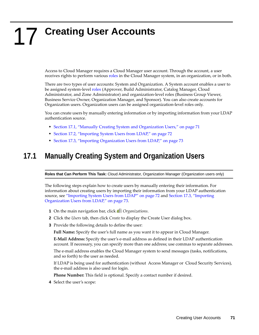# <span id="page-70-0"></span>17 <sup>17</sup>**Creating User Accounts**

Access to Cloud Manager requires a Cloud Manager user account. Through the account, a user receives rights to perform various [roles](#page-62-1) in the Cloud Manager system, in an organization, or in both.

There are two types of user accounts: System and Organization. A System account enables a user to be assigned system-level [roles](#page-62-1) (Approver, Build Administrator, Catalog Manager, Cloud Administrator, and Zone Administrator) and organization-level roles (Business Group Viewer, Business Service Owner, Organization Manager, and Sponsor). You can also create accounts for Organization users. Organization users can be assigned organization-level roles only.

You can create users by manually entering information or by importing information from your LDAP authentication source.

- [Section 17.1, "Manually Creating System and Organization Users," on page 71](#page-70-1)
- [Section 17.2, "Importing System Users from LDAP," on page 72](#page-71-0)
- [Section 17.3, "Importing Organization Users from LDAP," on page 73](#page-72-0)

#### <span id="page-70-1"></span>**17.1 Manually Creating System and Organization Users**

**Roles that Can Perform This Task:** Cloud Administrator, Organization Manager (Organization users only)

The following steps explain how to create users by manually entering their information. For information about creating users by importing their information from your LDAP authentication source, see ["Importing System Users from LDAP" on page 72](#page-71-0) and [Section 17.3, "Importing](#page-72-0)  [Organization Users from LDAP," on page 73.](#page-72-0)

- **1** On the main navigation bar, click *Organizations*.
- **2** Click the *Users* tab, then click *Create* to display the Create User dialog box.
- **3** Provide the following details to define the user:

**Full Name:** Specify the user's full name as you want it to appear in Cloud Manager.

**E-Mail Address:** Specify the user's e-mail address as defined in their LDAP authentication account. If necessary, you can specify more than one address; use commas to separate addresses.

The e-mail address enables the Cloud Manager system to send messages (tasks, notifications, and so forth) to the user as needed.

If LDAP is being used for authentication (without Access Manager or Cloud Security Services), the e-mail address is also used for login.

**Phone Number:** This field is optional. Specify a contact number if desired.

**4** Select the user's scope: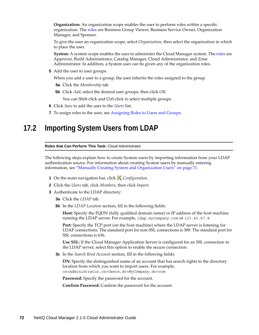**Organization:** An organization scope enables the user to perform roles within a specific organization. The [roles](#page-62-1) are Business Group Viewer, Business Service Owner, Organization Manager, and Sponsor.

To give the user an organization scope, select *Organization*, then select the organization in which to place the user.

**System:** A system scope enables the user to administer the Cloud Manager system. The [roles](#page-62-1) are Approver, Build Administrator, Catalog Manager, Cloud Administrator, and Zone Administrator. In addition, a System user can be given any of the organization roles.

**5** Add the user to user groups.

When you add a user to a group, the user inherits the roles assigned to the group.

- **5a** Click the *Membership* tab.
- **5b** Click *Add*, select the desired user groups, then click *OK*.

You can Shift-click and Ctrl-click to select multiple groups.

- **6** Click *Save* to add the user to the *Users* list.
- **7** To assign roles to the user, see [Assigning Roles to Users and Groups](#page-82-0).

#### <span id="page-71-0"></span>**17.2 Importing System Users from LDAP**

**Roles that Can Perform This Task:** Cloud Administrator

The following steps explain how to create System users by importing information from your LDAP authentication source. For information about creating System users by manually entering information, see ["Manually Creating System and Organization Users" on page 71](#page-70-1).

- **1** On the main navigation bar, click *Configuration*.
- **2** Click the *Users* tab, click *Members*, then click *Import*.
- **3** Authenticate to the LDAP directory:
	- **3a** Click the *LDAP* tab.
	- **3b** In the *LDAP Location* section, fill in the following fields:

**Host:** Specify the FQDN (fully qualified domain name) or IP address of the host machine running the LDAP server. For example, ldap.mycompany.com or 123.45.67.8.

**Port:** Specify the TCP port (on the host machine) where the LDAP server is listening for LDAP connections. The standard port for non-SSL connections is 389. The standard port for SSL connections is 636.

**Use SSL:** If the Cloud Manager Application Server is configured for an SSL connection to the LDAP server, select this option to enable the secure connection.

**3c** In the *Search Bind Account* section, fill in the following fields:

**DN:** Specify the distinguished name of an account that has search rights to the directory location from which you want to import users. For example, cn=Administrator,cn=Users,dc=MyCompany,dc=com

**Password:** Specify the password for the account.

**Confirm Password:** Confirm the password for the account.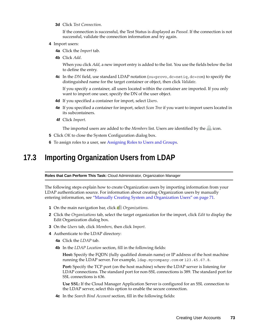**3d** Click *Test Connection*.

If the connection is successful, the Test Status is displayed as *Passed*. If the connection is not successful, validate the connection information and try again.

- **4** Import users:
	- **4a** Click the *Import* tab.
	- **4b** Click *Add*.

When you click *Add*, a new import entry is added to the list. You use the fields below the list to define the entry.

**4c** In the *DN* field, use standard LDAP notation (ou=provo, dc=netiq, dc=com) to specify the distinguished name for the target container or object, then click *Validate*.

If you specify a container, all users located within the container are imported. If you only want to import one user, specify the DN of the user object.

- **4d** If you specified a container for import, select *Users*.
- **4e** If you specified a container for import, select *Scan Tree* if you want to import users located in its subcontainers.
- **4f** Click *Import*.

The imported users are added to the *Members* list. Users are identified by the  $\triangle$  icon.

- **5** Click *OK* to close the System Configuration dialog box.
- **6** To assign roles to a user, see [Assigning Roles to Users and Groups](#page-82-0).

#### <span id="page-72-0"></span>**17.3 Importing Organization Users from LDAP**

#### **Roles that Can Perform This Task:** Cloud Administrator, Organization Manager

The following steps explain how to create Organization users by importing information from your LDAP authentication source. For information about creating Organization users by manually entering information, see ["Manually Creating System and Organization Users" on page 71](#page-70-0).

- **1** On the main navigation bar, click *Organizations*.
- **2** Click the *Organizations* tab, select the target organization for the import, click *Edit* to display the Edit Organization dialog box.
- **3** On the *Users* tab, click *Members*, then click *Import*.
- **4** Authenticate to the LDAP directory:
	- **4a** Click the *LDAP* tab.
	- **4b** In the *LDAP Location* section, fill in the following fields:

**Host:** Specify the FQDN (fully qualified domain name) or IP address of the host machine running the LDAP server. For example, ldap.mycompany.com or 123.45.67.8.

**Port:** Specify the TCP port (on the host machine) where the LDAP server is listening for LDAP connections. The standard port for non-SSL connections is 389. The standard port for SSL connections is 636.

**Use SSL:** If the Cloud Manager Application Server is configured for an SSL connection to the LDAP server, select this option to enable the secure connection.

**4c** In the *Search Bind Account* section, fill in the following fields: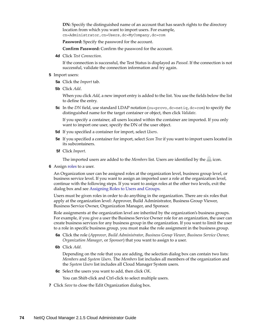**DN:** Specify the distinguished name of an account that has search rights to the directory location from which you want to import users. For example, cn=Administrator,cn=Users,dc=MyCompany,dc=com

Password: Specify the password for the account.

**Confirm Password:** Confirm the password for the account.

**4d** Click *Test Connection*.

If the connection is successful, the Test Status is displayed as *Passed*. If the connection is not successful, validate the connection information and try again.

- **5** Import users:
	- **5a** Click the *Import* tab.
	- **5b** Click *Add*.

When you click *Add*, a new import entry is added to the list. You use the fields below the list to define the entry.

**5c** In the *DN* field, use standard LDAP notation (ou=provo, dc=netiq, dc=com) to specify the distinguished name for the target container or object, then click *Validate*.

If you specify a container, all users located within the container are imported. If you only want to import one user, specify the DN of the user object.

- **5d** If you specified a container for import, select *Users*.
- **5e** If you specified a container for import, select *Scan Tree* if you want to import users located in its subcontainers.
- **5f** Click *Import*.

The imported users are added to the *Members* list. Users are identified by the  $\triangle$  icon.

**6** Assign roles to a user.

An Organization user can be assigned roles at the organization level, business group level, or business service level. If you want to assign an imported user a role at the organization level, continue with the following steps. If you want to assign roles at the other two levels, exit the dialog box and see [Assigning Roles to Users and Groups](#page-82-0).

Users must be given roles in order to do anything in the organization. There are six roles that apply at the organization level: Approver, Build Administrator, Business Group Viewer, Business Service Owner, Organization Manager, and Sponsor.

Role assignments at the organization level are inherited by the organization's business groups. For example, if you give a user the Business Service Owner role for an organization, the user can create business services for any business group in the organization. If you want to limit the user to a role in specific business group, you must make the role assignment in the business group.

- **6a** Click the role (*Approver*, *Build Administrator*, *Business Group Viewer*, *Business Service Owner, Organization Manager*, or *Sponsor*) that you want to assign to a user.
- **6b** Click *Add*.

Depending on the role that you are adding, the selection dialog box can contain two lists: *Members* and *System Users*. The *Members* list includes all members of the organization and the *System Users* list includes all Cloud Manager System users.

**6c** Select the users you want to add, then click *OK*.

You can Shift-click and Ctrl-click to select multiple users.

**7** Click *Save* to close the Edit Organization dialog box.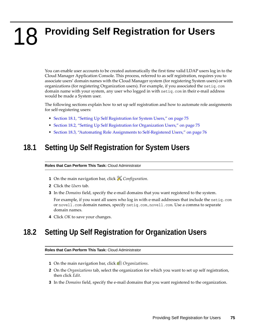18 **Providing Self Registration for Users** 

> You can enable user accounts to be created automatically the first time valid LDAP users log in to the Cloud Manager Application Console. This process, referred to as self registration, requires you to associate users' domain names with the Cloud Manager system (for registering System users) or with organizations (for registering Organization users). For example, if you associated the netiq.com domain name with your system, any user who logged in with netiq.com in their e-mail address would be made a System user.

> The following sections explain how to set up self registration and how to automate role assignments for self-registering users:

- [Section 18.1, "Setting Up Self Registration for System Users," on page 75](#page-74-0)
- [Section 18.2, "Setting Up Self Registration for Organization Users," on page 75](#page-74-1)
- [Section 18.3, "Automating Role Assignments to Self-Registered Users," on page 76](#page-75-0)

#### <span id="page-74-0"></span>**18.1 Setting Up Self Registration for System Users**

#### **Roles that Can Perform This Task:** Cloud Administrator

- **1** On the main navigation bar, click *Configuration*.
- **2** Click the *Users* tab.
- **3** In the *Domains* field, specify the e-mail domains that you want registered to the system.

For example, if you want all users who log in with e-mail addresses that include the netiq.com or novell.com domain names, specify netiq.com,novell.com. Use a comma to separate domain names.

**4** Click *OK* to save your changes.

#### <span id="page-74-1"></span>**18.2 Setting Up Self Registration for Organization Users**

#### **Roles that Can Perform This Task:** Cloud Administrator

- **1** On the main navigation bar, click *Organizations*.
- **2** On the *Organizations* tab, select the organization for which you want to set up self registration, then click *Edit*.
- **3** In the *Domains* field, specify the e-mail domains that you want registered to the organization.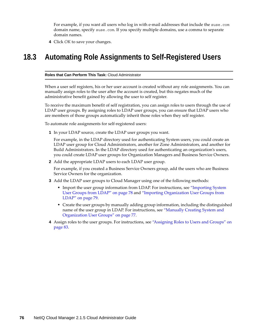For example, if you want all users who log in with e-mail addresses that include the suse.com domain name, specify suse.com. If you specify multiple domains, use a comma to separate domain names.

**4** Click *OK* to save your changes.

## <span id="page-75-0"></span>**18.3 Automating Role Assignments to Self-Registered Users**

**Roles that Can Perform This Task:** Cloud Administrator

When a user self registers, his or her user account is created without any role assignments. You can manually assign roles to the user after the account is created, but this negates much of the administrative benefit gained by allowing the user to self register.

To receive the maximum benefit of self registration, you can assign roles to users through the use of LDAP user groups. By assigning roles to LDAP user groups, you can ensure that LDAP users who are members of those groups automatically inherit those roles when they self register.

To automate role assignments for self-registered users:

**1** In your LDAP source, create the LDAP user groups you want.

For example, in the LDAP directory used for authenticating System users, you could create an LDAP user group for Cloud Administrators, another for Zone Administrators, and another for Build Administrators. In the LDAP directory used for authenticating an organization's users, you could create LDAP user groups for Organization Managers and Business Service Owners.

**2** Add the appropriate LDAP users to each LDAP user group.

For example, if you created a Business Service Owners group, add the users who are Business Service Owners for the organization.

- **3** Add the LDAP user groups to Cloud Manager using one of the following methods:
	- Import the user group information from LDAP. For instructions, see ["Importing System](#page-77-0)  [User Groups from LDAP" on page 78](#page-77-0) and ["Importing Organization User Groups from](#page-78-0)  [LDAP" on page 79.](#page-78-0)
	- Create the user groups by manually adding group information, including the distinguished name of the user group in LDAP. For instructions, see ["Manually Creating System and](#page-76-0)  [Organization User Groups" on page 77.](#page-76-0)
- **4** Assign roles to the user groups. For instructions, see ["Assigning Roles to Users and Groups" on](#page-82-0)  [page 83.](#page-82-0)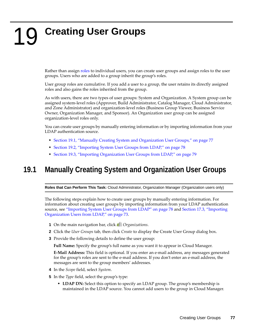# 19 <sup>19</sup>**Creating User Groups**

Rather than assign [roles](#page-62-0) to individual users, you can create user groups and assign roles to the user groups. Users who are added to a group inherit the group's roles.

User group roles are cumulative. If you add a user to a group, the user retains its directly assigned roles and also gains the roles inherited from the group.

As with users, there are two types of user groups: System and Organization. A System group can be assigned system-level roles (Approver, Build Administrator, Catalog Manager, Cloud Administrator, and Zone Administrator) and organization-level roles (Business Group Viewer, Business Service Owner, Organization Manager, and Sponsor). An Organization user group can be assigned organization-level roles only.

You can create user groups by manually entering information or by importing information from your LDAP authentication source.

- [Section 19.1, "Manually Creating System and Organization User Groups," on page 77](#page-76-0)
- [Section 19.2, "Importing System User Groups from LDAP," on page 78](#page-77-0)
- \* [Section 19.3, "Importing Organization User Groups from LDAP," on page 79](#page-78-0)

### <span id="page-76-0"></span>**19.1 Manually Creating System and Organization User Groups**

**Roles that Can Perform This Task:** Cloud Administrator, Organization Manager (Organization users only)

The following steps explain how to create user groups by manually entering information. For information about creating user groups by importing information from your LDAP authentication source, see ["Importing System User Groups from LDAP" on page 78](#page-77-0) and [Section 17.3, "Importing](#page-72-0)  [Organization Users from LDAP," on page 73.](#page-72-0)

- **1** On the main navigation bar, click *Organizations*.
- **2** Click the *User Groups* tab, then click *Create* to display the Create User Group dialog box.
- **3** Provide the following details to define the user group:

**Full Name:** Specify the group's full name as you want it to appear in Cloud Manager.

**E-Mail Address:** This field is optional. If you enter an e-mail address, any messages generated for the group's roles are sent to the e-mail address. If you don't enter an e-mail address, the messages are sent to the group members' addresses.

- **4** In the *Scope* field, select *System*.
- **5** In the *Type* field, select the group's type:
	- **LDAP DN:** Select this option to specify an LDAP group. The group's membership is maintained in the LDAP source. You cannot add users to the group in Cloud Manager.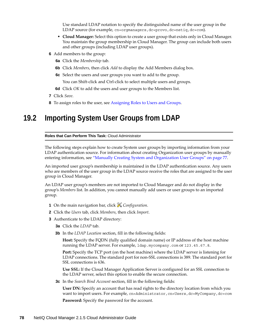Use standard LDAP notation to specify the distinguished name of the user group in the LDAP source (for example, cn=orgmanagers, dc=provo, dc=netiq, dc=com).

- **Cloud Manager:** Select this option to create a user group that exists only in Cloud Manager. You maintain the group membership in Cloud Manager. The group can include both users and other groups (including LDAP user groups).
- **6** Add members to the group:
	- **6a** Click the *Membership* tab.
	- **6b** Click *Members*, then click *Add* to display the Add Members dialog box.
	- **6c** Select the users and user groups you want to add to the group.

You can Shift-click and Ctrl-click to select multiple users and groups.

- **6d** Click *OK* to add the users and user groups to the Members list.
- **7** Click *Save*.
- **8** To assign roles to the user, see [Assigning Roles to Users and Groups](#page-82-0).

## <span id="page-77-0"></span>**19.2 Importing System User Groups from LDAP**

#### **Roles that Can Perform This Task:** Cloud Administrator

The following steps explain how to create System user groups by importing information from your LDAP authentication source. For information about creating Organization user groups by manually entering information, see ["Manually Creating System and Organization User Groups" on page 77.](#page-76-0)

An imported user group's membership is maintained in the LDAP authentication source. Any users who are members of the user group in the LDAP source receive the roles that are assigned to the user group in Cloud Manager.

An LDAP user group's members are not imported to Cloud Manager and do not display in the group's *Members* list. In addition, you cannot manually add users or user groups to an imported group.

- **1** On the main navigation bar, click *Configuration*.
- **2** Click the *Users* tab, click *Members*, then click *Import*.
- **3** Authenticate to the LDAP directory:
	- **3a** Click the *LDAP* tab.
	- **3b** In the *LDAP Location* section, fill in the following fields:

**Host:** Specify the FQDN (fully qualified domain name) or IP address of the host machine running the LDAP server. For example, ldap.mycompany.com or 123.45.67.8.

**Port:** Specify the TCP port (on the host machine) where the LDAP server is listening for LDAP connections. The standard port for non-SSL connections is 389. The standard port for SSL connections is 636.

**Use SSL:** If the Cloud Manager Application Server is configured for an SSL connection to the LDAP server, select this option to enable the secure connection.

**3c** In the *Search Bind Account* section, fill in the following fields:

**User DN:** Specify an account that has read rights to the directory location from which you want to import users. For example, cn=Administrator, cn=Users, dc=MyCompany, dc=com

Password: Specify the password for the account.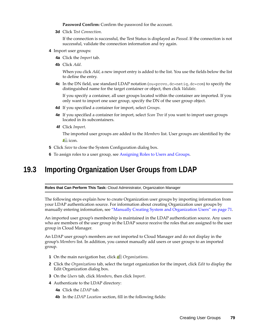**Password Confirm:** Confirm the password for the account.

**3d** Click *Test Connection*.

If the connection is successful, the Test Status is displayed as *Passed*. If the connection is not successful, validate the connection information and try again.

- **4** Import user groups:
	- **4a** Click the *Import* tab.
	- **4b** Click *Add*.

When you click *Add*, a new import entry is added to the list. You use the fields below the list to define the entry.

**4c** In the DN field, use standard LDAP notation (ou=provo, dc=netiq, dc=com) to specify the distinguished name for the target container or object, then click *Validate*.

If you specify a container, all user groups located within the container are imported. If you only want to import one user group, specify the DN of the user group object.

- **4d** If you specified a container for import, select *Groups*.
- **4e** If you specified a container for import, select *Scan Tree* if you want to import user groups located in its subcontainers.
- **4f** Click *Import*.

The imported user groups are added to the *Members* list. User groups are identified by the  $\mathbb{P}^{\Omega}$  icon.

- **5** Click *Save* to close the System Configuration dialog box.
- **6** To assign roles to a user group, see [Assigning Roles to Users and Groups](#page-82-0).

#### <span id="page-78-0"></span>**19.3 Importing Organization User Groups from LDAP**

**Roles that Can Perform This Task:** Cloud Administrator, Organization Manager

The following steps explain how to create Organization user groups by importing information from your LDAP authentication source. For information about creating Organization user groups by manually entering information, see ["Manually Creating System and Organization Users" on page 71.](#page-70-0)

An imported user group's membership is maintained in the LDAP authentication source. Any users who are members of the user group in the LDAP source receive the roles that are assigned to the user group in Cloud Manager.

An LDAP user group's members are not imported to Cloud Manager and do not display in the group's *Members* list. In addition, you cannot manually add users or user groups to an imported group.

- **1** On the main navigation bar, click *Organizations*.
- **2** Click the *Organizations* tab, select the target organization for the import, click *Edit* to display the Edit Organization dialog box.
- **3** On the *Users* tab, click *Members*, then click *Import*.
- **4** Authenticate to the LDAP directory:
	- **4a** Click the *LDAP* tab.
	- **4b** In the *LDAP Location* section, fill in the following fields: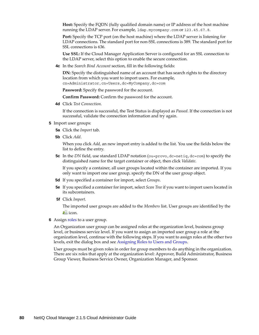**Host:** Specify the FQDN (fully qualified domain name) or IP address of the host machine running the LDAP server. For example, ldap.mycompany.com or 123.45.67.8.

**Port:** Specify the TCP port (on the host machine) where the LDAP server is listening for LDAP connections. The standard port for non-SSL connections is 389. The standard port for SSL connections is 636.

**Use SSL:** If the Cloud Manager Application Server is configured for an SSL connection to the LDAP server, select this option to enable the secure connection.

**4c** In the *Search Bind Account* section, fill in the following fields:

**DN:** Specify the distinguished name of an account that has search rights to the directory location from which you want to import users. For example, cn=Administrator,cn=Users,dc=MyCompany,dc=com

Password: Specify the password for the account.

**Confirm Password:** Confirm the password for the account.

**4d** Click *Test Connection*.

If the connection is successful, the Test Status is displayed as *Passed*. If the connection is not successful, validate the connection information and try again.

- **5** Import user groups:
	- **5a** Click the *Import* tab.
	- **5b** Click *Add*.

When you click *Add*, an new import entry is added to the list. You use the fields below the list to define the entry.

**5c** In the *DN* field, use standard LDAP notation (ou=provo, dc=netiq, dc=com) to specify the distinguished name for the target container or object, then click *Validate*.

If you specify a container, all user groups located within the container are imported. If you only want to import one user group, specify the DN of the user group object.

- **5d** If you specified a container for import, select *Groups*.
- **5e** If you specified a container for import, select *Scan Tree* if you want to import users located in its subcontainers.
- **5f** Click *Import*.

The imported user groups are added to the *Members* list. User groups are identified by the  $\mathbb{P}^{\mathbb{Q}}$  icon.

**6** Assign roles to a user group.

An Organization user group can be assigned roles at the organization level, business group level, or business service level. If you want to assign an imported user group a role at the organization level, continue with the following steps. If you want to assign roles at the other two levels, exit the dialog box and see [Assigning Roles to Users and Groups](#page-82-0).

User groups must be given roles in order for group members to do anything in the organization. There are six roles that apply at the organization level: Approver, Build Administrator, Business Group Viewer, Business Service Owner, Organization Manager, and Sponsor.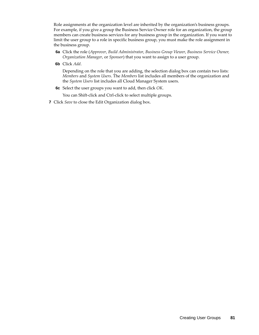Role assignments at the organization level are inherited by the organization's business groups. For example, if you give a group the Business Service Owner role for an organization, the group members can create business services for any business group in the organization. If you want to limit the user group to a role in specific business group, you must make the role assignment in the business group.

- **6a** Click the role (*Approver*, *Build Administrator*, *Business Group Viewer*, *Business Service Owner, Organization Manager*, or *Sponsor*) that you want to assign to a user group.
- **6b** Click *Add*.

Depending on the role that you are adding, the selection dialog box can contain two lists: *Members* and *System Users*. The *Members* list includes all members of the organization and the *System Users* list includes all Cloud Manager System users.

**6c** Select the user groups you want to add, then click *OK*.

You can Shift-click and Ctrl-click to select multiple groups.

**7** Click *Save* to close the Edit Organization dialog box.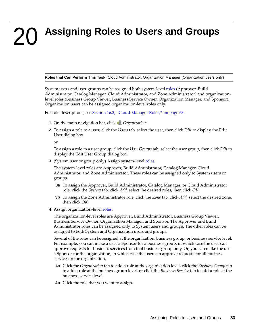## <span id="page-82-0"></span>20 **Assigning Roles to Users and Groups**

**Roles that Can Perform This Task:** Cloud Administrator, Organization Manager (Organization users only)

System users and user groups can be assigned both system-level [roles](#page-62-0) (Approver, Build Administrator, Catalog Manager, Cloud Administrator, and Zone Administrator) and organizationlevel roles (Business Group Viewer, Business Service Owner, Organization Manager, and Sponsor). Organization users can be assigned organization-level roles only.

For role descriptions, see [Section 16.2, "Cloud Manager Roles," on page 63](#page-62-0).

- **1** On the main navigation bar, click *Organizations*.
- **2** To assign a role to a user, click the *Users* tab, select the user, then click *Edit* to display the Edit User dialog box.

or

To assign a role to a user group, click the *User Groups* tab, select the user group, then click *Edit* to display the Edit User Group dialog box.

**3** (System user or group only) Assign system-level roles.

The system-level roles are Approver, Build Administrator, Catalog Manager, Cloud Administrator, and Zone Administrator. These roles can be assigned only to System users or groups.

- **3a** To assign the Approver, Build Administrator, Catalog Manager, or Cloud Administrator role, click the *System* tab, click *Add*, select the desired roles, then click *OK*.
- **3b** To assign the Zone Administrator role, click the *Zone* tab, click *Add*, select the desired zone, then click *OK*.
- **4** Assign organization-level roles.

The organization-level roles are Approver, Build Administrator, Business Group Viewer, Business Service Owner, Organization Manager, and Sponsor. The Approver and Build Administrator roles can be assigned only to System users and groups. The other roles can be assigned to both System and Organization users and groups.

Several of the roles can be assigned at the organization, business group, or business service level. For example, you can make a user a Sponsor for a business group, in which case the user can approve requests for business services from that business group only. Or, you can make the user a Sponsor for the organization, in which case the user can approve requests for all business services in the organization.

- **4a** Click the *Organization* tab to add a role at the organization level, click the *Business Group* tab to add a role at the business group level, or click the *Business Service* tab to add a role at the business service level.
- **4b** Click the role that you want to assign.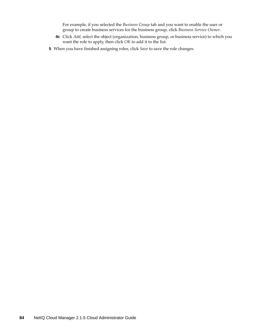For example, if you selected the *Business Group* tab and you want to enable the user or group to create business services for the business group, click *Business Service Owner*.

- **4c** Click *Add*, select the object (organization, business group, or business service) to which you want the role to apply, then click *OK* to add it to the list.
- **5** When you have finished assigning roles, click *Save* to save the role changes.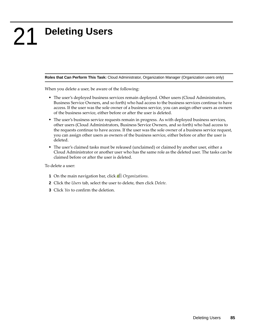# 21 <sup>21</sup>**Deleting Users**

**Roles that Can Perform This Task:** Cloud Administrator, Organization Manager (Organization users only)

When you delete a user, be aware of the following:

- The user's deployed business services remain deployed. Other users (Cloud Administrators, Business Service Owners, and so forth) who had access to the business services continue to have access. If the user was the sole owner of a business service, you can assign other users as owners of the business service, either before or after the user is deleted.
- The user's business service requests remain in progress. As with deployed business services, other users (Cloud Administrators, Business Service Owners, and so forth) who had access to the requests continue to have access. If the user was the sole owner of a business service request, you can assign other users as owners of the business service, either before or after the user is deleted.
- The user's claimed tasks must be released (unclaimed) or claimed by another user, either a Cloud Administrator or another user who has the same role as the deleted user. The tasks can be claimed before or after the user is deleted.

To delete a user:

- **1** On the main navigation bar, click *Organizations*.
- **2** Click the *Users* tab, select the user to delete, then click *Delete*.
- **3** Click *Yes* to confirm the deletion.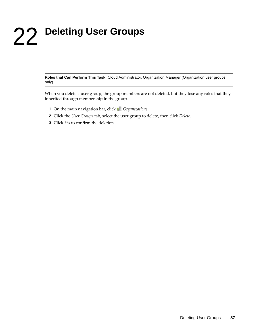# 22 <sup>22</sup>**Deleting User Groups**

**Roles that Can Perform This Task:** Cloud Administrator, Organization Manager (Organization user groups only)

When you delete a user group, the group members are not deleted, but they lose any roles that they inherited through membership in the group.

- **1** On the main navigation bar, click *Organizations*.
- **2** Click the *User Groups* tab, select the user group to delete, then click *Delete*.
- **3** Click *Yes* to confirm the deletion.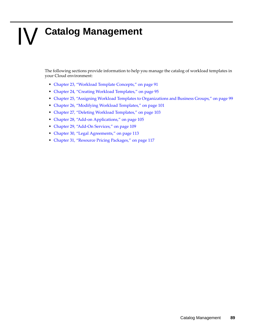# IV **Catalog Management**

The following sections provide information to help you manage the catalog of workload templates in your Cloud environment:

- [Chapter 23, "Workload Template Concepts," on page 91](#page-90-0)
- [Chapter 24, "Creating Workload Templates," on page 95](#page-94-0)
- [Chapter 25, "Assigning Workload Templates to Organizations and Business Groups," on page 99](#page-98-0)
- [Chapter 26, "Modifying Workload Templates," on page 101](#page-100-0)
- [Chapter 27, "Deleting Workload Templates," on page 103](#page-102-0)
- [Chapter 28, "Add-on Applications," on page 105](#page-104-0)
- [Chapter 29, "Add-On Services," on page 109](#page-108-0)
- [Chapter 30, "Legal Agreements," on page 113](#page-112-0)
- [Chapter 31, "Resource Pricing Packages," on page 117](#page-116-0)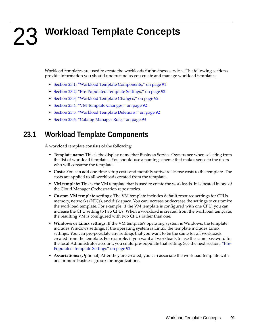# <span id="page-90-0"></span>23 <sup>23</sup>**Workload Template Concepts**

Workload templates are used to create the workloads for business services. The following sections provide information you should understand as you create and manage workload templates:

- [Section 23.1, "Workload Template Components," on page 91](#page-90-1)
- [Section 23.2, "Pre-Populated Template Settings," on page 92](#page-91-0)
- [Section 23.3, "Workload Template Changes," on page 92](#page-91-1)
- [Section 23.4, "VM Template Changes," on page 92](#page-91-2)
- [Section 23.5, "Workload Template Deletions," on page 92](#page-91-3)
- [Section 23.6, "Catalog Manager Role," on page 93](#page-92-0)

## <span id="page-90-1"></span>**23.1 Workload Template Components**

A workload template consists of the following:

- **Template name:** This is the display name that Business Service Owners see when selecting from the list of workload templates. You should use a naming scheme that makes sense to the users who will consume the template.
- **Costs:** You can add one-time setup costs and monthly software license costs to the template. The costs are applied to all workloads created from the template.
- **VM template:** This is the VM template that is used to create the workloads. It is located in one of the Cloud Manager Orchestration repositories.
- **Custom VM template settings:** The VM template includes default resource settings for CPUs, memory, networks (NICs), and disk space. You can increase or decrease the settings to customize the workload template. For example, if the VM template is configured with one CPU, you can increase the CPU setting to two CPUs. When a workload is created from the workload template, the resulting VM is configured with two CPUs rather than one.
- **Windows or Linux settings:** If the VM template's operating system is Windows, the template includes Windows settings. If the operating system is Linux, the template includes Linux settings. You can pre-populate any settings that you want to be the same for all workloads created from the template. For example, if you want all workloads to use the same password for the local Administrator account, you could pre-populate that setting. See the next section, ["Pre-](#page-91-0)[Populated Template Settings" on page 92](#page-91-0).
- **Associations:** (Optional) After they are created, you can associate the workload template with one or more business groups or organizations.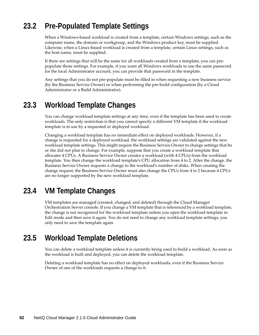## <span id="page-91-0"></span>**23.2 Pre-Populated Template Settings**

When a Windows-based workload is created from a template, certain Windows settings, such as the computer name, the domain or workgroup, and the Windows product key, must be supplied. Likewise, when a Linux-based workload is created from a template, certain Linux settings, such as the host name, must be supplied.

If there are settings that will be the same for all workloads created from a template, you can prepopulate those settings. For example, if you want all Windows workloads to use the same password for the local Administrator account, you can provide that password in the template.

Any settings that you do not pre-populate must be filled in when requesting a new business service (by the Business Service Owner) or when performing the pre-build configuration (by a Cloud Administrator or a Build Administrator).

#### <span id="page-91-1"></span>**23.3 Workload Template Changes**

You can change workload template settings at any time, even if the template has been used to create workloads. The only restriction is that you cannot specify a different VM template if the workload template is in use by a requested or deployed workload.

Changing a workload template has no immediate effect on deployed workloads. However, if a change is requested for a deployed workload, the workload settings are validated against the new workload template settings. This might require the Business Service Owner to change settings that he or she did not plan to change. For example, suppose that you create a workload template that allocates 4 CPUs. A Business Service Owner creates a workload (with 4 CPUs) from the workload template. You then change the workload template's CPU allocation from 4 to 2. After the change, the Business Service Owner requests a change to the workload's number of disks. When creating the change request, the Business Service Owner must also change the CPUs from 4 to 2 because 4 CPUs are no longer supported by the new workload template.

## <span id="page-91-2"></span>**23.4 VM Template Changes**

VM templates are managed (created, changed, and deleted) through the Cloud Manager Orchestration Server console. If you change a VM template that is referenced by a workload template, the change is not recognized for the workload template unless you open the workload template in Edit mode and then save it again. You do not need to change any workload template settings, you only need to save the template again.

## <span id="page-91-3"></span>**23.5 Workload Template Deletions**

You can delete a workload template unless it is currently being used to build a workload. As soon as the workload is built and deployed, you can delete the workload template.

Deleting a workload template has no effect on deployed workloads, even if the Business Service Owner of one of the workloads requests a change to it.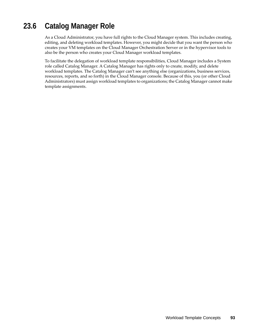## <span id="page-92-0"></span>**23.6 Catalog Manager Role**

As a Cloud Administrator, you have full rights to the Cloud Manager system. This includes creating, editing, and deleting workload templates. However, you might decide that you want the person who creates your VM templates on the Cloud Manager Orchestration Server or in the hypervisor tools to also be the person who creates your Cloud Manager workload templates.

To facilitate the delegation of workload template responsibilities, Cloud Manager includes a System role called Catalog Manager. A Catalog Manager has rights only to create, modify, and delete workload templates. The Catalog Manager can't see anything else (organizations, business services, resources, reports, and so forth) in the Cloud Manager console. Because of this, you (or other Cloud Administrators) must assign workload templates to organizations; the Catalog Manager cannot make template assignments.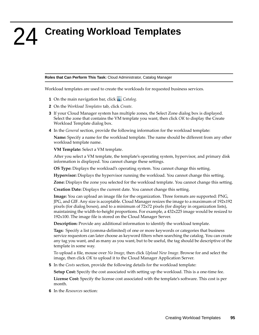<span id="page-94-0"></span>24 <sup>24</sup>**Creating Workload Templates**

**Roles that Can Perform This Task:** Cloud Administrator, Catalog Manager

Workload templates are used to create the workloads for requested business services.

- **1** On the main navigation bar, click *Catalog.*
- **2** On the *Workload Templates* tab, click *Create*.
- **3** If your Cloud Manager system has multiple zones, the Select Zone dialog box is displayed. Select the zone that contains the VM template you want, then click *OK* to display the Create Workload Template dialog box.
- **4** In the *General* section, provide the following information for the workload template:

**Name:** Specify a name for the workload template. The name should be different from any other workload template name.

**VM Template:** Select a VM template.

After you select a VM template, the template's operating system, hypervisor, and primary disk information is displayed. You cannot change these settings.

**OS Type:** Displays the workload's operating system. You cannot change this setting.

**Hypervisor:** Displays the hypervisor running the workload. You cannot change this setting.

**Zone:** Displays the zone you selected for the workload template. You cannot change this setting.

**Creation Date:** Displays the current date. You cannot change this setting.

**Image:** You can upload an image file for the organization. Three formats are supported: PNG, JPG, and GIF. Any size is acceptable. Cloud Manager resizes the image to a maximum of 192x192 pixels (for dialog boxes), and to a minimum of 72x72 pixels (for display in organization lists), maintaining the width-to-height proportions. For example, a 432x225 image would be resized to 192x100. The image file is stored on the Cloud Manager Server.

**Description:** Provide any additional information to identify the workload template.

**Tags:** Specify a list (comma-delimited) of one or more keywords or categories that business service requestors can later choose as keyword filters when searching the catalog. You can create any tag you want, and as many as you want, but to be useful, the tag should be descriptive of the template in some way.

To upload a file, mouse over *No Image*, then click *Upload New Image*. Browse for and select the image, then click *OK* to upload it to the Cloud Manager Application Server.

**5** In the *Costs* section, provide the following details for the workload template:

**Setup Cost:** Specify the cost associated with setting up the workload. This is a one-time fee.

**License Cost:** Specify the license cost associated with the template's software. This cost is per month.

**6** In the *Resources* section: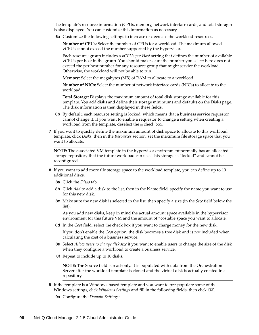The template's resource information (CPUs, memory, network interface cards, and total storage) is also displayed. You can customize this information as necessary.

**6a** Customize the following settings to increase or decrease the workload resources.

**Number of CPUs:** Select the number of CPUs for a workload. The maximum allowed vCPUs cannot exceed the number supported by the hypervisor.

Each resource group includes a *vCPUs per Host* setting that defines the number of available vCPUs per host in the group. You should makes sure the number you select here does not exceed the per host number for any resource group that might service the workload. Otherwise, the workload will not be able to run.

**Memory:** Select the megabytes (MB) of RAM to allocate to a workload.

**Number of NICs:** Select the number of network interface cards (NICs) to allocate to the workload.

**Total Storage:** Displays the maximum amount of total disk storage available for this template. You add disks and define their storage minimums and defaults on the Disks page. The disk information is then displayed in these fields.

- **6b** By default, each resource setting is locked, which means that a business service requestor cannot change it. If you want to enable a requestor to change a setting when creating a workload from the template, deselect the  $\blacksquare$  check box.
- **7** If you want to quickly define the maximum amount of disk space to allocate to this workload template, click *Disks*, then in the *Resources* section, set the maximum file storage space that you want to allocate.

**NOTE:** The associated VM template in the hypervisor environment normally has an allocated storage repository that the future workload can use. This storage is "locked" and cannot be reconfigured.

- **8** If you want to add more file storage space to the workload template, you can define up to 10 additional disks.
	- **8a** Click the *Disks* tab.
	- **8b** Click *Add* to add a disk to the list, then in the Name field, specify the name you want to use for this new disk.
	- **8c** Make sure the new disk is selected in the list, then specify a size (in the *Size* field below the list).

As you add new disks, keep in mind the actual amount space available in the hypervisor environment for this future VM and the amount of "costable space you want to allocate.

**8d** In the *Cost* field, select the check box if you want to charge money for the new disk.

If you don't enable the *Cost* option, the disk becomes a free disk and is not included when calculating the cost of a business service.

- **8e** Select *Allow users to change disk size* if you want to enable users to change the size of the disk when they configure a workload to create a business service.
- **8f** Repeat to include up to 10 disks.

**NOTE:** The Source field is read-only. It is populated with data from the Orchestration Server after the workload template is cloned and the virtual disk is actually created in a repository.

**9** If the template is a Windows-based template and you want to pre-populate some of the Windows settings, click *Windows Settings* and fill in the following fields, then click *OK*.

**9a** Configure the *Domain Settings*: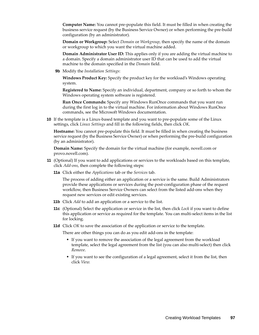**Computer Name:** You cannot pre-populate this field. It must be filled in when creating the business service request (by the Business Service Owner) or when performing the pre-build configuration (by an administrator).

**Domain or Workgroup:** Select *Domain* or *Workgroup*, then specify the name of the domain or workgroup to which you want the virtual machine added.

**Domain Administrator User ID:** This applies only if you are adding the virtual machine to a domain. Specify a domain administrator user ID that can be used to add the virtual machine to the domain specified in the *Domain* field.

**9b** Modify the *Installation Settings*:

**Windows Product Key:** Specify the product key for the workload's Windows operating system.

**Registered to Name:** Specify an individual, department, company or so forth to whom the Windows operating system software is registered.

**Run Once Commands:** Specify any Windows RunOnce commands that you want run during the first log in to the virtual machine. For information about Windows RunOnce commands, see the Microsoft Windows documentation.

**10** If the template is a Linux-based template and you want to pre-populate some of the Linux settings, click *Linux Settings* and fill in the following fields, then click *OK*.

**Hostname:** You cannot pre-populate this field. It must be filled in when creating the business service request (by the Business Service Owner) or when performing the pre-build configuration (by an administrator).

**Domain Name:** Specify the domain for the virtual machine (for example, novell.com or provo.novell.com).

- **11** (Optional) If you want to add applications or services to the workloads based on this template, click *Add-ons*, then complete the following steps:
	- **11a** Click either the *Applications* tab or the *Services* tab.

The process of adding either an application or a service is the same. Build Administrators provide these applications or services during the post-configuration phase of the request workflow, then Business Service Owners can select from the listed add-ons when they request new services or edit existing services.

- **11b** Click *Add* to add an application or a service to the list.
- **11c** (Optional) Select the application or service in the list, then click *Lock* if you want to define this application or service as required for the template. You can multi-select items in the list for locking.
- **11d** Click *OK* to save the association of the application or service to the template.

There are other things you can do as you edit add-ons in the template:

- If you want to remove the association of the legal agreement from the workload template, select the legal agreement from the list (you can also multi-select) then click *Remove*.
- If you want to see the configuration of a legal agreement, select it from the list, then click *View.*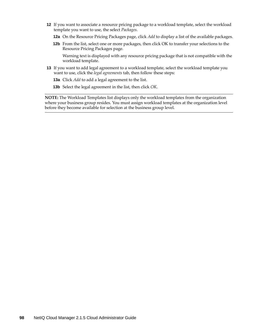- **12** If you want to associate a resource pricing package to a workload template, select the workload template you want to use, the select *Packages*.
	- **12a** On the Resource Pricing Packages page, click *Add* to display a list of the available packages.
	- **12b** From the list, select one or more packages, then click OK to transfer your selections to the Resource Pricing Packages page.

Warning text is displayed with any resource pricing package that is not compatible with the workload template.

- **13** If you want to add legal agreement to a workload template, select the workload template you want to use, click the *legal agreements* tab, then follow these steps:
	- **13a** Click *Add* to add a legal agreement to the list.
	- **13b** Select the legal agreement in the list, then click *OK*.

**NOTE:** The Workload Templates list displays only the workload templates from the organization where your business group resides. You must assign workload templates at the organization level before they become available for selection at the business group level.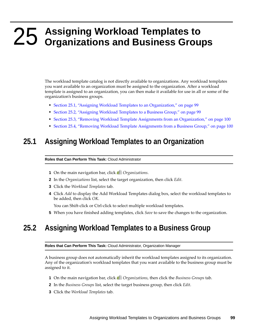## <span id="page-98-0"></span>25 Assigning Workload Templates to<br>25 Organizations and Business Group **Organizations and Business Groups**

The workload template catalog is not directly available to organizations. Any workload templates you want available to an organization must be assigned to the organization. After a workload template is assigned to an organization, you can then make it available for use in all or some of the organization's business groups.

- [Section 25.1, "Assigning Workload Templates to an Organization," on page 99](#page-98-1)
- [Section 25.2, "Assigning Workload Templates to a Business Group," on page 99](#page-98-2)
- [Section 25.3, "Removing Workload Template Assignments from an Organization," on page 100](#page-99-0)
- [Section 25.4, "Removing Workload Template Assignments from a Business Group," on page 100](#page-99-1)

#### <span id="page-98-1"></span>**25.1 Assigning Workload Templates to an Organization**

#### **Roles that Can Perform This Task:** Cloud Administrator

- **1** On the main navigation bar, click *Organizations*.
- **2** In the *Organizations* list, select the target organization, then click *Edit*.
- **3** Click the *Workload Templates* tab.
- **4** Click *Add* to display the Add Workload Templates dialog box, select the workload templates to be added, then click *OK*.

You can Shift-click or Ctrl-click to select multiple workload templates.

**5** When you have finished adding templates, click *Save* to save the changes to the organization.

#### <span id="page-98-2"></span>**25.2 Assigning Workload Templates to a Business Group**

**Roles that Can Perform This Task:** Cloud Administrator, Organization Manager

A business group does not automatically inherit the workload templates assigned to its organization. Any of the organization's workload templates that you want available to the business group must be assigned to it.

- **1** On the main navigation bar, click *Organizations*, then click the *Business Groups* tab.
- **2** In the *Business Groups* list, select the target business group, then click *Edit*.
- **3** Click the *Workload Templates* tab.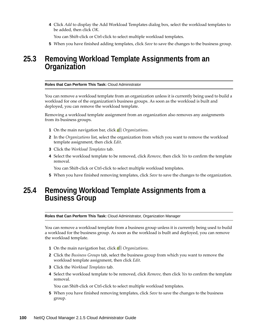**4** Click *Add* to display the Add Workload Templates dialog box, select the workload templates to be added, then click *OK*.

You can Shift-click or Ctrl-click to select multiple workload templates.

**5** When you have finished adding templates, click *Save* to save the changes to the business group.

#### <span id="page-99-0"></span>**25.3 Removing Workload Template Assignments from an Organization**

#### **Roles that Can Perform This Task:** Cloud Administrator

You can remove a workload template from an organization unless it is currently being used to build a workload for one of the organization's business groups. As soon as the workload is built and deployed, you can remove the workload template.

Removing a workload template assignment from an organization also removes any assignments from its business groups.

- **1** On the main navigation bar, click *Organizations*.
- **2** In the *Organizations* list, select the organization from which you want to remove the workload template assignment, then click *Edit*.
- **3** Click the *Workload Templates* tab.
- **4** Select the workload template to be removed, click *Remove*, then click *Yes* to confirm the template removal.

You can Shift-click or Ctrl-click to select multiple workload templates.

**5** When you have finished removing templates, click *Save* to save the changes to the organization.

#### <span id="page-99-1"></span>**25.4 Removing Workload Template Assignments from a Business Group**

**Roles that Can Perform This Task:** Cloud Administrator, Organization Manager

You can remove a workload template from a business group unless it is currently being used to build a workload for the business group. As soon as the workload is built and deployed, you can remove the workload template.

- **1** On the main navigation bar, click *Organizations*.
- **2** Click the *Business Groups* tab, select the business group from which you want to remove the workload template assignment, then click *Edit*.
- **3** Click the *Workload Templates* tab.
- **4** Select the workload template to be removed, click *Remove*, then click *Yes* to confirm the template removal.

You can Shift-click or Ctrl-click to select multiple workload templates.

**5** When you have finished removing templates, click *Save* to save the changes to the business group.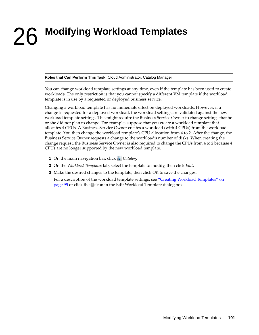## <span id="page-100-0"></span>26 <sup>26</sup>**Modifying Workload Templates**

**Roles that Can Perform This Task:** Cloud Administrator, Catalog Manager

You can change workload template settings at any time, even if the template has been used to create workloads. The only restriction is that you cannot specify a different VM template if the workload template is in use by a requested or deployed business service.

Changing a workload template has no immediate effect on deployed workloads. However, if a change is requested for a deployed workload, the workload settings are validated against the new workload template settings. This might require the Business Service Owner to change settings that he or she did not plan to change. For example, suppose that you create a workload template that allocates 4 CPUs. A Business Service Owner creates a workload (with 4 CPUs) from the workload template. You then change the workload template's CPU allocation from 4 to 2. After the change, the Business Service Owner requests a change to the workload's number of disks. When creating the change request, the Business Service Owner is also required to change the CPUs from 4 to 2 because 4 CPUs are no longer supported by the new workload template.

- **1** On the main navigation bar, click **...** Catalog.
- **2** On the *Workload Templates* tab, select the template to modify, then click *Edit*.
- **3** Make the desired changes to the template, then click *OK* to save the changes.

For a description of the workload template settings, see ["Creating Workload Templates" on](#page-94-0)  [page 95](#page-94-0) or click the **in** icon in the Edit Workload Template dialog box.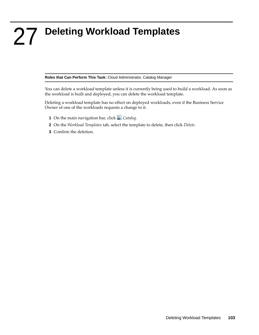## <span id="page-102-0"></span>27 <sup>27</sup>**Deleting Workload Templates**

**Roles that Can Perform This Task:** Cloud Administrator, Catalog Manager

You can delete a workload template unless it is currently being used to build a workload. As soon as the workload is built and deployed, you can delete the workload template.

Deleting a workload template has no effect on deployed workloads, even if the Business Service Owner of one of the workloads requests a change to it.

- **1** On the main navigation bar, click *Catalog.*
- **2** On the *Workload Templates* tab, select the template to delete, then click *Delete*.
- **3** Confirm the deletion.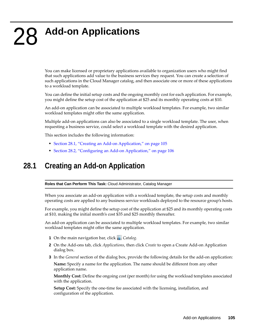# <span id="page-104-0"></span>28 **Add-on Applications**

You can make licensed or proprietary applications available to organization users who might find that such applications add value to the business services they request. You can create a selection of such applications in the Cloud Manager catalog, and then associate one or more of these applications to a workload template.

You can define the initial setup costs and the ongoing monthly cost for each application. For example, you might define the setup cost of the application at \$25 and its monthly operating costs at \$10.

An add-on application can be associated to multiple workload templates. For example, two similar workload templates might offer the same application.

Multiple add-on applications can also be associated to a single workload template. The user, when requesting a business service, could select a workload template with the desired application.

This section includes the following information:

- [Section 28.1, "Creating an Add-on Application," on page 105](#page-104-1)
- [Section 28.2, "Configuring an Add-on Application," on page 106](#page-105-0)

#### <span id="page-104-1"></span>**28.1 Creating an Add-on Application**

**Roles that Can Perform This Task:** Cloud Administrator, Catalog Manager

When you associate an add-on application with a workload template, the setup costs and monthly operating costs are applied to any business service workloads deployed to the resource group's hosts.

For example, you might define the setup cost of the application at \$25 and its monthly operating costs at \$10, making the initial month's cost \$35 and \$25 monthly thereafter.

An add-on application can be associated to multiple workload templates. For example, two similar workload templates might offer the same application.

- **1** On the main navigation bar, click **...** Catalog.
- **2** On the Add-ons tab, click *Applications*, then click *Create* to open a Create Add-on Application dialog box.
- **3** In the *General* section of the dialog box, provide the following details for the add-on application:

**Name:** Specify a name for the application. The name should be different from any other application name.

**Monthly Cost:** Define the ongoing cost (per month) for using the workload templates associated with the application.

**Setup Cost:** Specify the one-time fee associated with the licensing, installation, and configuration of the application.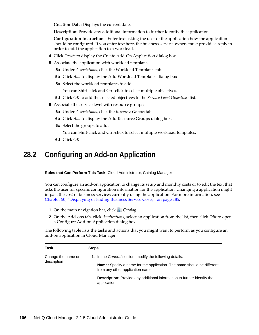**Creation Date:** Displays the current date.

**Description:** Provide any additional information to further identify the application.

**Configuration Instructions:** Enter text asking the user of the application how the application should be configured. If you enter text here, the business service owners must provide a reply in order to add the application to a workload.

- **4** Click *Create* to display the Create Add-On Application dialog box
- **5** Associate the application with workload templates:
	- **5a** Under *Associations*, click the Workload Templates tab.
	- **5b** Click *Add* to display the Add Workload Templates dialog box
	- **5c** Select the workload templates to add.

You can Shift-click and Ctrl-click to select multiple objectives.

- **5d** Click *OK* to add the selected objectives to the *Service Level Objectives* list.
- **6** Associate the service level with resource groups:
	- **6a** Under *Associations*, click the *Resource Groups* tab.
	- **6b** Click *Add* to display the Add Resource Groups dialog box.
	- **6c** Select the groups to add.

You can Shift-click and Ctrl-click to select multiple workload templates.

**6d** Click *OK*.

#### <span id="page-105-0"></span>**28.2 Configuring an Add-on Application**

**Roles that Can Perform This Task:** Cloud Administrator, Catalog Manager

You can configure an add-on application to change its setup and monthly costs or to edit the text that asks the user for specific configuration information for the application. Changing a application might impact the cost of business services currently using the application. For more information, see [Chapter 50, "Displaying or Hiding Business Service Costs," on page 185.](#page-184-0)

- **1** On the main navigation bar, click **...** Catalog.
- **2** On the Add-ons tab, click *Applications*, select an application from the list, then click *Edit* to open a Configure Add-on Application dialog box.

The following table lists the tasks and actions that you might want to perform as you configure an add-on application in Cloud Manager.

| Task                              | <b>Steps</b>                                                                                                      |
|-----------------------------------|-------------------------------------------------------------------------------------------------------------------|
| Change the name or<br>description | 1. In the <i>General</i> section, modify the following details:                                                   |
|                                   | <b>Name:</b> Specify a name for the application. The name should be different<br>from any other application name. |
|                                   | <b>Description:</b> Provide any additional information to further identify the<br>application.                    |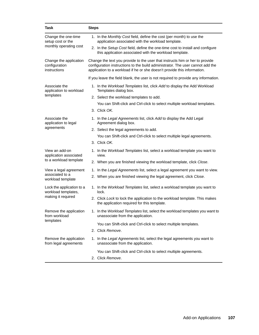| <b>Task</b>                                                            | <b>Steps</b>                                                                                                                                                                                                                               |
|------------------------------------------------------------------------|--------------------------------------------------------------------------------------------------------------------------------------------------------------------------------------------------------------------------------------------|
| Change the one-time<br>setup cost or the<br>monthly operating cost     | 1. In the Monthly Cost field, define the cost (per month) to use the<br>application associated with the workload template.                                                                                                                 |
|                                                                        | 2. In the Setup Cost field, define the one-time cost to install and configure<br>this application associated with the workload template.                                                                                                   |
| Change the application<br>configuration<br>instructions                | Change the text you provide to the user that instructs him or her to provide<br>configuration instructions to the build administrator. The user cannot add the<br>application to a workload if he or she doesn't provide this information. |
|                                                                        | If you leave the field blank, the user is not required to provide any information.                                                                                                                                                         |
| Associate the<br>application to workload<br>templates                  | 1. In the Workload Templates list, click Add to display the Add Workload<br>Templates dialog box.                                                                                                                                          |
|                                                                        | 2. Select the workload templates to add.                                                                                                                                                                                                   |
|                                                                        | You can Shift-click and Ctrl-click to select multiple workload templates.                                                                                                                                                                  |
|                                                                        | 3. Click OK.                                                                                                                                                                                                                               |
| Associate the<br>application to legal                                  | 1. In the Legal Agreements list, click Add to display the Add Legal<br>Agreement dialog box.                                                                                                                                               |
| agreements                                                             | 2. Select the legal agreements to add.                                                                                                                                                                                                     |
|                                                                        | You can Shift-click and Ctrl-click to select multiple legal agreements.                                                                                                                                                                    |
|                                                                        | 3. Click OK.                                                                                                                                                                                                                               |
| View an add-on<br>application associated<br>to a workload template     | 1. In the Workload Templates list, select a workload template you want to<br>view.                                                                                                                                                         |
|                                                                        | 2. When you are finished viewing the workload template, click Close.                                                                                                                                                                       |
| View a legal agreement                                                 | 1. In the Legal Agreements list, select a legal agreement you want to view.                                                                                                                                                                |
| associated to a<br>workload template                                   | 2. When you are finished viewing the legal agreement, click Close.                                                                                                                                                                         |
| Lock the application to a<br>workload templates,<br>making it required | 1. In the Workload Templates list, select a workload template you want to<br>lock.                                                                                                                                                         |
|                                                                        | 2. Click Lock to lock the application to the workload template. This makes<br>the application required for this template.                                                                                                                  |
| Remove the application<br>from workload<br>templates                   | 1. In the Workload Templates list, select the workload templates you want to<br>unassociate from the application.                                                                                                                          |
|                                                                        | You can Shift-click and Ctrl-click to select multiple templates.                                                                                                                                                                           |
|                                                                        | 2. Click Remove.                                                                                                                                                                                                                           |
| Remove the application<br>from legal agreements                        | 1. In the Legal Agreements list, select the legal agreements you want to<br>unassociate from the application.                                                                                                                              |
|                                                                        | You can Shift-click and Ctrl-click to select multiple agreements.                                                                                                                                                                          |
|                                                                        | 2. Click Remove.                                                                                                                                                                                                                           |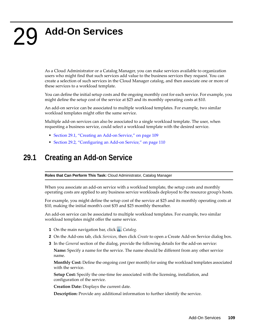# 29 <sup>29</sup>**Add-On Services**

As a Cloud Administrator or a Catalog Manager, you can make services available to organization users who might find that such services add value to the business services they request. You can create a selection of such services in the Cloud Manager catalog, and then associate one or more of these services to a workload template.

You can define the initial setup costs and the ongoing monthly cost for each service. For example, you might define the setup cost of the service at \$25 and its monthly operating costs at \$10.

An add-on service can be associated to multiple workload templates. For example, two similar workload templates might offer the same service.

Multiple add-on services can also be associated to a single workload template. The user, when requesting a business service, could select a workload template with the desired service.

- [Section 29.1, "Creating an Add-on Service," on page 109](#page-108-0)
- [Section 29.2, "Configuring an Add-on Service," on page 110](#page-109-0)

#### <span id="page-108-0"></span>**29.1 Creating an Add-on Service**

**Roles that Can Perform This Task:** Cloud Administrator, Catalog Manager

When you associate an add-on service with a workload template, the setup costs and monthly operating costs are applied to any business service workloads deployed to the resource group's hosts.

For example, you might define the setup cost of the service at \$25 and its monthly operating costs at \$10, making the initial month's cost \$35 and \$25 monthly thereafter.

An add-on service can be associated to multiple workload templates. For example, two similar workload templates might offer the same service.

- **1** On the main navigation bar, click **...** Catalog.
- **2** On the Add-ons tab, click *Services*, then click *Create* to open a Create Add-on Service dialog box.
- **3** In the *General* section of the dialog, provide the following details for the add-on service:

**Name:** Specify a name for the service. The name should be different from any other service name.

**Monthly Cost:** Define the ongoing cost (per month) for using the workload templates associated with the service.

**Setup Cost:** Specify the one-time fee associated with the licensing, installation, and configuration of the service.

**Creation Date:** Displays the current date.

**Description:** Provide any additional information to further identify the service.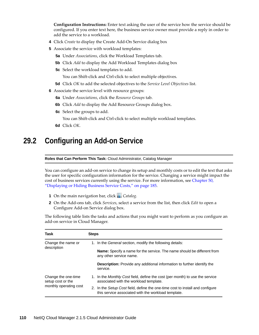**Configuration Instructions:** Enter text asking the user of the service how the service should be configured. If you enter text here, the business service owner must provide a reply in order to add the service to a workload.

- **4** Click *Create* to display the Create Add-On Service dialog box
- **5** Associate the service with workload templates:
	- **5a** Under *Associations*, click the Workload Templates tab.
	- **5b** Click *Add* to display the Add Workload Templates dialog box
	- **5c** Select the workload templates to add.

You can Shift-click and Ctrl-click to select multiple objectives.

- **5d** Click *OK* to add the selected objectives to the *Service Level Objectives* list.
- **6** Associate the service level with resource groups:
	- **6a** Under *Associations*, click the *Resource Groups* tab.
	- **6b** Click *Add* to display the Add Resource Groups dialog box.
	- **6c** Select the groups to add.

You can Shift-click and Ctrl-click to select multiple workload templates.

**6d** Click *OK*.

#### <span id="page-109-0"></span>**29.2 Configuring an Add-on Service**

**Roles that Can Perform This Task:** Cloud Administrator, Catalog Manager

You can configure an add-on service to change its setup and monthly costs or to edit the text that asks the user for specific configuration information for the service. Changing a service might impact the cost of business services currently using the service. For more information, see [Chapter 50,](#page-184-0)  ["Displaying or Hiding Business Service Costs," on page 185](#page-184-0).

- **1** On the main navigation bar, click **...** Catalog.
- **2** On the Add-ons tab, click *Services*, select a service from the list, then click *Edit* to open a Configure Add-on Service dialog box.

The following table lists the tasks and actions that you might want to perform as you configure an add-on service in Cloud Manager.

| Task                                                               | <b>Steps</b> |                                                                                                                                      |
|--------------------------------------------------------------------|--------------|--------------------------------------------------------------------------------------------------------------------------------------|
| Change the name or<br>description                                  |              | 1. In the <i>General</i> section, modify the following details:                                                                      |
|                                                                    |              | <b>Name:</b> Specify a name for the service. The name should be different from<br>any other service name.                            |
|                                                                    |              | <b>Description:</b> Provide any additional information to further identify the<br>service.                                           |
| Change the one-time<br>setup cost or the<br>monthly operating cost |              | 1. In the <i>Monthly Cost</i> field, define the cost (per month) to use the service<br>associated with the workload template.        |
|                                                                    |              | 2. In the Setup Cost field, define the one-time cost to install and configure<br>this service associated with the workload template. |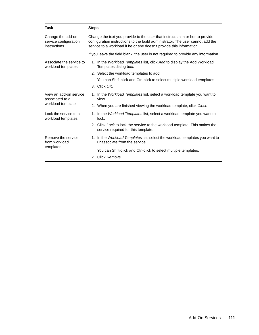| Task                                                           | <b>Steps</b>                                                                                                                                                                                                                           |  |
|----------------------------------------------------------------|----------------------------------------------------------------------------------------------------------------------------------------------------------------------------------------------------------------------------------------|--|
| Change the add-on<br>service configuration<br>instructions     | Change the text you provide to the user that instructs him or her to provide<br>configuration instructions to the build administrator. The user cannot add the<br>service to a workload if he or she doesn't provide this information. |  |
|                                                                | If you leave the field blank, the user is not required to provide any information.                                                                                                                                                     |  |
| Associate the service to<br>workload templates                 | 1. In the Workload Templates list, click Add to display the Add Workload<br>Templates dialog box.                                                                                                                                      |  |
|                                                                | 2. Select the workload templates to add.                                                                                                                                                                                               |  |
|                                                                | You can Shift-click and Ctrl-click to select multiple workload templates.                                                                                                                                                              |  |
|                                                                | 3. Click OK.                                                                                                                                                                                                                           |  |
| View an add-on service<br>associated to a<br>workload template | 1. In the Workload Templates list, select a workload template you want to<br>view.                                                                                                                                                     |  |
|                                                                | 2. When you are finished viewing the workload template, click Close.                                                                                                                                                                   |  |
| Lock the service to a<br>workload templates                    | 1. In the Workload Templates list, select a workload template you want to<br>lock.                                                                                                                                                     |  |
|                                                                | 2. Click Lock to lock the service to the workload template. This makes the<br>service required for this template.                                                                                                                      |  |
| Remove the service<br>from workload<br>templates               | 1. In the <i>Workload Templates</i> list, select the workload templates you want to<br>unassociate from the service.                                                                                                                   |  |
|                                                                | You can Shift-click and Ctrl-click to select multiple templates.                                                                                                                                                                       |  |
|                                                                | 2. Click Remove.                                                                                                                                                                                                                       |  |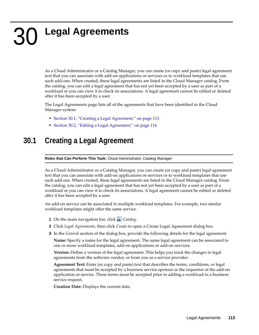# 30 <sup>30</sup>**Legal Agreements**

As a Cloud Administrator or a Catalog Manager, you can create (or copy and paste) legal agreement text that you can associate with add-on applications or services or to workload templates that use such add-ons. When created, these legal agreements are listed in the Cloud Manager catalog. From the catalog, you can edit a legal agreement that has not yet been accepted by a user as part of a workload or you can view it to check its associations. A legal agreement cannot be edited or deleted after it has been accepted by a user.

The Legal Agreements page lists all of the agreements that have been identified in the Cloud Manager system.

- [Section 30.1, "Creating a Legal Agreement," on page 113](#page-112-0)
- [Section 30.2, "Editing a Legal Agreement," on page 114](#page-113-0)

## <span id="page-112-0"></span>**30.1 Creating a Legal Agreement**

**Roles that Can Perform This Task:** Cloud Administrator, Catalog Manager

As a Cloud Administrator or a Catalog Manager, you can create (or copy and paste) legal agreement text that you can associate with add-on applications or services or to workload templates that use such add-ons. When created, these legal agreements are listed in the Cloud Manager catalog. From the catalog, you can edit a legal agreement that has not yet been accepted by a user as part of a workload or you can view it to check its associations. A legal agreement cannot be edited or deleted after it has been accepted by a user.

An add-on service can be associated to multiple workload templates. For example, two similar workload templates might offer the same service.

- **1** On the main navigation bar, click *Catalog.*
- **2** Click *Legal Agreements*, then click *Create* to open a Create Legal Agreement dialog box.
- **3** In the *General* section of the dialog box, provide the following details for the legal agreement:

**Name:** Specify a name for the legal agreement. The same legal agreement can be associated to one or more workload templates, add-on applications or add-on services.

**Version:** Define a version of the legal agreement. This helps you track the changes in legal agreements from the software vendor, or from you as a service provider.

**Agreement Text:** Enter (or copy and paste) text that describes the terms, conditions, or legal agreements that must be accepted by a business service sponsor or the requestor of the add-on application or service. These terms must be accepted prior to adding a workload to a business service request.

**Creation Date:** Displays the current date.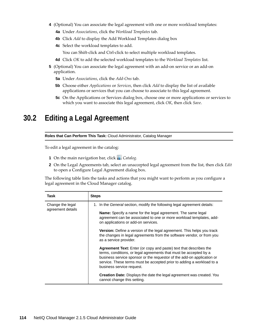- **4** (Optional) You can associate the legal agreement with one or more workload templates:
	- **4a** Under *Associations*, click the *Workload Templates* tab.
	- **4b** Click *Add* to display the Add Workload Templates dialog box
	- **4c** Select the workload templates to add.

You can Shift-click and Ctrl-click to select multiple workload templates.

- **4d** Click *OK* to add the selected workload templates to the *Workload Templates* list.
- **5** (Optional) You can associate the legal agreement with an add-on service or an add-on application.
	- **5a** Under *Associations*, click the *Add-Ons* tab.
	- **5b** Choose either *Applications* or *Services*, then click *Add* to display the list of available applications or services that you can choose to associate to this legal agreement.
	- **5c** On the Applications or Services dialog box, choose one or more applications or services to which you want to associate this legal agreement, click *OK*, then click *Save*.

#### <span id="page-113-0"></span>**30.2 Editing a Legal Agreement**

**Roles that Can Perform This Task:** Cloud Administrator, Catalog Manager

To edit a legal agreement in the catalog:

- **1** On the main navigation bar, click **...** Catalog.
- **2** On the Legal Agreements tab, select an unaccepted legal agreement from the list, then click *Edit* to open a Configure Legal Agreement dialog box.

The following table lists the tasks and actions that you might want to perform as you configure a legal agreement in the Cloud Manager catalog.

| Task                                  | <b>Steps</b>                                                                                                                                                                                                                                                                                                                  |
|---------------------------------------|-------------------------------------------------------------------------------------------------------------------------------------------------------------------------------------------------------------------------------------------------------------------------------------------------------------------------------|
| Change the legal<br>agreement details | 1. In the <i>General</i> section, modify the following legal agreement details:                                                                                                                                                                                                                                               |
|                                       | <b>Name:</b> Specify a name for the legal agreement. The same legal<br>agreement can be associated to one or more workload templates, add-<br>on applications or add-on services.                                                                                                                                             |
|                                       | <b>Version:</b> Define a version of the legal agreement. This helps you track<br>the changes in legal agreements from the software vendor, or from you<br>as a service provider.                                                                                                                                              |
|                                       | <b>Agreement Text:</b> Enter (or copy and paste) text that describes the<br>terms, conditions, or legal agreements that must be accepted by a<br>business service sponsor or the requestor of the add-on application or<br>service. These terms must be accepted prior to adding a workload to a<br>business service request. |
|                                       | <b>Creation Date:</b> Displays the date the legal agreement was created. You<br>cannot change this setting.                                                                                                                                                                                                                   |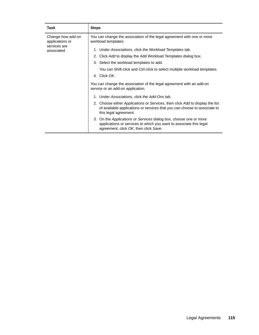| Task                                                               | <b>Steps</b>                                                                                                                                                                                                                                                                                                                                                                                                                                                                                                                                                                                                                                                                                                                                                                                                                                                         |
|--------------------------------------------------------------------|----------------------------------------------------------------------------------------------------------------------------------------------------------------------------------------------------------------------------------------------------------------------------------------------------------------------------------------------------------------------------------------------------------------------------------------------------------------------------------------------------------------------------------------------------------------------------------------------------------------------------------------------------------------------------------------------------------------------------------------------------------------------------------------------------------------------------------------------------------------------|
| Change how add-on<br>applications or<br>services are<br>associated | You can change the association of the legal agreement with one or more<br>workload templates:<br>1. Under Associations, click the Workload Templates tab.<br>2. Click Add to display the Add Workload Templates dialog box.<br>3. Select the workload templates to add.<br>You can Shift-click and Ctrl-click to select multiple workload templates.<br>4. Click OK.<br>You can change the association of the legal agreement with an add-on<br>service or an add-on application.<br>1. Under Associations, click the Add-Ons tab.<br>2. Choose either Applications or Services, then click Add to display the list<br>of available applications or services that you can choose to associate to<br>this legal agreement.<br>3. On the Applications or Services dialog box, choose one or more<br>applications or services to which you want to associate this legal |
|                                                                    | agreement, click OK, then click Save.                                                                                                                                                                                                                                                                                                                                                                                                                                                                                                                                                                                                                                                                                                                                                                                                                                |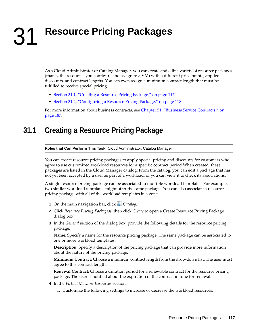# $\mathbf{Z}$ <sup>31</sup>**Resource Pricing Packages**

As a Cloud Administrator or Catalog Manager, you can create and edit a variety of resource packages (that is, the resources you configure and assign to a VM) with a different price points, applied discounts, and contract lengths. You can even assign a minimum contract length that must be fulfilled to receive special pricing.

- [Section 31.1, "Creating a Resource Pricing Package," on page 117](#page-116-0)
- [Section 31.2, "Configuring a Resource Pricing Package," on page 118](#page-117-0)

For more information about business contracts, see [Chapter 51, "Business Service Contracts," on](#page-186-0)  [page 187.](#page-186-0)

## <span id="page-116-0"></span>**31.1 Creating a Resource Pricing Package**

**Roles that Can Perform This Task:** Cloud Administrator, Catalog Manager

You can create resource pricing packages to apply special pricing and discounts for customers who agree to use customized workload resources for a specific contract period.When created, these packages are listed in the Cloud Manager catalog. From the catalog, you can edit a package that has not yet been accepted by a user as part of a workload, or you can view it to check its associations.

A single resource pricing package can be associated to multiple workload templates. For example, two similar workload templates might offer the same package. You can also associate a resource pricing package with all of the workload templates in a zone.

- **1** On the main navigation bar, click *Catalog.*
- **2** Click *Resource Pricing Packagess*, then click *Create* to open a Create Resource Pricing Package dialog box.
- **3** In the *General* section of the dialog box, provide the following details for the resource pricing package:

**Name:** Specify a name for the resource pricing package. The same package can be associated to one or more workload templates.

**Description:** Specify a description of the pricing package that can provide more information about the nature of the pricing package.

**Minimum Contract:** Choose a minimum contract length from the drop-down list. The user must agree to this contract length.

**Renewal Contract:** Choose a duration period for a renewable contract for the resource pricing package. The user is notified about the expiration of the contract in time for renewal.

- **4** In the *Virtual Machine Resources* section:
	- 1. Customize the following settings to increase or decrease the workload resources.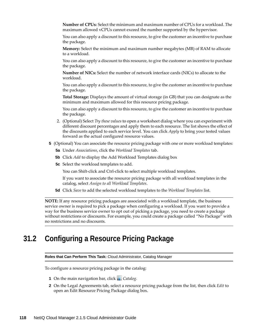**Number of CPUs:** Select the minimum and maximum number of CPUs for a workload. The maximum allowed vCPUs cannot exceed the number supported by the hypervisor.

You can also apply a discount to this resource, to give the customer an incentive to purchase the package.

**Memory:** Select the minimum and maximum number megabytes (MB) of RAM to allocate to a workload.

You can also apply a discount to this resource, to give the customer an incentive to purchase the package.

**Number of NICs:** Select the number of network interface cards (NICs) to allocate to the workload.

You can also apply a discount to this resource, to give the customer an incentive to purchase the package.

**Total Storage:** Displays the amount of virtual storage (in GB) that you can designate as the minimum and maximum allowed for this resource pricing package.

You can also apply a discount to this resource, to give the customer an incentive to purchase the package.

- 2. (Optional) Select *Try these values* to open a worksheet dialog where you can experiment with different discount percentages and apply them to each resource. The list shows the effect of the discounts applied to each service level. You can click *Apply* to bring your tested values forward as the actual configured resource values.
- **5** (Optional) You can associate the resource pricing package with one or more workload templates:
	- **5a** Under *Associations*, click the *Workload Templates* tab.
	- **5b** Click *Add* to display the Add Workload Templates dialog box
	- **5c** Select the workload templates to add.

You can Shift-click and Ctrl-click to select multiple workload templates.

If you want to associate the resource pricing package with all workload templates in the catalog, select *Assign to all Workload Templates*.

**5d** Click *Save* to add the selected workload templates to the *Workload Templates* list.

**NOTE:** If any resource pricing packages are associated with a workload template, the business service owner is required to pick a package when configuring a workload. If you want to provide a way for the business service owner to opt out of picking a package, you need to create a package without restrictions or discounts. For example, you could create a package called "No Package" with no restrictions and no discounts.

#### <span id="page-117-0"></span>**31.2 Configuring a Resource Pricing Package**

**Roles that Can Perform This Task:** Cloud Administrator, Catalog Manager

To configure a resource pricing package in the catalog:

- **1** On the main navigation bar, click **...** Catalog.
- **2** On the Legal Agreements tab, select a resource pricing package from the list, then click *Edit* to open an Edit Resource Pricing Package dialog box.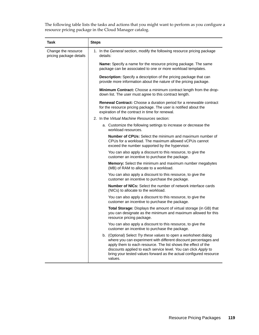The following table lists the tasks and actions that you might want to perform as you configure a resource pricing package in the Cloud Manager catalog.

| Task                                           | <b>Steps</b>                                                                                                                                                                                                                                                                                                                                              |
|------------------------------------------------|-----------------------------------------------------------------------------------------------------------------------------------------------------------------------------------------------------------------------------------------------------------------------------------------------------------------------------------------------------------|
| Change the resource<br>pricing package details | 1. In the General section, modify the following resource pricing package<br>details:                                                                                                                                                                                                                                                                      |
|                                                | <b>Name:</b> Specify a name for the resource pricing package. The same<br>package can be associated to one or more workload templates.                                                                                                                                                                                                                    |
|                                                | <b>Description:</b> Specify a description of the pricing package that can<br>provide more information about the nature of the pricing package.                                                                                                                                                                                                            |
|                                                | <b>Minimum Contract:</b> Choose a minimum contract length from the drop-<br>down list. The user must agree to this contract length.                                                                                                                                                                                                                       |
|                                                | Renewal Contract: Choose a duration period for a renewable contract<br>for the resource pricing package. The user is notified about the<br>expiration of the contract in time for renewal.                                                                                                                                                                |
|                                                | 2. In the Virtual Machine Resources section:                                                                                                                                                                                                                                                                                                              |
|                                                | a. Customize the following settings to increase or decrease the<br>workload resources.                                                                                                                                                                                                                                                                    |
|                                                | <b>Number of CPUs:</b> Select the minimum and maximum number of<br>CPUs for a workload. The maximum allowed vCPUs cannot<br>exceed the number supported by the hypervisor.                                                                                                                                                                                |
|                                                | You can also apply a discount to this resource, to give the<br>customer an incentive to purchase the package.                                                                                                                                                                                                                                             |
|                                                | <b>Memory:</b> Select the minimum and maximum number megabytes<br>(MB) of RAM to allocate to a workload.                                                                                                                                                                                                                                                  |
|                                                | You can also apply a discount to this resource, to give the<br>customer an incentive to purchase the package.                                                                                                                                                                                                                                             |
|                                                | <b>Number of NICs:</b> Select the number of network interface cards<br>(NICs) to allocate to the workload.                                                                                                                                                                                                                                                |
|                                                | You can also apply a discount to this resource, to give the<br>customer an incentive to purchase the package.                                                                                                                                                                                                                                             |
|                                                | <b>Total Storage:</b> Displays the amount of virtual storage (in GB) that<br>you can designate as the minimum and maximum allowed for this<br>resource pricing package.                                                                                                                                                                                   |
|                                                | You can also apply a discount to this resource, to give the<br>customer an incentive to purchase the package.                                                                                                                                                                                                                                             |
|                                                | b. (Optional) Select Try these values to open a worksheet dialog<br>where you can experiment with different discount percentages and<br>apply them to each resource. The list shows the effect of the<br>discounts applied to each service level. You can click Apply to<br>bring your tested values forward as the actual configured resource<br>values. |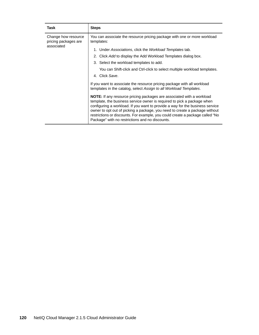| Task                                                      | <b>Steps</b>                                                                                                                                                                                                                                                                                                                                                                                                                                                |
|-----------------------------------------------------------|-------------------------------------------------------------------------------------------------------------------------------------------------------------------------------------------------------------------------------------------------------------------------------------------------------------------------------------------------------------------------------------------------------------------------------------------------------------|
| Change how resource<br>pricing packages are<br>associated | You can associate the resource pricing package with one or more workload<br>templates:<br>1. Under Associations, click the Workload Templates tab.<br>2. Click Add to display the Add Workload Templates dialog box.                                                                                                                                                                                                                                        |
|                                                           | 3. Select the workload templates to add.<br>You can Shift-click and Ctrl-click to select multiple workload templates.<br>4. Click Save.<br>If you want to associate the resource pricing package with all workload<br>templates in the catalog, select Assign to all Workload Templates.                                                                                                                                                                    |
|                                                           | <b>NOTE:</b> If any resource pricing packages are associated with a workload<br>template, the business service owner is required to pick a package when<br>configuring a workload. If you want to provide a way for the business service<br>owner to opt out of picking a package, you need to create a package without<br>restrictions or discounts. For example, you could create a package called "No<br>Package" with no restrictions and no discounts. |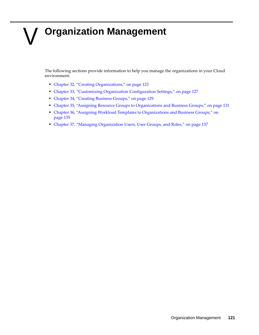# V **Organization Management**

The following sections provide information to help you manage the organizations in your Cloud environment:

- [Chapter 32, "Creating Organizations," on page 123](#page-122-0)
- [Chapter 33, "Customizing Organization Configuration Settings," on page 127](#page-126-0)
- [Chapter 34, "Creating Business Groups," on page 129](#page-128-0)
- [Chapter 35, "Assigning Resource Groups to Organizations and Business Groups," on page 131](#page-130-0)
- [Chapter 36, "Assigning Workload Templates to Organizations and Business Groups," on](#page-134-0)  [page 135](#page-134-0)
- [Chapter 37, "Managing Organization Users, User Groups, and Roles," on page 137](#page-136-0)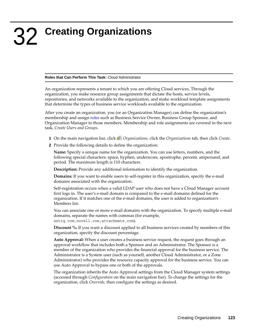#### <span id="page-122-0"></span>**Roles that Can Perform This Task:** Cloud Administrator

An organization represents a tenant to which you are offering Cloud services. Through the organization, you make resource group assignments that dictate the hosts, service levels, repositories, and networks available to the organization, and make workload template assignments that determine the types of business service workloads available to the organization.

After you create an organization, you (or an Organization Manager) can define the organization's membership and assign [roles](#page-62-0) such as Business Service Owner, Business Group Sponsor, and Organization Manager to those members. Membership and role assignments are covered in the next task, *Create Users and Groups*.

- **1** On the main navigation bar, click *Organizations,* click the *Organizations* tab, then click *Create*.
- **2** Provide the following details to define the organization:

**Name:** Specify a unique name for the organization. You can use letters, numbers, and the following special characters: space, hyphen, underscore, apostrophe, percent, ampersand, and period. The maximum length is 110 characters.

**Description:** Provide any additional information to identify the organization.

**Domains:** If you want to enable users to self-register in this organization, specify the e-mail domains associated with the organization.

Self-registration occurs when a valid LDAP user who does not have a Cloud Manager account first logs in. The user's e-mail domain is compared to the e-mail domains defined for the organization. If it matches one of the e-mail domains, the user is added to organization's Members list.

You can associate one or more e-mail domains with the organization. To specify multiple e-mail domains, separate the names with commas (for example, netiq.com,novell.com,attachmate.com).

**Discount %:** If you want a discount applied to all business services created by members of this organization, specify the discount percentage.

**Auto Approval:** When a user creates a business service request, the request goes through an approval workflow that includes both a Sponsor and an Administrator. The Sponsor is a member of the organization who provides the financial approval for the business service. The Administrator is a System user (such as yourself, another Cloud Administrator, or a Zone Administrator) who provides the resource capacity approval for the business service. You can use Auto Approval to bypass one or both of the approvals.

The organization inherits the Auto Approval settings from the Cloud Manager system settings (accessed through *Configuration* on the main navigation bar). To change the settings for the organization, click *Override*, then configure the settings as desired.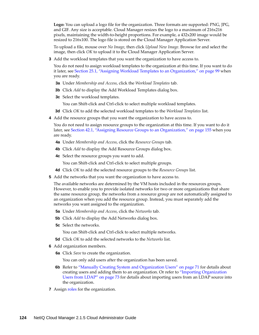**Logo:** You can upload a logo file for the organization. Three formats are supported: PNG, JPG, and GIF. Any size is acceptable. Cloud Manager resizes the logo to a maximum of 216x216 pixels, maintaining the width-to-height proportions. For example, a 432x200 image would be resized to 216x100. The logo file is stored on the Cloud Manager Application Server.

To upload a file, mouse over *No Image*, then click *Upload New Image*. Browse for and select the image, then click *OK* to upload it to the Cloud Manager Application Server.

**3** Add the workload templates that you want the organization to have access to.

You do not need to assign workload templates to the organization at this time. If you want to do it later, see [Section 25.1, "Assigning Workload Templates to an Organization," on page 99](#page-98-0) when you are ready.

- **3a** Under *Membership and Access*, click the *Workload Templates* tab.
- **3b** Click *Add* to display the Add Workload Templates dialog box.
- **3c** Select the workload templates.
	- You can Shift-click and Ctrl-click to select multiple workload templates.
- **3d** Click *OK* to add the selected workload templates to the *Workload Templates* list.
- **4** Add the resource groups that you want the organization to have access to.

You do not need to assign resource groups to the organization at this time. If you want to do it later, see [Section 42.1, "Assigning Resource Groups to an Organization," on page 155](#page-154-0) when you are ready.

- **4a** Under *Membership and Access*, click the *Resource Groups* tab.
- **4b** Click *Add* to display the Add Resource Groups dialog box.
- **4c** Select the resource groups you want to add.

You can Shift-click and Ctrl-click to select multiple groups.

- **4d** Click *OK* to add the selected resource groups to the *Resource Groups* list.
- **5** Add the networks that you want the organization to have access to.

The available networks are determined by the VM hosts included in the resources groups. However, to enable you to provide isolated networks for two or more organizations that share the same resource group, the networks from a resource group are not automatically assigned to an organization when you add the resource group. Instead, you must separately add the networks you want assigned to the organization.

- **5a** Under *Membership and Access*, click the *Networks* tab.
- **5b** Click *Add* to display the Add Networks dialog box.
- **5c** Select the networks.

You can Shift-click and Ctrl-click to select multiple networks.

- **5d** Click *OK* to add the selected networks to the *Networks* list.
- **6** Add organization members.
	- **6a** Click *Save* to create the organization.

You can only add users after the organization has been saved.

- **6b** Refer to ["Manually Creating System and Organization Users" on page 71](#page-70-0) for details about creating users and adding them to an organization. Or refer to ["Importing Organization](#page-72-0)  [Users from LDAP" on page 73](#page-72-0) for details about importing users from an LDAP source into the organization.
- **7** Assign roles for the organization.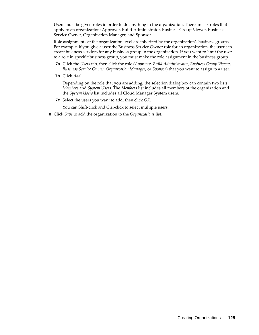Users must be given roles in order to do anything in the organization. There are six roles that apply to an organization: Approver, Build Administrator, Business Group Viewer, Business Service Owner, Organization Manager, and Sponsor.

Role assignments at the organization level are inherited by the organization's business groups. For example, if you give a user the Business Service Owner role for an organization, the user can create business services for any business group in the organization. If you want to limit the user to a role in specific business group, you must make the role assignment in the business group.

- **7a** Click the *Users* tab, then click the role (*Approver*, *Build Administrator*, *Business Group Viewer*, *Business Service Owner, Organization Manager*, or *Sponsor*) that you want to assign to a user.
- **7b** Click *Add*.

Depending on the role that you are adding, the selection dialog box can contain two lists: *Members* and *System Users*. The *Members* list includes all members of the organization and the *System Users* list includes all Cloud Manager System users.

**7c** Select the users you want to add, then click *OK*.

You can Shift-click and Ctrl-click to select multiple users.

**8** Click *Save* to add the organization to the *Organizations* list.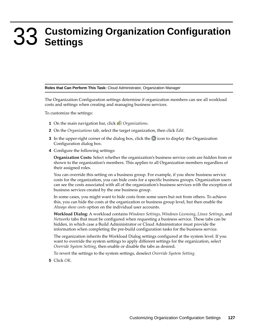# <span id="page-126-0"></span>33 <sup>33</sup>**Customizing Organization Configuration Settings**

#### **Roles that Can Perform This Task:** Cloud Administrator, Organization Manager

The Organization Configuration settings determine if organization members can see all workload costs and settings when creating and managing business services.

To customize the settings:

- **1** On the main navigation bar, click *Organizations*.
- **2** On the *Organizations* tab, select the target organization, then click *Edit*.
- **3** In the upper-right corner of the dialog box, click the  $\blacktriangleright$  icon to display the Organization Configuration dialog box.
- **4** Configure the following settings:

**Organization Costs:** Select whether the organization's business service costs are hidden from or shown to the organization's members. This applies to all Organization members regardless of their assigned roles.

You can override this setting on a business group. For example, if you show business service costs for the organization, you can hide costs for a specific business groups. Organization users can see the costs associated with all of the organization's business services with the exception of business services created by the one business group.

In some cases, you might want to hide costs from some users but not from others. To achieve this, you can hide the costs at the organization or business group level, but then enable the *Always show costs* option on the individual user accounts.

**Workload Dialog:** A workload contains *Windows Settings*, *Windows Licensing*, *Linux Settings*, and *Networks* tabs that must be configured when requesting a business service. These tabs can be hidden, in which case a Build Administrator or Cloud Administrator must provide the information when completing the pre-build configuration tasks for the business service.

The organization inherits the Workload Dialog settings configured at the system level. If you want to override the system settings to apply different settings for the organization, select *Override System Setting*, then enable or disable the tabs as desired.

To revert the settings to the system settings, deselect *Override System Setting.*

**5** Click *OK*.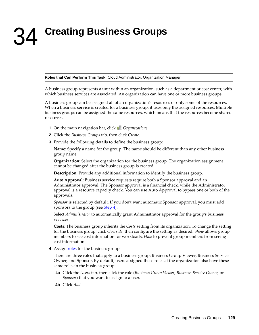# <span id="page-128-0"></span>34 <sup>34</sup>**Creating Business Groups**

#### **Roles that Can Perform This Task:** Cloud Administrator, Organization Manager

A business group represents a unit within an organization, such as a department or cost center, with which business services are associated. An organization can have one or more business groups.

A business group can be assigned all of an organization's resources or only some of the resources. When a business service is created for a business group, it uses only the assigned resources. Multiple business groups can be assigned the same resources, which means that the resources become shared resources.

- **1** On the main navigation bar, click *Organizations*.
- **2** Click the *Business Groups* tab, then click *Create*.
- **3** Provide the following details to define the business group:

**Name:** Specify a name for the group. The name should be different than any other business group name.

**Organization:** Select the organization for the business group. The organization assignment cannot be changed after the business group is created.

**Description:** Provide any additional information to identify the business group.

**Auto Approval:** Business service requests require both a Sponsor approval and an Administrator approval. The Sponsor approval is a financial check, while the Administrator approval is a resource capacity check. You can use Auto Approval to bypass one or both of the approvals.

*Sponsor* is selected by default. If you don't want automatic Sponsor approval, you must add sponsors to the group (see [Step 4](#page-128-1)).

Select *Administrator* to automatically grant Administrator approval for the group's business services.

**Costs:** The business group inherits the *Costs* setting from its organization. To change the setting for the business group, click *Override*, then configure the setting as desired. *Show* allows group members to see cost information for workloads. *Hide* to prevent group members from seeing cost information.

<span id="page-128-1"></span>**4** Assign roles for the business group.

There are three roles that apply to a business group: Business Group Viewer, Business Service Owner, and Sponsor. By default, users assigned these roles at the organization also have these same roles in the business group.

- **4a** Click the *Users* tab, then click the role (*Business Group Viewer*, *Business Service Owner,* or *Sponsor*) that you want to assign to a user.
- **4b** Click *Add*.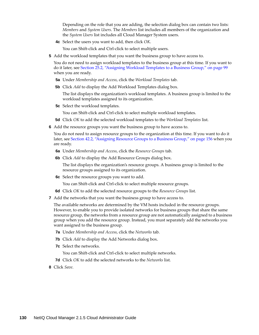Depending on the role that you are adding, the selection dialog box can contain two lists: *Members* and *System Users*. The *Members* list includes all members of the organization and the *System Users* list includes all Cloud Manager System users.

**4c** Select the users you want to add, then click *OK*.

You can Shift-click and Ctrl-click to select multiple users.

**5** Add the workload templates that you want the business group to have access to.

You do not need to assign workload templates to the business group at this time. If you want to do it later, see [Section 25.2, "Assigning Workload Templates to a Business Group," on page 99](#page-98-1) when you are ready.

- **5a** Under *Membership and Access*, click the *Workload Templates* tab.
- **5b** Click *Add* to display the Add Workload Templates dialog box.

The list displays the organization's workload templates. A business group is limited to the workload templates assigned to its organization.

**5c** Select the workload templates.

You can Shift-click and Ctrl-click to select multiple workload templates.

- **5d** Click *OK* to add the selected workload templates to the *Workload Templates* list.
- **6** Add the resource groups you want the business group to have access to.

You do not need to assign resource groups to the organization at this time. If you want to do it later, see [Section 42.2, "Assigning Resource Groups to a Business Group," on page 156](#page-155-0) when you are ready.

- **6a** Under *Membership and Access*, click the *Resource Groups* tab.
- **6b** Click *Add* to display the Add Resource Groups dialog box.

The list displays the organization's resource groups. A business group is limited to the resource groups assigned to its organization.

**6c** Select the resource groups you want to add.

You can Shift-click and Ctrl-click to select multiple resource groups.

- **6d** Click *OK* to add the selected resource groups to the *Resource Groups* list.
- **7** Add the networks that you want the business group to have access to.

The available networks are determined by the VM hosts included in the resource groups. However, to enable you to provide isolated networks for business groups that share the same resource group, the networks from a resource group are not automatically assigned to a business group when you add the resource group. Instead, you must separately add the networks you want assigned to the business group.

- **7a** Under *Membership and Access*, click the *Networks* tab.
- **7b** Click *Add* to display the Add Networks dialog box.
- **7c** Select the networks.

You can Shift-click and Ctrl-click to select multiple networks.

- **7d** Click *OK* to add the selected networks to the *Networks* list.
- **8** Click *Save*.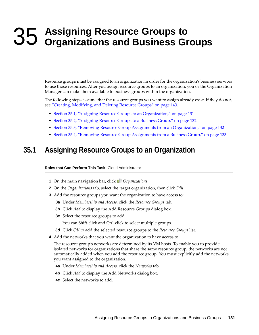# <span id="page-130-0"></span>35 <sup>35</sup>**Assigning Resource Groups to Organizations and Business Groups**

Resource groups must be assigned to an organization in order for the organization's business services to use those resources. After you assign resource groups to an organization, you or the Organization Manager can make them available to business groups within the organization.

The following steps assume that the resource groups you want to assign already exist. If they do not, see ["Creating, Modifying, and Deleting Resource Groups" on page 143.](#page-142-0)

- [Section 35.1, "Assigning Resource Groups to an Organization," on page 131](#page-130-1)
- [Section 35.2, "Assigning Resource Groups to a Business Group," on page 132](#page-131-0)
- [Section 35.3, "Removing Resource Group Assignments from an Organization," on page 132](#page-131-1)
- [Section 35.4, "Removing Resource Group Assignments from a Business Group," on page 133](#page-132-0)

#### <span id="page-130-1"></span>**35.1 Assigning Resource Groups to an Organization**

**Roles that Can Perform This Task:** Cloud Administrator

- **1** On the main navigation bar, click *Organizations.*
- **2** On the *Organizations* tab, select the target organization, then click *Edit*.
- **3** Add the resource groups you want the organization to have access to:
	- **3a** Under *Membership and Access*, click the *Resource Groups* tab.
	- **3b** Click *Add* to display the Add Resource Groups dialog box.
	- **3c** Select the resource groups to add.

You can Shift-click and Ctrl-click to select multiple groups.

- **3d** Click *OK* to add the selected resource groups to the *Resource Groups* list.
- **4** Add the networks that you want the organization to have access to.

The resource group's networks are determined by its VM hosts. To enable you to provide isolated networks for organizations that share the same resource group, the networks are not automatically added when you add the resource group. You must explicitly add the networks you want assigned to the organization.

- **4a** Under *Membership and Access*, click the *Networks* tab.
- **4b** Click *Add* to display the Add Networks dialog box.
- **4c** Select the networks to add.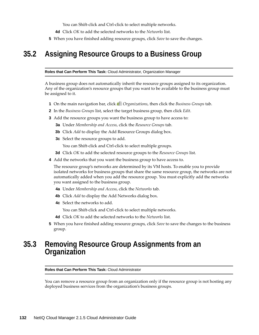You can Shift-click and Ctrl-click to select multiple networks.

- **4d** Click *OK* to add the selected networks to the *Networks* list.
- **5** When you have finished adding resource groups, click *Save* to save the changes.

#### <span id="page-131-0"></span>**35.2 Assigning Resource Groups to a Business Group**

**Roles that Can Perform This Task:** Cloud Administrator, Organization Manager

A business group does not automatically inherit the resource groups assigned to its organization. Any of the organization's resource groups that you want to be available to the business group must be assigned to it.

- **1** On the main navigation bar, click *Organizations*, then click the *Business Groups* tab.
- **2** In the *Business Groups* list, select the target business group, then click *Edit*.
- **3** Add the resource groups you want the business group to have access to:
	- **3a** Under *Membership and Access*, click the *Resource Groups* tab.
	- **3b** Click *Add* to display the Add Resource Groups dialog box.
	- **3c** Select the resource groups to add.
		- You can Shift-click and Ctrl-click to select multiple groups.
	- **3d** Click *OK* to add the selected resource groups to the *Resource Groups* list.
- **4** Add the networks that you want the business group to have access to.

The resource group's networks are determined by its VM hosts. To enable you to provide isolated networks for business groups that share the same resource group, the networks are not automatically added when you add the resource group. You must explicitly add the networks you want assigned to the business group.

- **4a** Under *Membership and Access*, click the *Networks* tab.
- **4b** Click *Add* to display the Add Networks dialog box.
- **4c** Select the networks to add.

You can Shift-click and Ctrl-click to select multiple networks.

- **4d** Click *OK* to add the selected networks to the *Networks* list.
- **5** When you have finished adding resource groups, click *Save* to save the changes to the business group.

#### <span id="page-131-1"></span>**35.3 Removing Resource Group Assignments from an Organization**

#### **Roles that Can Perform This Task:** Cloud Administrator

You can remove a resource group from an organization only if the resource group is not hosting any deployed business services from the organization's business groups.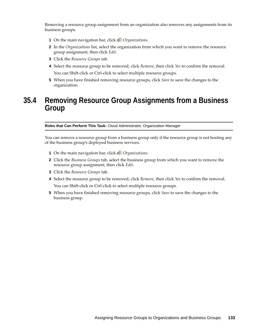Removing a resource group assignment from an organization also removes any assignments from its business groups.

- **1** On the main navigation bar, click *Organizations*.
- **2** In the *Organizations* list, select the organization from which you want to remove the resource group assignment, then click *Edit*.
- **3** Click the *Resource Groups* tab.
- **4** Select the resource group to be removed, click *Remove*, then click *Yes* to confirm the removal. You can Shift-click or Ctrl-click to select multiple resource groups.
- **5** When you have finished removing resource groups, click *Save* to save the changes to the organization.

#### <span id="page-132-0"></span>**35.4 Removing Resource Group Assignments from a Business Group**

**Roles that Can Perform This Task:** Cloud Administrator, Organization Manager

You can remove a resource group from a business group only if the resource group is not hosting any of the business group's deployed business services.

- **1** On the main navigation bar, click *Organizations*.
- **2** Click the *Business Groups* tab, select the business group from which you want to remove the resource group assignment, then click *Edit*.
- **3** Click the *Resource Groups* tab.
- **4** Select the resource group to be removed, click *Remove*, then click *Yes* to confirm the removal. You can Shift-click or Ctrl-click to select multiple resource groups.
- **5** When you have finished removing resource groups, click *Save* to save the changes to the business group.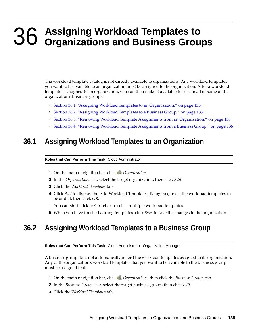# <span id="page-134-0"></span>36 <sup>36</sup>**Assigning Workload Templates to Organizations and Business Groups**

The workload template catalog is not directly available to organizations. Any workload templates you want to be available to an organization must be assigned to the organization. After a workload template is assigned to an organization, you can then make it available for use in all or some of the organization's business groups.

- [Section 36.1, "Assigning Workload Templates to an Organization," on page 135](#page-134-1)
- [Section 36.2, "Assigning Workload Templates to a Business Group," on page 135](#page-134-2)
- [Section 36.3, "Removing Workload Template Assignments from an Organization," on page 136](#page-135-0)
- [Section 36.4, "Removing Workload Template Assignments from a Business Group," on page 136](#page-135-1)

#### <span id="page-134-1"></span>**36.1 Assigning Workload Templates to an Organization**

#### **Roles that Can Perform This Task:** Cloud Administrator

- **1** On the main navigation bar, click *Organizations*.
- **2** In the *Organizations* list, select the target organization, then click *Edit*.
- **3** Click the *Workload Templates* tab.
- **4** Click *Add* to display the Add Workload Templates dialog box, select the workload templates to be added, then click *OK*.

You can Shift-click or Ctrl-click to select multiple workload templates.

**5** When you have finished adding templates, click *Save* to save the changes to the organization.

#### <span id="page-134-2"></span>**36.2 Assigning Workload Templates to a Business Group**

**Roles that Can Perform This Task:** Cloud Administrator, Organization Manager

A business group does not automatically inherit the workload templates assigned to its organization. Any of the organization's workload templates that you want to be available to the business group must be assigned to it.

- **1** On the main navigation bar, click *Organizations*, then click the *Business Groups* tab.
- **2** In the *Business Groups* list, select the target business group, then click *Edit*.
- **3** Click the *Workload Templates* tab.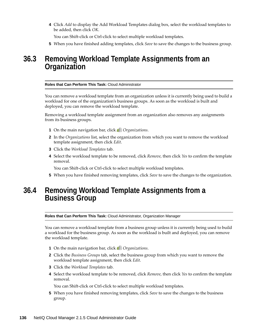**4** Click *Add* to display the Add Workload Templates dialog box, select the workload templates to be added, then click *OK*.

You can Shift-click or Ctrl-click to select multiple workload templates.

**5** When you have finished adding templates, click *Save* to save the changes to the business group.

#### <span id="page-135-0"></span>**36.3 Removing Workload Template Assignments from an Organization**

#### **Roles that Can Perform This Task:** Cloud Administrator

You can remove a workload template from an organization unless it is currently being used to build a workload for one of the organization's business groups. As soon as the workload is built and deployed, you can remove the workload template.

Removing a workload template assignment from an organization also removes any assignments from its business groups.

- **1** On the main navigation bar, click *Organizations*.
- **2** In the *Organizations* list, select the organization from which you want to remove the workload template assignment, then click *Edit*.
- **3** Click the *Workload Templates* tab.
- **4** Select the workload template to be removed, click *Remove*, then click *Yes* to confirm the template removal.

You can Shift-click or Ctrl-click to select multiple workload templates.

**5** When you have finished removing templates, click *Save* to save the changes to the organization.

#### <span id="page-135-1"></span>**36.4 Removing Workload Template Assignments from a Business Group**

**Roles that Can Perform This Task:** Cloud Administrator, Organization Manager

You can remove a workload template from a business group unless it is currently being used to build a workload for the business group. As soon as the workload is built and deployed, you can remove the workload template.

- **1** On the main navigation bar, click *Organizations*.
- **2** Click the *Business Groups* tab, select the business group from which you want to remove the workload template assignment, then click *Edit*.
- **3** Click the *Workload Templates* tab.
- **4** Select the workload template to be removed, click *Remove*, then click *Yes* to confirm the template removal.

You can Shift-click or Ctrl-click to select multiple workload templates.

**5** When you have finished removing templates, click *Save* to save the changes to the business group.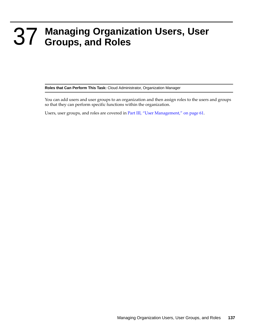# <span id="page-136-0"></span>37 <sup>37</sup>**Managing Organization Users, User Groups, and Roles**

**Roles that Can Perform This Task:** Cloud Administrator, Organization Manager

You can add users and user groups to an organization and then assign roles to the users and groups so that they can perform specific functions within the organization.

Users, user groups, and roles are covered in [Part III, "User Management," on page 61.](#page-60-0)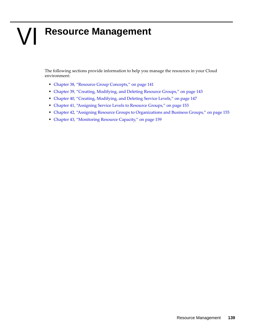# VI **Resource Management**

The following sections provide information to help you manage the resources in your Cloud environment:

- [Chapter 38, "Resource Group Concepts," on page 141](#page-140-0)
- [Chapter 39, "Creating, Modifying, and Deleting Resource Groups," on page 143](#page-142-1)
- [Chapter 40, "Creating, Modifying, and Deleting Service Levels," on page 147](#page-146-0)
- [Chapter 41, "Assigning Service Levels to Resource Groups," on page 153](#page-152-0)
- [Chapter 42, "Assigning Resource Groups to Organizations and Business Groups," on page 155](#page-154-1)
- [Chapter 43, "Monitoring Resource Capacity," on page 159](#page-158-0)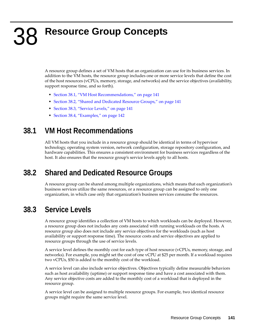# <span id="page-140-0"></span>38 <sup>38</sup>**Resource Group Concepts**

A resource group defines a set of VM hosts that an organization can use for its business services. In addition to the VM hosts, the resource group includes one or more service levels that define the cost of the host resources (vCPUs, memory, storage, and networks) and the service objectives (availability, support response time, and so forth).

- [Section 38.1, "VM Host Recommendations," on page 141](#page-140-1)
- [Section 38.2, "Shared and Dedicated Resource Groups," on page 141](#page-140-2)
- [Section 38.3, "Service Levels," on page 141](#page-140-3)
- [Section 38.4, "Examples," on page 142](#page-141-0)

## <span id="page-140-1"></span>**38.1 VM Host Recommendations**

All VM hosts that you include in a resource group should be identical in terms of hypervisor technology, operating system version, network configuration, storage repository configuration, and hardware capabilities. This ensures a consistent environment for business services regardless of the host. It also ensures that the resource group's service levels apply to all hosts.

## <span id="page-140-2"></span>**38.2 Shared and Dedicated Resource Groups**

A resource group can be shared among multiple organizations, which means that each organization's business services utilize the same resources, or a resource group can be assigned to only one organization, in which case only that organization's business services consume the resources.

## <span id="page-140-3"></span>**38.3 Service Levels**

A resource group identifies a collection of VM hosts to which workloads can be deployed. However, a resource group does not includes any costs associated with running workloads on the hosts. A resource group also does not include any service objectives for the workloads (such as host availability or support response time). The resource costs and service objectives are applied to resource groups through the use of service levels.

A service level defines the monthly cost for each type of host resource (vCPUs, memory, storage, and networks). For example, you might set the cost of one vCPU at \$25 per month. If a workload requires two vCPUs, \$50 is added to the monthly cost of the workload.

A service level can also include service objectives. Objectives typically define measurable behaviors such as host availability (uptime) or support response time and have a cost associated with them. Any service objective costs are added to the monthly cost of a workload that is deployed in the resource group.

A service level can be assigned to multiple resource groups. For example, two identical resource groups might require the same service level.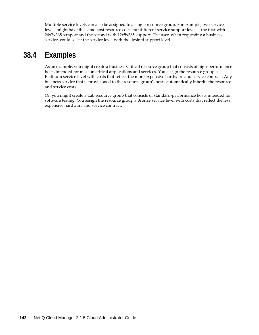Multiple service levels can also be assigned to a single resource group. For example, two service levels might have the same host resource costs but different service support levels - the first with 24x7x365 support and the second with 12x5x365 support. The user, when requesting a business service, could select the service level with the desired support level.

## <span id="page-141-0"></span>**38.4 Examples**

As an example, you might create a Business Critical resource group that consists of high-performance hosts intended for mission critical applications and services. You assign the resource group a Platinum service level with costs that reflect the more expensive hardware and service contract. Any business service that is provisioned to the resource group's hosts automatically inherits the resource and service costs.

Or, you might create a Lab resource group that consists of standard-performance hosts intended for software testing. You assign the resource group a Bronze service level with costs that reflect the less expensive hardware and service contract.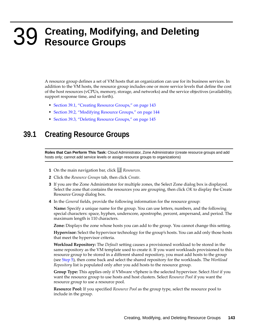# <span id="page-142-1"></span>39 <sup>39</sup>**Creating, Modifying, and Deleting Resource Groups**

<span id="page-142-0"></span>A resource group defines a set of VM hosts that an organization can use for its business services. In addition to the VM hosts, the resource group includes one or more service levels that define the cost of the host resources (vCPUs, memory, storage, and networks) and the service objectives (availability, support response time, and so forth).

- [Section 39.1, "Creating Resource Groups," on page 143](#page-142-2)
- [Section 39.2, "Modifying Resource Groups," on page 144](#page-143-1)
- [Section 39.3, "Deleting Resource Groups," on page 145](#page-144-0)

#### <span id="page-142-2"></span>**39.1 Creating Resource Groups**

**Roles that Can Perform This Task:** Cloud Administrator, Zone Administrator (create resource groups and add hosts only; cannot add service levels or assign resource groups to organizations)

- **1** On the main navigation bar, click *Resources.*
- **2** Click the *Resource Groups* tab, then click *Create*.
- **3** If you are the Zone Administrator for multiple zones, the Select Zone dialog box is displayed. Select the zone that contains the resources you are grouping, then click *OK* to display the Create Resource Group dialog box.
- **4** In the *General* fields, provide the following information for the resource group:

**Name:** Specify a unique name for the group. You can use letters, numbers, and the following special characters: space, hyphen, underscore, apostrophe, percent, ampersand, and period. The maximum length is 110 characters.

**Zone:** Displays the zone whose hosts you can add to the group. You cannot change this setting.

**Hypervisor:** Select the hypervisor technology for the group's hosts. You can add only those hosts that meet the hypervisor criteria.

**Workload Repository:** The *Default* setting causes a provisioned workload to be stored in the same repository as the VM template used to create it. If you want workloads provisioned to this resource group to be stored in a different shared repository, you must add hosts to the group (see [Step 5](#page-143-0)), then come back and select the shared repository for the workloads. The *Workload Repository* list is populated only after you add hosts to the resource group.

**Group Type:** This applies only if VMware vSphere is the selected hypervisor. Select *Host* if you want the resource group to use hosts and host clusters. Select *Resource Pool* if you want the resource group to use a resource pool.

**Resource Pool:** If you specified *Resource Pool* as the group type, select the resource pool to include in the group.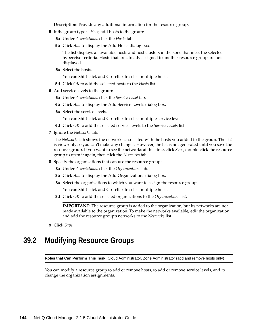**Description:** Provide any additional information for the resource group.

- <span id="page-143-0"></span>**5** If the group type is *Host*, add hosts to the group:
	- **5a** Under *Associations*, click the *Hosts* tab.
	- **5b** Click *Add* to display the Add Hosts dialog box.

The list displays all available hosts and host clusters in the zone that meet the selected hypervisor criteria. Hosts that are already assigned to another resource group are not displayed.

**5c** Select the hosts.

You can Shift-click and Ctrl-click to select multiple hosts.

- **5d** Click *OK* to add the selected hosts to the *Hosts* list.
- **6** Add service levels to the group:
	- **6a** Under *Associations*, click the *Service Level* tab.
	- **6b** Click *Add* to display the Add Service Levels dialog box.
	- **6c** Select the service levels.

You can Shift-click and Ctrl-click to select multiple service levels.

- **6d** Click *OK* to add the selected service levels to the *Service Levels* list.
- **7** Ignore the *Networks* tab.

The *Networks* tab shows the networks associated with the hosts you added to the group. The list is view-only so you can't make any changes. However, the list is not generated until you save the resource group. If you want to see the networks at this time, click *Save*, double-click the resource group to open it again, then click the *Networks* tab.

- **8** Specify the organizations that can use the resource group:
	- **8a** Under *Associations*, click the *Organizations* tab.
	- **8b** Click *Add* to display the Add Organizations dialog box.
	- **8c** Select the organizations to which you want to assign the resource group.

You can Shift-click and Ctrl-click to select multiple hosts.

**8d** Click *OK* to add the selected organizations to the *Organizations* list.

**IMPORTANT:** The resource group is added to the organization, but its networks are not made available to the organization. To make the networks available, edit the organization and add the resource group's networks to the *Networks* list.

**9** Click *Save*.

#### <span id="page-143-1"></span>**39.2 Modifying Resource Groups**

**Roles that Can Perform This Task:** Cloud Administrator, Zone Administrator (add and remove hosts only)

You can modify a resource group to add or remove hosts, to add or remove service levels, and to change the organization assignments.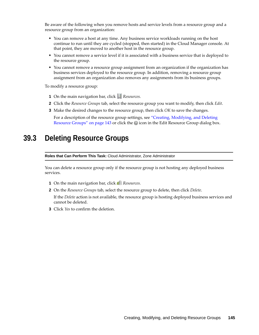Be aware of the following when you remove hosts and service levels from a resource group and a resource group from an organization:

- You can remove a host at any time. Any business service workloads running on the host continue to run until they are cycled (stopped, then started) in the Cloud Manager console. At that point, they are moved to another host in the resource group.
- You cannot remove a service level if it is associated with a business service that is deployed to the resource group.
- You cannot remove a resource group assignment from an organization if the organization has business services deployed to the resource group. In addition, removing a resource group assignment from an organization also removes any assignments from its business groups.

To modify a resource group:

- **1** On the main navigation bar, click **R**esources.
- **2** Click the *Resource Groups* tab, select the resource group you want to modify, then click *Edit*.
- **3** Make the desired changes to the resource group, then click *OK* to save the changes.

For a description of the resource group settings, see ["Creating, Modifying, and Deleting](#page-142-0)  [Resource Groups" on page 143](#page-142-0) or click the  $\bullet$  icon in the Edit Resource Group dialog box.

### **39.3 Deleting Resource Groups**

**Roles that Can Perform This Task:** Cloud Administrator, Zone Administrator

You can delete a resource group only if the resource group is not hosting any deployed business services.

- **1** On the main navigation bar, click *Resources.*
- **2** On the *Resource Groups* tab, select the resource group to delete, then click *Delete*.

If the *Delete* action is not available, the resource group is hosting deployed business services and cannot be deleted.

**3** Click *Yes* to confirm the deletion.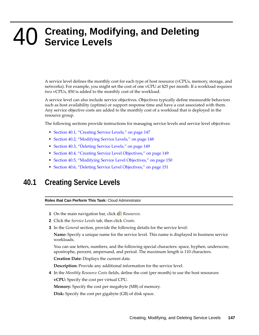# 40 <sup>40</sup>**Creating, Modifying, and Deleting Service Levels**

A service level defines the monthly cost for each type of host resource (vCPUs, memory, storage, and networks). For example, you might set the cost of one vCPU at \$25 per month. If a workload requires two vCPUs, \$50 is added to the monthly cost of the workload.

A service level can also include service objectives. Objectives typically define measurable behaviors such as host availability (uptime) or support response time and have a cost associated with them. Any service objective costs are added to the monthly cost of a workload that is deployed in the resource group.

The following sections provide instructions for managing service levels and service level objectives:

- [Section 40.1, "Creating Service Levels," on page 147](#page-146-0)
- [Section 40.2, "Modifying Service Levels," on page 148](#page-147-0)
- [Section 40.3, "Deleting Service Levels," on page 149](#page-148-0)
- [Section 40.4, "Creating Service Level Objectives," on page 149](#page-148-1)
- [Section 40.5, "Modifying Service Level Objectives," on page 150](#page-149-0)
- [Section 40.6, "Deleting Service Level Objectives," on page 151](#page-150-0)

# <span id="page-146-0"></span>**40.1 Creating Service Levels**

#### **Roles that Can Perform This Task:** Cloud Administrator

- **1** On the main navigation bar, click **Resources**.
- **2** Click the *Service Levels* tab, then click *Create*.
- **3** In the *General* section, provide the following details for the service level:

**Name:** Specify a unique name for the service level. This name is displayed in business service workloads.

You can use letters, numbers, and the following special characters: space, hyphen, underscore, apostrophe, percent, ampersand, and period. The maximum length is 110 characters.

**Creation Date:** Displays the current date.

**Description:** Provide any additional information for the service level.

**4** In the *Monthly Resource Costs* fields, define the cost (per month) to use the host resources:

**vCPU:** Specify the cost per virtual CPU.

**Memory:** Specify the cost per megabyte (MB) of memory.

**Disk:** Specify the cost per gigabyte (GB) of disk space.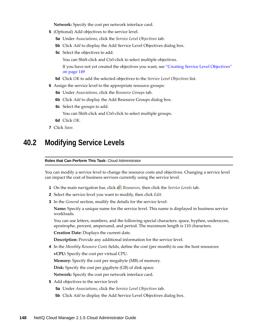**Network:** Specify the cost per network interface card.

- **5** (Optional) Add objectives to the service level.
	- **5a** Under *Associations*, click the *Service Level Objectives* tab.
	- **5b** Click *Add* to display the Add Service Level Objectives dialog box.
	- **5c** Select the objectives to add.

You can Shift-click and Ctrl-click to select multiple objectives.

If you have not yet created the objectives you want, see ["Creating Service Level Objectives"](#page-148-1)  [on page 149](#page-148-1)

- **5d** Click *OK* to add the selected objectives to the *Service Level Objectives* list.
- **6** Assign the service level to the appropriate resource groups:
	- **6a** Under *Associations*, click the *Resource Groups* tab.
	- **6b** Click *Add* to display the Add Resource Groups dialog box.
	- **6c** Select the groups to add.

You can Shift-click and Ctrl-click to select multiple groups.

- **6d** Click *OK*.
- **7** Click *Save*.

## <span id="page-147-0"></span>**40.2 Modifying Service Levels**

#### **Roles that Can Perform This Task:** Cloud Administrator

You can modify a service level to change the resource costs and objectives. Changing a service level can impact the cost of business services currently using the service level.

- **1** On the main navigation bar, click *Resources*, then click the *Service Levels* tab.
- **2** Select the service level you want to modify, then click *Edit.*
- **3** In the *General* section, modify the details for the service level:

**Name:** Specify a unique name for the service level. This name is displayed in business service workloads.

You can use letters, numbers, and the following special characters: space, hyphen, underscore, apostrophe, percent, ampersand, and period. The maximum length is 110 characters.

**Creation Date:** Displays the current date.

**Description:** Provide any additional information for the service level.

**4** In the *Monthly Resource Costs* fields, define the cost (per month) to use the host resources: **vCPU:** Specify the cost per virtual CPU.

**Memory:** Specify the cost per megabyte (MB) of memory.

**Disk:** Specify the cost per gigabyte (GB) of disk space.

**Network:** Specify the cost per network interface card.

- **5** Add objectives to the service level:
	- **5a** Under *Associations*, click the *Service Level Objectives* tab.
	- **5b** Click *Add* to display the Add Service Level Objectives dialog box.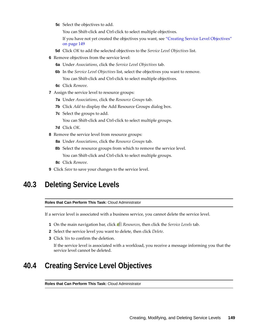**5c** Select the objectives to add.

You can Shift-click and Ctrl-click to select multiple objectives.

If you have not yet created the objectives you want, see ["Creating Service Level Objectives"](#page-148-1)  [on page 149](#page-148-1)

- **5d** Click *OK* to add the selected objectives to the *Service Level Objectives* list.
- **6** Remove objectives from the service level:
	- **6a** Under *Associations*, click the *Service Level Objectives* tab.
	- **6b** In the *Service Level Objectives* list, select the objectives you want to remove. You can Shift-click and Ctrl-click to select multiple objectives.
	- **6c** Click *Remove*.
- **7** Assign the service level to resource groups:
	- **7a** Under *Associations*, click the *Resource Groups* tab.
	- **7b** Click *Add* to display the Add Resource Groups dialog box.
	- **7c** Select the groups to add.

You can Shift-click and Ctrl-click to select multiple groups.

- **7d** Click *OK*.
- **8** Remove the service level from resource groups:
	- **8a** Under *Associations*, click the *Resource Groups* tab.
	- **8b** Select the resource groups from which to remove the service level. You can Shift-click and Ctrl-click to select multiple groups.
	- **8c** Click *Remove*.
- **9** Click *Save* to save your changes to the service level.

## <span id="page-148-0"></span>**40.3 Deleting Service Levels**

**Roles that Can Perform This Task:** Cloud Administrator

If a service level is associated with a business service, you cannot delete the service level.

- **1** On the main navigation bar, click *Resources*, then click the *Service Levels* tab.
- **2** Select the service level you want to delete, then click *Delete*.
- **3** Click *Yes* to confirm the deletion.

If the service level is associated with a workload, you receive a message informing you that the service level cannot be deleted.

## <span id="page-148-1"></span>**40.4 Creating Service Level Objectives**

**Roles that Can Perform This Task:** Cloud Administrator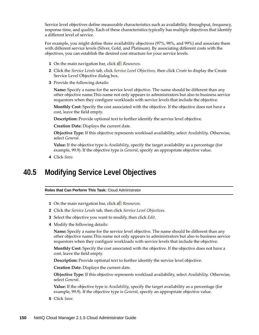Service level objectives define measurable characteristics such as availability, throughput, frequency, response time, and quality. Each of these characteristics typically has multiple objectives that identify a different level of service.

For example, you might define three availability objectives (97%, 98%, and 99%) and associate them with different service levels (Silver, Gold, and Platinum). By associating different costs with the objectives, you can establish the desired cost structure for your service levels.

- **1** On the main navigation bar, click *Resources.*
- **2** Click the *Service Levels* tab, click *Service Level Objectives*, then click *Create* to display the Create Service Level Objective dialog box.
- **3** Provide the following details:

**Name:** Specify a name for the service level objective. The name should be different than any other objective name.This name not only appears to administrators but also to business service requestors when they configure workloads with service levels that include the objective.

**Monthly Cost:** Specify the cost associated with the objective. If the objective does not have a cost, leave the field empty.

**Description:** Provide optional text to further identify the service level objective.

**Creation Date:** Displays the current date.

**Objective Type:** If this objective represents workload availability, select *Availability*. Otherwise, select *General*.

**Value:** If the objective type is *Availability*, specify the target availability as a percentage (for example, 99.9). If the objective type is *General*, specify an appropriate objective value.

**4** Click *Save*.

## <span id="page-149-0"></span>**40.5 Modifying Service Level Objectives**

**Roles that Can Perform This Task:** Cloud Administrator

- **1** On the main navigation bar, click *Resources.*
- **2** Click the *Service Levels* tab, then click *Service Level Objectives*.
- **3** Select the objective you want to modify, then click *Edit*.
- **4** Modify the following details:

**Name:** Specify a name for the service level objective. The name should be different than any other objective name.This name not only appears to administrators but also to business service requestors when they configure workloads with service levels that include the objective.

**Monthly Cost:** Specify the cost associated with the objective. If the objective does not have a cost, leave the field empty.

**Description:** Provide optional text to further identify the service level objective.

**Creation Date:** Displays the current date.

**Objective Type:** If this objective represents workload availability, select *Availability*. Otherwise, select *General*.

**Value:** If the objective type is *Availability*, specify the target availability as a percentage (for example, 99.9). If the objective type is *General*, specify an appropriate objective value.

**5** Click *Save*.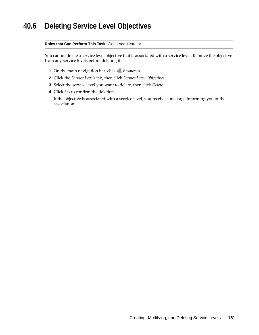# <span id="page-150-0"></span>**40.6 Deleting Service Level Objectives**

#### **Roles that Can Perform This Task:** Cloud Administrator

You cannot delete a service level objective that is associated with a service level. Remove the objective from any service levels before deleting it.

- **1** On the main navigation bar, click *Resources.*
- **2** Click the *Service Levels* tab, then click *Service Level Objectives*.
- **3** Select the service level you want to delete, then click *Delete*.
- **4** Click *Yes* to confirm the deletion.

If the objective is associated with a service level, you receive a message informing you of the association.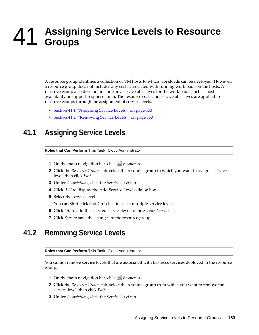### 41 <sup>41</sup>**Assigning Service Levels to Resource Groups**

A resource group identifies a collection of VM hosts to which workloads can be deployed. However, a resource group does not includes any costs associated with running workloads on the hosts. A resource group also does not include any service objectives for the workloads (such as host availability or support response time). The resource costs and service objectives are applied to resource groups through the assignment of service levels.

- [Section 41.1, "Assigning Service Levels," on page 153](#page-152-0)
- [Section 41.2, "Removing Service Levels," on page 153](#page-152-1)

# <span id="page-152-0"></span>**41.1 Assigning Service Levels**

#### **Roles that Can Perform This Task:** Cloud Administrator

- **1** On the main navigation bar, click **R**esources.
- **2** Click the *Resource Groups* tab, select the resource group to which you want to assign a service level, then click *Edit*.
- **3** Under *Associations*, click the *Service Level* tab.
- **4** Click *Add* to display the Add Service Levels dialog box.
- **5** Select the service level.

You can Shift-click and Ctrl-click to select multiple service levels.

- **6** Click *OK* to add the selected service level to the *Service Levels* list.
- **7** Click *Save* to save the changes to the resource group.

### <span id="page-152-1"></span>**41.2 Removing Service Levels**

#### **Roles that Can Perform This Task:** Cloud Administrator

You cannot remove service levels that are associated with business services deployed in the resource group.

- **1** On the main navigation bar, click **Resources**.
- **2** Click the *Resource Groups* tab, select the resource group from which you want to remove the service level, then click *Edit*.
- **3** Under *Associations*, click the *Service Level* tab.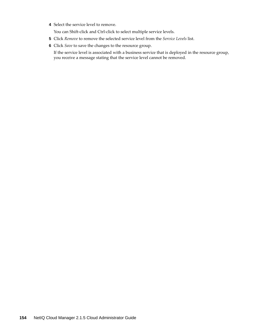**4** Select the service level to remove.

You can Shift-click and Ctrl-click to select multiple service levels.

- **5** Click *Remove* to remove the selected service level from the *Service Levels* list.
- **6** Click *Save* to save the changes to the resource group.

If the service level is associated with a business service that is deployed in the resource group, you receive a message stating that the service level cannot be removed.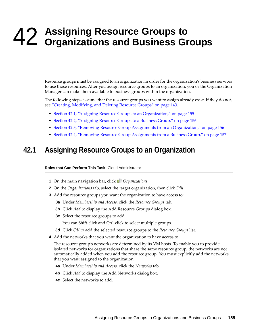# 42 <sup>42</sup>**Assigning Resource Groups to Organizations and Business Groups**

Resource groups must be assigned to an organization in order for the organization's business services to use those resources. After you assign resource groups to an organization, you or the Organization Manager can make them available to business groups within the organization.

The following steps assume that the resource groups you want to assign already exist. If they do not, see ["Creating, Modifying, and Deleting Resource Groups" on page 143.](#page-142-0)

- [Section 42.1, "Assigning Resource Groups to an Organization," on page 155](#page-154-0)
- [Section 42.2, "Assigning Resource Groups to a Business Group," on page 156](#page-155-0)
- [Section 42.3, "Removing Resource Group Assignments from an Organization," on page 156](#page-155-1)
- [Section 42.4, "Removing Resource Group Assignments from a Business Group," on page 157](#page-156-0)

### <span id="page-154-0"></span>**42.1 Assigning Resource Groups to an Organization**

**Roles that Can Perform This Task:** Cloud Administrator

- **1** On the main navigation bar, click *Organizations.*
- **2** On the *Organizations* tab, select the target organization, then click *Edit*.
- **3** Add the resource groups you want the organization to have access to:
	- **3a** Under *Membership and Access*, click the *Resource Groups* tab.
	- **3b** Click *Add* to display the Add Resource Groups dialog box.
	- **3c** Select the resource groups to add.

You can Shift-click and Ctrl-click to select multiple groups.

- **3d** Click *OK* to add the selected resource groups to the *Resource Groups* list.
- **4** Add the networks that you want the organization to have access to.

The resource group's networks are determined by its VM hosts. To enable you to provide isolated networks for organizations that share the same resource group, the networks are not automatically added when you add the resource group. You must explicitly add the networks that you want assigned to the organization.

- **4a** Under *Membership and Access*, click the *Networks* tab.
- **4b** Click *Add* to display the Add Networks dialog box.
- **4c** Select the networks to add.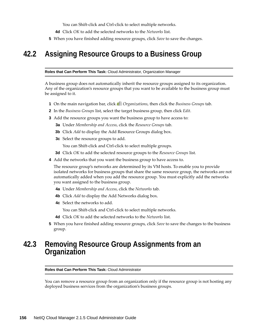You can Shift-click and Ctrl-click to select multiple networks.

- **4d** Click *OK* to add the selected networks to the *Networks* list.
- **5** When you have finished adding resource groups, click *Save* to save the changes.

## <span id="page-155-0"></span>**42.2 Assigning Resource Groups to a Business Group**

**Roles that Can Perform This Task:** Cloud Administrator, Organization Manager

A business group does not automatically inherit the resource groups assigned to its organization. Any of the organization's resource groups that you want to be available to the business group must be assigned to it.

- **1** On the main navigation bar, click *Organizations*, then click the *Business Groups* tab.
- **2** In the *Business Groups* list, select the target business group, then click *Edit*.
- **3** Add the resource groups you want the business group to have access to:
	- **3a** Under *Membership and Access*, click the *Resource Groups* tab.
	- **3b** Click *Add* to display the Add Resource Groups dialog box.
	- **3c** Select the resource groups to add.
		- You can Shift-click and Ctrl-click to select multiple groups.
	- **3d** Click *OK* to add the selected resource groups to the *Resource Groups* list.
- **4** Add the networks that you want the business group to have access to.

The resource group's networks are determined by its VM hosts. To enable you to provide isolated networks for business groups that share the same resource group, the networks are not automatically added when you add the resource group. You must explicitly add the networks you want assigned to the business group.

- **4a** Under *Membership and Access*, click the *Networks* tab.
- **4b** Click *Add* to display the Add Networks dialog box.
- **4c** Select the networks to add.

You can Shift-click and Ctrl-click to select multiple networks.

- **4d** Click *OK* to add the selected networks to the *Networks* list.
- **5** When you have finished adding resource groups, click *Save* to save the changes to the business group.

### <span id="page-155-1"></span>**42.3 Removing Resource Group Assignments from an Organization**

#### **Roles that Can Perform This Task:** Cloud Administrator

You can remove a resource group from an organization only if the resource group is not hosting any deployed business services from the organization's business groups.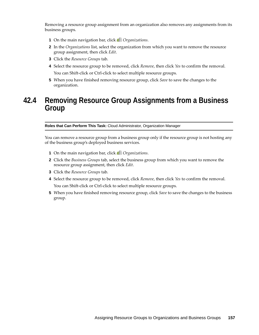Removing a resource group assignment from an organization also removes any assignments from its business groups.

- **1** On the main navigation bar, click *Organizations*.
- **2** In the *Organizations* list, select the organization from which you want to remove the resource group assignment, then click *Edit*.
- **3** Click the *Resource Groups* tab.
- **4** Select the resource group to be removed, click *Remove*, then click *Yes* to confirm the removal. You can Shift-click or Ctrl-click to select multiple resource groups.
- **5** When you have finished removing resource group, click *Save* to save the changes to the organization.

## <span id="page-156-0"></span>**42.4 Removing Resource Group Assignments from a Business Group**

**Roles that Can Perform This Task:** Cloud Administrator, Organization Manager

You can remove a resource group from a business group only if the resource group is not hosting any of the business group's deployed business services.

- **1** On the main navigation bar, click *Organizations*.
- **2** Click the *Business Groups* tab, select the business group from which you want to remove the resource group assignment, then click *Edit*.
- **3** Click the *Resource Groups* tab.
- **4** Select the resource group to be removed, click *Remove*, then click *Yes* to confirm the removal.

You can Shift-click or Ctrl-click to select multiple resource groups.

**5** When you have finished removing resource group, click *Save* to save the changes to the business group.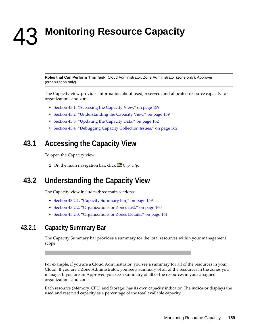**Monitoring Resource Capacity** 

**Roles that Can Perform This Task:** Cloud Administrator, Zone Administrator (zone only), Approver (organization only)

The Capacity view provides information about used, reserved, and allocated resource capacity for organizations and zones.

- [Section 43.1, "Accessing the Capacity View," on page 159](#page-158-0)
- [Section 43.2, "Understanding the Capacity View," on page 159](#page-158-1)
- [Section 43.3, "Updating the Capacity Data," on page 162](#page-161-0)
- [Section 43.4, "Debugging Capacity Collection Issues," on page 162](#page-161-1)

## <span id="page-158-0"></span>**43.1 Accessing the Capacity View**

To open the Capacity view:

43

**1** On the main navigation bar, click **E** Capacity.

# <span id="page-158-1"></span>**43.2 Understanding the Capacity View**

The Capacity view includes three main sections:

- [Section 43.2.1, "Capacity Summary Bar," on page 159](#page-158-2)
- [Section 43.2.2, "Organizations or Zones List," on page 160](#page-159-0)
- [Section 43.2.3, "Organizations or Zones Details," on page 161](#page-160-0)

#### <span id="page-158-2"></span>**43.2.1 Capacity Summary Bar**

The Capacity Summary bar provides a summary for the total resources within your management scope.

For example, if you are a Cloud Administrator, you see a summary for all of the resources in your Cloud. If you are a Zone Administrator, you see a summary of all of the resources in the zones you manage. If you are an Approver, you see a summary of all of the resources in your assigned organizations and zones.

Each resource (Memory, CPU, and Storage) has its own capacity indicator. The indicator displays the used and reserved capacity as a percentage of the total available capacity.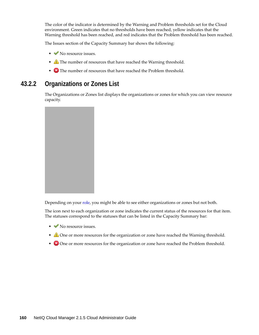The color of the indicator is determined by the Warning and Problem thresholds set for the Cloud environment. Green indicates that no thresholds have been reached, yellow indicates that the Warning threshold has been reached, and red indicates that the Problem threshold has been reached.

The Issues section of the Capacity Summary bar shows the following:

- No resource issues.
- **The number of resources that have reached the Warning threshold.**
- The number of resources that have reached the Problem threshold.

#### <span id="page-159-0"></span>**43.2.2 Organizations or Zones List**

The Organizations or Zones list displays the organizations or zones for which you can view resource capacity.



Depending on your [role](#page-62-0), you might be able to see either organizations or zones but not both.

The icon next to each organization or zone indicates the current status of the resources for that item. The statuses correspond to the statuses that can be listed in the Capacity Summary bar:

- No resource issues.
- $\triangle$  One or more resources for the organization or zone have reached the Warning threshold.
- One or more resources for the organization or zone have reached the Problem threshold.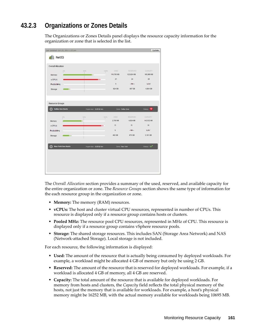### <span id="page-160-0"></span>**43.2.3 Organizations or Zones Details**

The Organizations or Zones Details panel displays the resource capacity information for the organization or zone that is selected in the list.

| Last Updated: Oct 25, 2011 1:32 pm                                                                                                    |                           |                       |      |                                |                                                 | Update                                     |
|---------------------------------------------------------------------------------------------------------------------------------------|---------------------------|-----------------------|------|--------------------------------|-------------------------------------------------|--------------------------------------------|
| NetIQ                                                                                                                                 |                           |                       |      |                                |                                                 |                                            |
| <b>Overal Alocation</b>                                                                                                               |                           |                       |      |                                |                                                 |                                            |
| <b>Memory</b><br><b>VCPUS</b><br>Popied MHz                                                                                           | D%                        | 50%<br>Ξ              | 100% | USED:<br>116,700 MB<br>21<br>Ð | <b>RESERVED</b><br>122,624 MB<br>24<br>$-105 -$ | <b>CARLCITY</b><br>165,969 MB<br>28<br>20% |
| Storage                                                                                                                               | - 1                       |                       |      | 624 GB                         | 887.08                                          | 4,854 0B                                   |
| <b>Resource Groups</b><br><b>Dallas Xen Hosts</b><br>$\boldsymbol{\times}$<br>Hypervisor: SUSE to Xen<br>Zone: Dallas Zone<br>Status: |                           |                       |      |                                |                                                 |                                            |
|                                                                                                                                       | 0%                        | 50%                   | 100% | USED.                          | RESERVED                                        | <b>CARACITY</b>                            |
| <b>Memory</b><br><b>VCPUS</b>                                                                                                         |                           |                       |      | 2,700 MB<br>13                 | 4,624108<br>15                                  | 143,532108<br>16                           |
| Popied MHz                                                                                                                            |                           |                       |      | b.                             | $-106 -$                                        | 2097                                       |
| Storage                                                                                                                               | . .                       |                       |      | 462.08                         | 675 GB                                          | 3,181.08                                   |
|                                                                                                                                       | <b>New York Xen Hosts</b> | Hypervisor: SUSE@ Xen |      | Zone: New York                 |                                                 | Status: 40                                 |
|                                                                                                                                       |                           |                       |      |                                |                                                 |                                            |
|                                                                                                                                       |                           |                       |      |                                |                                                 |                                            |
|                                                                                                                                       |                           |                       |      |                                |                                                 |                                            |

The *Overall Allocation* section provides a summary of the used, reserved, and available capacity for the entire organization or zone. The *Resource Groups* section shows the same type of information for the each resource group in the organization or zone.

- **Memory:** The memory (RAM) resources.
- **vCPUs:** The host and cluster virtual CPU resources, represented in number of CPUs. This resource is displayed only if a resource group contains hosts or clusters.
- **Pooled MHz:** The resource pool CPU resources, represented in MHz of CPU. This resource is displayed only if a resource group contains vSphere resource pools.
- **Storage:** The shared storage resources. This includes SAN (Storage Area Network) and NAS (Network-attached Storage). Local storage is not included.

For each resource, the following information is displayed:

- **Used:** The amount of the resource that is actually being consumed by deployed workloads. For example, a workload might be allocated 4 GB of memory but only be using 2 GB.
- **Reserved:** The amount of the resource that is reserved for deployed workloads. For example, if a workload is allocated 4 GB of memory, all 4 GB are reserved.
- **Capacity:** The total amount of the resource that is available for deployed workloads. For memory from hosts and clusters, the *Capacity* field reflects the total physical memory of the hosts, not just the memory that is available for workloads. For example, a host's physical memory might be 16252 MB, with the actual memory available for workloads being 10695 MB.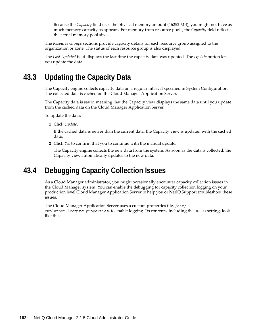Because the *Capacity* field uses the physical memory amount (16252 MB), you might not have as much memory capacity as appears. For memory from resource pools, the *Capacity* field reflects the actual memory pool size.

The *Resource Groups* sections provide capacity details for each resource group assigned to the organization or zone. The status of each resource group is also displayed.

The *Last Updated* field displays the last time the capacity data was updated. The *Update* button lets you update the data.

# <span id="page-161-0"></span>**43.3 Updating the Capacity Data**

The Capacity engine collects capacity data on a regular interval specified in System Configuration. The collected data is cached on the Cloud Manager Application Server.

The Capacity data is static, meaning that the Capacity view displays the same data until you update from the cached data on the Cloud Manager Application Server.

To update the data:

**1** Click *Update*.

If the cached data is newer than the current data, the Capacity view is updated with the cached data.

**2** Click *Yes* to confirm that you to continue with the manual update.

The Capacity engine collects the new data from the system. As soon as the data is collected, the Capacity view automatically updates to the new data.

# <span id="page-161-1"></span>**43.4 Debugging Capacity Collection Issues**

As a Cloud Manager administrator, you might occasionally encounter capacity collection issues in the Cloud Manager system. You can enable the debugging for capacity collection logging on your production level Cloud Manager Application Server to help you or NetIQ Support troubleshoot these issues.

The Cloud Manager Application Server uses a custom properties file, /etc/ cmplanner.logging.properties, to enable logging. Its contents, including the DEBUG setting, look like this: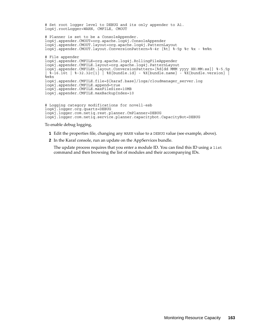# Set root logger level to DEBUG and its only appender to A1. log4j.rootLogger=WARN, CMFILE, CMOUT # Planner is set to be a ConsoleAppender. log4j.appender.CMOUT=org.apache.log4j.ConsoleAppender log4j.appender.CMOUT.layout=org.apache.log4j.PatternLayout log4j.appender.CMOUT.layout.ConversionPattern=%-4r [%t] %-5p %c %x - %m%n # File appender log4j.appender.CMFILE=org.apache.log4j.RollingFileAppender log4j.appender.CMFILE.layout=org.apache.log4j.PatternLayout log4j.appender.CMFILEt.layout.ConversionPattern=[%d{dd MMM yyyy HH:MM:ss}] %-5.5p |  $\bar{\ast}$ -16.16t |  $\bar{\ast}$ -32.32c{1} |  $\bar{\ast}$ X{bundle.id} -  $\bar{\ast}$ X{bundle.name} -  $\bar{\ast}$ X{bundle.version} |  $\sin$ sm $\sin$ log4j.appender.CMFILE.file=\${karaf.base}/logs/cloudmanager\_server.log log4j.appender.CMFILE.append=true log4j.appender.CMFILE.maxFileSize=10MB log4j.appender.CMFILE.maxBackupIndex=10 # Logging category modifications for novell-esb log4j.logger.org.quartz=DEBUG

log4j.logger.com.netiq.service.planner.capacitybot.CapacityBot=DEBUG

To enable debug logging,

**1** Edit the properties file, changing any WARN value to a DEBUG value (see example, above).

**2** In the Karaf console, run an update on the AppServices bundle.

log4j.logger.com.netiq.rest.planner.CmPlanner=DEBUG

The update process requires that you enter a module ID. You can find this ID using a list command and then browsing the list of modules and their accompanying IDs.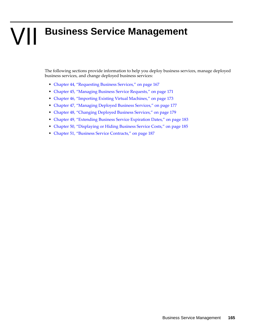# VII **Business Service Management**

The following sections provide information to help you deploy business services, manage deployed business services, and change deployed business services:

- [Chapter 44, "Requesting Business Services," on page 167](#page-166-0)
- [Chapter 45, "Managing Business Service Requests," on page 171](#page-170-0)
- [Chapter 46, "Importing Existing Virtual Machines," on page 173](#page-172-0)
- [Chapter 47, "Managing Deployed Business Services," on page 177](#page-176-0)
- [Chapter 48, "Changing Deployed Business Services," on page 179](#page-178-0)
- [Chapter 49, "Extending Business Service Expiration Dates," on page 183](#page-182-0)
- [Chapter 50, "Displaying or Hiding Business Service Costs," on page 185](#page-184-0)
- [Chapter 51, "Business Service Contracts," on page 187](#page-186-0)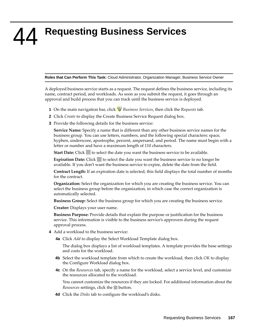<span id="page-166-0"></span>44 <sup>44</sup>**Requesting Business Services**

**Roles that Can Perform This Task:** Cloud Administrator, Organization Manager, Business Service Owner

A deployed business service starts as a request. The request defines the business service, including its name, contract period, and workloads. As soon as you submit the request, it goes through an approval and build process that you can track until the business service is deployed.

- **1** On the main navigation bar, click *Business Services*, then click the *Requests* tab.
- **2** Click *Create* to display the Create Business Service Request dialog box.
- **3** Provide the following details for the business service:

**Service Name:** Specify a name that is different than any other business service names for the business group. You can use letters, numbers, and the following special characters: space, hyphen, underscore, apostrophe, percent, ampersand, and period. The name must begin with a letter or number and have a maximum length of 110 characters.

**Start Date:** Click to select the date you want the business service to be available.

**Expiration Date:** Click to select the date you want the business service to no longer be available. If you don't want the business service to expire, delete the date from the field.

**Contract Length:** If an expiration date is selected, this field displays the total number of months for the contract.

**Organization:** Select the organization for which you are creating the business service. You can select the business group before the organization, in which case the correct organization is automatically selected.

**Business Group:** Select the business group for which you are creating the business service.

**Creator:** Displays your user name.

**Business Purpose:** Provide details that explain the purpose or justification for the business service. This information is visible to the business service's approvers during the request approval process.

- <span id="page-166-1"></span>**4** Add a workload to the business service:
	- **4a** Click *Add* to display the Select Workload Template dialog box.

The dialog box displays a list of workload templates. A template provides the base settings and costs for the workload.

- **4b** Select the workload template from which to create the workload, then click *OK* to display the Configure Workload dialog box.
- **4c** On the *Resources* tab, specify a name for the workload, select a service level, and customize the resources allocated to the workload.

You cannot customize the resources if they are locked. For additional information about the *Resources* settings, click the button.

**4d** Click the *Disks* tab to configure the workload's disks.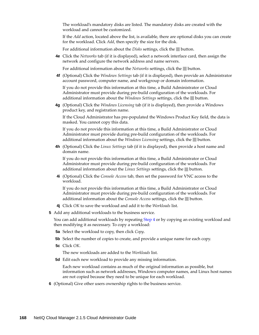The workload's mandatory disks are listed. The mandatory disks are created with the workload and cannot be customized.

If the *Add* action, located above the list, is available, there are optional disks you can create for the workload. Click *Add*, then specify the size for the disk.

For additional information about the *Disks* settings, click the button.

**4e** Click the *Networks* tab (if it is displayed), select a network interface card, then assign the network and configure the network address and name servers.

For additional information about the *Networks* settings, click the **button**.

**4f** (Optional) Click the *Windows Settings* tab (if it is displayed), then provide an Administrator account password, computer name, and workgroup or domain information.

If you do not provide this information at this time, a Build Administrator or Cloud Administrator must provide during pre-build configuration of the workloads. For additional information about the *Windows Settings* settings, click the **button**.

**4g** (Optional) Click the *Windows Licensing* tab (if it is displayed), then provide a Windows product key, and registration name.

If the Cloud Administrator has pre-populated the Windows Product Key field, the data is masked. You cannot copy this data.

If you do not provide this information at this time, a Build Administrator or Cloud Administrator must provide during pre-build configuration of the workloads. For additional information about the *Windows Licensing* settings, click the **button**.

**4h** (Optional) Click the *Linux Settings* tab (if it is displayed), then provide a host name and domain name.

If you do not provide this information at this time, a Build Administrator or Cloud Administrator must provide during pre-build configuration of the workloads. For additional information about the *Linux Settings* settings, click the button.

**4i** (Optional) Click the *Console Access* tab, then set the password for VNC access to the workload.

If you do not provide this information at this time, a Build Administrator or Cloud Administrator must provide during pre-build configuration of the workloads. For additional information about the *Console Access* settings, click the button.

- **4j** Click *OK* to save the workload and add it to the *Workloads* list.
- **5** Add any additional workloads to the business service.

You can add additional workloads by repeating [Step 4](#page-166-1) or by copying an existing workload and then modifying it as necessary. To copy a workload:

- **5a** Select the workload to copy, then click *Copy*.
- **5b** Select the number of copies to create, and provide a unique name for each copy.
- **5c** Click *OK*.

The new workloads are added to the *Workloads* list.

**5d** Edit each new workload to provide any missing information.

Each new workload contains as much of the original information as possible, but information such as network addresses, Windows computer names, and Linux host names are not copied because they need to be unique for each workload.

**6** (Optional) Give other users ownership rights to the business service.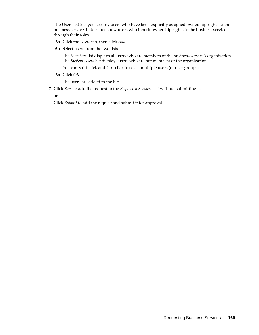The Users list lets you see any users who have been explicitly assigned ownership rights to the business service. It does not show users who inherit ownership rights to the business service through their roles.

- **6a** Click the *Users* tab, then click *Add*.
- **6b** Select users from the two lists.

The *Members* list displays all users who are members of the business service's organization. The *System Users* list displays users who are not members of the organization.

You can Shift-click and Ctrl-click to select multiple users (or user groups).

**6c** Click *OK*.

The users are added to the list.

**7** Click *Save* to add the request to the *Requested Services* list without submitting it.

or

Click *Submit* to add the request and submit it for approval.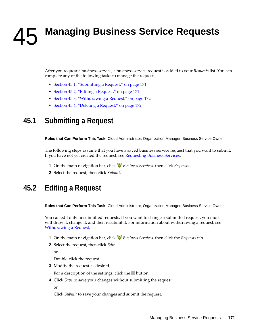# <span id="page-170-0"></span>45 <sup>45</sup>**Managing Business Service Requests**

After you request a business service, a business service request is added to your *Requests* list. You can complete any of the following tasks to manage the request.

- [Section 45.1, "Submitting a Request," on page 171](#page-170-1)
- [Section 45.2, "Editing a Request," on page 171](#page-170-2)
- [Section 45.3, "Withdrawing a Request," on page 172](#page-171-0)
- [Section 45.4, "Deleting a Request," on page 172](#page-171-1)

# <span id="page-170-1"></span>**45.1 Submitting a Request**

**Roles that Can Perform This Task:** Cloud Administrator, Organization Manager, Business Service Owner

The following steps assume that you have a saved business service request that you want to submit. If you have not yet created the request, see [Requesting Business Services](#page-166-0).

- **1** On the main navigation bar, click *Business Services*, then click *Requests*.
- **2** Select the request, then click *Submit*.

# <span id="page-170-2"></span>**45.2 Editing a Request**

**Roles that Can Perform This Task:** Cloud Administrator, Organization Manager, Business Service Owner

You can edit only unsubmitted requests. If you want to change a submitted request, you must withdraw it, change it, and then resubmit it. For information about withdrawing a request, see [Withdrawing a Request.](#page-171-0)

- **1** On the main navigation bar, click *Business Services*, then click the *Requests* tab.
- **2** Select the request, then click *Edit*.

or

Double-click the request.

**3** Modify the request as desired.

For a description of the settings, click the button.

**4** Click *Save* to save your changes without submitting the request.

or

Click *Submit* to save your changes and submit the request.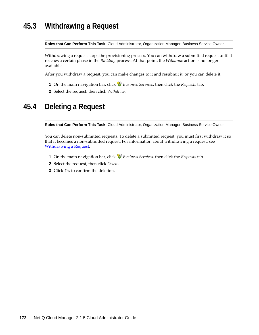# <span id="page-171-0"></span>**45.3 Withdrawing a Request**

**Roles that Can Perform This Task:** Cloud Administrator, Organization Manager, Business Service Owner

Withdrawing a request stops the provisioning process. You can withdraw a submitted request until it reaches a certain phase in the *Building* process. At that point, the *Withdraw* action is no longer available.

After you withdraw a request, you can make changes to it and resubmit it, or you can delete it.

- **1** On the main navigation bar, click *Business Services*, then click the *Requests* tab.
- **2** Select the request, then click *Withdraw*.

# <span id="page-171-1"></span>**45.4 Deleting a Request**

**Roles that Can Perform This Task:** Cloud Administrator, Organization Manager, Business Service Owner

You can delete non-submitted requests. To delete a submitted request, you must first withdraw it so that it becomes a non-submitted request. For information about withdrawing a request, see [Withdrawing a Request.](#page-171-0)

- **1** On the main navigation bar, click *Business Services*, then click the *Requests* tab.
- **2** Select the request, then click *Delete*.
- **3** Click *Yes* to confirm the deletion.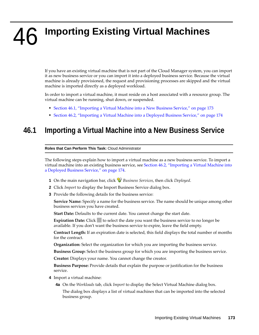# <span id="page-172-0"></span>46 **Importing Existing Virtual Machines**

If you have an existing virtual machine that is not part of the Cloud Manager system, you can import it as new business service or you can import it into a deployed business service. Because the virtual machine is already provisioned, the request and provisioning processes are skipped and the virtual machine is imported directly as a deployed workload.

In order to import a virtual machine, it must reside on a host associated with a resource group. The virtual machine can be running, shut down, or suspended.

- [Section 46.1, "Importing a Virtual Machine into a New Business Service," on page 173](#page-172-1)
- [Section 46.2, "Importing a Virtual Machine into a Deployed Business Service," on page 174](#page-173-0)

# <span id="page-172-1"></span>**46.1 Importing a Virtual Machine into a New Business Service**

**Roles that Can Perform This Task:** Cloud Administrator

The following steps explain how to import a virtual machine as a new business service. To import a virtual machine into an existing business service, see [Section 46.2, "Importing a Virtual Machine into](#page-173-0)  [a Deployed Business Service," on page 174](#page-173-0).

- **1** On the main navigation bar, click *Business Services*, then click *Deployed*.
- **2** Click *Import* to display the Import Business Service dialog box.
- **3** Provide the following details for the business service:

**Service Name:** Specify a name for the business service. The name should be unique among other business services you have created.

**Start Date:** Defaults to the current date. You cannot change the start date.

**Expiration Date:** Click to select the date you want the business service to no longer be available. If you don't want the business service to expire, leave the field empty.

**Contract Length:** If an expiration date is selected, this field displays the total number of months for the contract.

**Organization:** Select the organization for which you are importing the business service.

**Business Group:** Select the business group for which you are importing the business service.

**Creator:** Displays your name. You cannot change the creator.

**Business Purpose:** Provide details that explain the purpose or justification for the business service.

- **4** Import a virtual machine:
	- **4a** On the *Workloads* tab, click *Import* to display the Select Virtual Machine dialog box.

The dialog box displays a list of virtual machines that can be imported into the selected business group.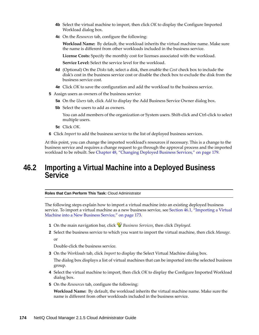- **4b** Select the virtual machine to import, then click *OK* to display the Configure Imported Workload dialog box.
- **4c** On the *Resources* tab, configure the following:

**Workload Name:** By default, the workload inherits the virtual machine name. Make sure the name is different from other workloads included in the business service.

**License Costs:** Specify the monthly cost for licenses associated with the workload.

**Service Level:** Select the service level for the workload.

- **4d** (Optional) On the *Disks* tab, select a disk, then enable the *Cost* check box to include the disk's cost in the business service cost or disable the check box to exclude the disk from the business service cost.
- **4e** Click *OK* to save the configuration and add the workload to the business service.
- **5** Assign users as owners of the business service:
	- **5a** On the *Users* tab, click *Add* to display the Add Business Service Owner dialog box.
	- **5b** Select the users to add as owners.

You can add members of the organization or System users. Shift-click and Ctrl-click to select multiple users.

- **5c** Click *OK*.
- **6** Click *Import* to add the business service to the list of deployed business services.

At this point, you can change the imported workload's resources if necessary. This is a change to the business service and requires a change request to go through the approval process and the imported workload to be rebuilt. See [Chapter 48, "Changing Deployed Business Services," on page 179](#page-178-0).

# <span id="page-173-0"></span>**46.2 Importing a Virtual Machine into a Deployed Business Service**

**Roles that Can Perform This Task:** Cloud Administrator

The following steps explain how to import a virtual machine into an existing deployed business service. To import a virtual machine as a new business service, see [Section 46.1, "Importing a Virtual](#page-172-1)  [Machine into a New Business Service," on page 173](#page-172-1).

- **1** On the main navigation bar, click *Business Services*, then click *Deployed*.
- **2** Select the business service to which you want to import the virtual machine, then click *Manage*. or

Double-click the business service.

**3** On the *Workloads* tab, click *Import* to display the Select Virtual Machine dialog box.

The dialog box displays a list of virtual machines that can be imported into the selected business group.

- **4** Select the virtual machine to import, then click *OK* to display the Configure Imported Workload dialog box.
- **5** On the *Resources* tab, configure the following:

**Workload Name:** By default, the workload inherits the virtual machine name. Make sure the name is different from other workloads included in the business service.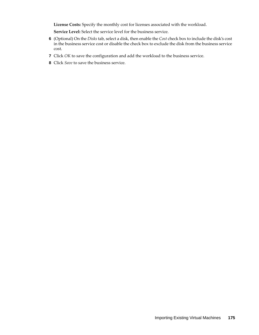**License Costs:** Specify the monthly cost for licenses associated with the workload.

**Service Level:** Select the service level for the business service.

- **6** (Optional) On the *Disks* tab, select a disk, then enable the *Cost* check box to include the disk's cost in the business service cost or disable the check box to exclude the disk from the business service cost.
- **7** Click *OK* to save the configuration and add the workload to the business service.
- **8** Click *Save* to save the business service.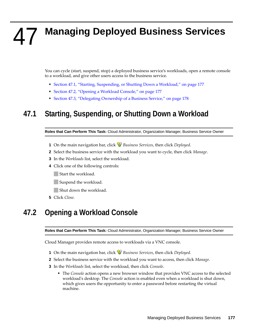# <span id="page-176-0"></span>47 <sup>47</sup>**Managing Deployed Business Services**

You can cycle (start, suspend, stop) a deployed business service's workloads, open a remote console to a workload, and give other users access to the business service.

- [Section 47.1, "Starting, Suspending, or Shutting Down a Workload," on page 177](#page-176-1)
- [Section 47.2, "Opening a Workload Console," on page 177](#page-176-2)
- [Section 47.3, "Delegating Ownership of a Business Service," on page 178](#page-177-0)

# <span id="page-176-1"></span>**47.1 Starting, Suspending, or Shutting Down a Workload**

**Roles that Can Perform This Task:** Cloud Administrator, Organization Manager, Business Service Owner

- **1** On the main navigation bar, click *Business Services*, then click *Deployed*.
- **2** Select the business service with the workload you want to cycle, then click *Manage*.
- **3** In the *Workloads* list, select the workload.
- **4** Click one of the following controls:
	- Start the workload.
	- Suspend the workload.
	- **Shut down the workload.**
- **5** Click *Close*.

# <span id="page-176-2"></span>**47.2 Opening a Workload Console**

**Roles that Can Perform This Task:** Cloud Administrator, Organization Manager, Business Service Owner

Cloud Manager provides remote access to workloads via a VNC console.

- **1** On the main navigation bar, click *Business Services*, then click *Deployed*.
- **2** Select the business service with the workload you want to access, then click *Manage*.
- **3** In the *Workloads* list, select the workload, then click *Console*.
	- The *Console* action opens a new browser window that provides VNC access to the selected workload's desktop. The *Console* action is enabled even when a workload is shut down, which gives users the opportunity to enter a password before restarting the virtual machine.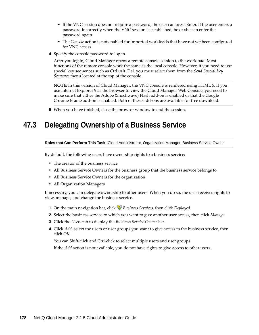- If the VNC session does not require a password, the user can press Enter. If the user enters a password incorrectly when the VNC session is established, he or she can enter the password again.
- The *Console* action is not enabled for imported workloads that have not yet been configured for VNC access.
- **4** Specify the console password to log in.

After you log in, Cloud Manager opens a remote console session to the workload. Most functions of the remote console work the same as the local console. However, if you need to use special key sequences such as Ctrl+Alt+Del, you must select them from the *Send Special Key Sequence* menu located at the top of the console.

**NOTE:** In this version of Cloud Manager, the VNC console is rendered using HTML 5. If you use Internet Explorer 9 as the browser to view the Cloud Manager Web Console, you need to make sure that either the Adobe (Shockwave) Flash add-on is enabled or that the Google Chrome Frame add-on is enabled. Both of these add-ons are available for free download.

**5** When you have finished, close the browser window to end the session.

# <span id="page-177-0"></span>**47.3 Delegating Ownership of a Business Service**

#### **Roles that Can Perform This Task:** Cloud Administrator, Organization Manager, Business Service Owner

By default, the following users have ownership rights to a business service:

- The creator of the business service
- All Business Service Owners for the business group that the business service belongs to
- All Business Service Owners for the organization
- All Organization Managers

If necessary, you can delegate ownership to other users. When you do so, the user receives rights to view, manage, and change the business service.

- **1** On the main navigation bar, click *Business Services*, then click *Deployed*.
- **2** Select the business service to which you want to give another user access, then click *Manage*.
- **3** Click the *Users* tab to display the *Business Service Owner* list.
- **4** Click *Add*, select the users or user groups you want to give access to the business service, then click *OK*.

You can Shift-click and Ctrl-click to select multiple users and user groups.

If the *Add* action is not available, you do not have rights to give access to other users.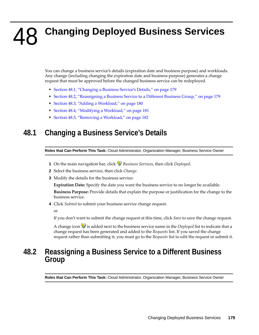# <span id="page-178-0"></span>48 <sup>48</sup>**Changing Deployed Business Services**

You can change a business service's details (expiration date and business purpose) and workloads. Any change (including changing the expiration date and business purpose) generates a change request that must be approved before the changed business service can be redeployed.

- [Section 48.1, "Changing a Business Service's Details," on page 179](#page-178-1)
- [Section 48.2, "Reassigning a Business Service to a Different Business Group," on page 179](#page-178-2)
- [Section 48.3, "Adding a Workload," on page 180](#page-179-0)
- [Section 48.4, "Modifying a Workload," on page 181](#page-180-0)
- [Section 48.5, "Removing a Workload," on page 182](#page-181-0)

# <span id="page-178-1"></span>**48.1 Changing a Business Service's Details**

**Roles that Can Perform This Task:** Cloud Administrator, Organization Manager, Business Service Owner

- **1** On the main navigation bar, click *Business Services*, then click *Deployed*.
- **2** Select the business service, then click *Change*.
- **3** Modify the details for the business service:

**Expiration Date:** Specify the date you want the business service to no longer be available.

**Business Purpose:** Provide details that explain the purpose or justification for the change to the business service.

**4** Click *Submit* to submit your business service change request.

or

If you don't want to submit the change request at this time, click *Save* to save the change request.

A change icon is added next to the business service name in the *Deployed* list to indicate that a change request has been generated and added to the *Requests* list. If you saved the change request rather than submitting it, you must go to the *Requests* list to edit the request or submit it.

## <span id="page-178-2"></span>**48.2 Reassigning a Business Service to a Different Business Group**

**Roles that Can Perform This Task:** Cloud Administrator, Organization Manager, Business Service Owner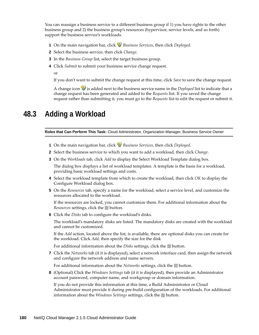You can reassign a business service to a different business group if 1) you have rights to the other business group and 2) the business group's resources (hypervisor, service levels, and so forth) support the business service's workloads.

- **1** On the main navigation bar, click *Business Services*, then click *Deployed*.
- **2** Select the business service, then click *Change*.
- **3** In the *Business Group* list, select the target business group.
- **4** Click *Submit* to submit your business service change request.

or

If you don't want to submit the change request at this time, click *Save* to save the change request.

A change icon is added next to the business service name in the *Deployed* list to indicate that a change request has been generated and added to the *Requests* list. If you saved the change request rather than submitting it, you must go to the *Requests* list to edit the request or submit it.

### <span id="page-179-0"></span>**48.3 Adding a Workload**

**Roles that Can Perform This Task:** Cloud Administrator, Organization Manager, Business Service Owner

- **1** On the main navigation bar, click *Business Services*, then click *Deployed*.
- **2** Select the business service to which you want to add a workload, then click *Change*.
- **3** On the *Workloads* tab, click *Add* to display the Select Workload Template dialog box.

The dialog box displays a list of workload templates. A template is the basis for a workload, providing basic workload settings and costs.

- **4** Select the workload template from which to create the workload, then click *OK* to display the Configure Workload dialog box.
- **5** On the *Resources* tab, specify a name for the workload, select a service level, and customize the resources allocated to the workload.

If the resources are locked, you cannot customize them. For additional information about the *Resources* settings, click the button.

**6** Click the *Disks* tab to configure the workload's disks.

The workload's mandatory disks are listed. The mandatory disks are created with the workload and cannot be customized.

If the *Add* action, located above the list, is available, there are optional disks you can create for the workload. Click *Add*, then specify the size for the disk

For additional information about the *Disks* settings, click the button.

**7** Click the *Networks* tab (if it is displayed), select a network interface card, then assign the network and configure the network address and name servers.

For additional information about the *Networks* settings, click the **button**.

**8** (Optional) Click the *Windows Settings* tab (if it is displayed), then provide an Administrator account password, computer name, and workgroup or domain information.

If you do not provide this information at this time, a Build Administrator or Cloud Administrator must provide it during pre-build configuration of the workloads. For additional information about the *Windows Settings* settings, click the button.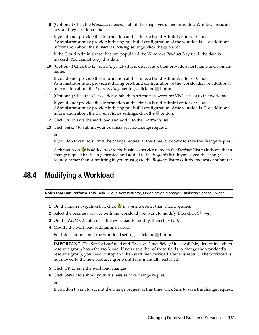**9** (Optional) Click the *Windows Licensing* tab (if it is displayed), then provide a Windows product key, and registration name.

If you do not provide this information at this time, a Build Administrator or Cloud Administrator must provide it during pre-build configuration of the workloads. For additional information about the *Windows Licensing* settings, click the button.

If the Cloud Administrator has pre-populated the Windows Product Key field, the data is masked. You cannot copy this data.

**10** (Optional) Click the *Linux Settings* tab (if it is displayed), then provide a host name and domain name.

If you do not provide this information at this time, a Build Administrator or Cloud Administrator must provide it during pre-build configuration of the workloads. For additional information about the *Linux Settings* settings, click the **button**.

**11** (Optional) Click the *Console Access* tab, then set the password for VNC access to the workload.

If you do not provide this information at this time, a Build Administrator or Cloud Administrator must provide it during pre-build configuration of the workloads. For additional information about the *Console Access* settings, click the **button**.

- **12** Click *OK* to save the workload and add it to the *Workloads* list.
- **13** Click *Submit* to submit your business service change request.

or

If you don't want to submit the change request at this time, click *Save* to save the change request.

A change icon  $\mathcal{P}$  is added next to the business service name in the *Deployed* list to indicate that a change request has been generated and added to the *Requests* list. If you saved the change request rather than submitting it, you must go to the *Requests* list to edit the request or submit it.

### **48.4 Modifying a Workload**

**Roles that Can Perform This Task:** Cloud Administrator, Organization Manager, Business Service Owner

- **1** On the main navigation bar, click *Business Services*, then click *Deployed*.
- **2** Select the business service with the workload you want to modify, then click *Change*.
- **3** On the *Workloads* tab, select the workload to modify, then click *Edit*.
- **4** Modify the workload settings as desired.

For information about the workload settings, click the button.

**IMPORTANT:** The *Service Level* field and *Resource Group* field (if it is available) determine which resource group hosts the workload. If you use either of these fields to change the workload's resource group, you need to stop and then start the workload after it is rebuilt. The workload is not moved to the new resource group until it is manually restarted.

- **5** Click *OK* to save the workload changes.
- **6** Click *Submit* to submit your business service change request.

or

If you don't want to submit the change request at this time, click *Save* to save the change request.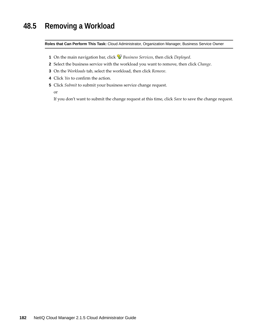### **48.5 Removing a Workload**

**Roles that Can Perform This Task:** Cloud Administrator, Organization Manager, Business Service Owner

- **1** On the main navigation bar, click *Business Services*, then click *Deployed*.
- **2** Select the business service with the workload you want to remove, then click *Change*.
- **3** On the *Workloads* tab, select the workload, then click *Remove*.
- **4** Click *Yes* to confirm the action.
- **5** Click *Submit* to submit your business service change request.

or

If you don't want to submit the change request at this time, click *Save* to save the change request.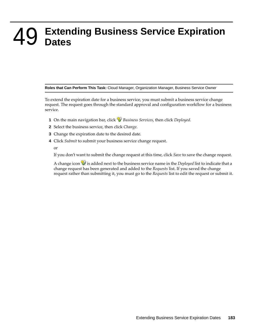# 49 <sup>49</sup>**Extending Business Service Expiration Dates**

**Roles that Can Perform This Task:** Cloud Manager, Organization Manager, Business Service Owner

To extend the expiration date for a business service, you must submit a business service change request. The request goes through the standard approval and configuration workflow for a business service.

- **1** On the main navigation bar, click *Business Services*, then click *Deployed*.
- **2** Select the business service, then click *Change*.
- **3** Change the expiration date to the desired date.
- **4** Click *Submit* to submit your business service change request.

or

If you don't want to submit the change request at this time, click *Save* to save the change request.

A change icon  $\mathcal{V}$  is added next to the business service name in the *Deployed* list to indicate that a change request has been generated and added to the *Requests* list. If you saved the change request rather than submitting it, you must go to the *Requests* list to edit the request or submit it.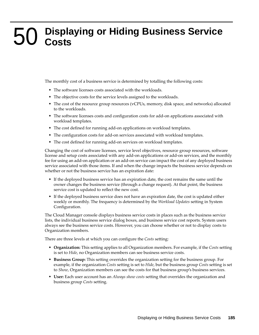# 50 <sup>50</sup>**Displaying or Hiding Business Service Costs**

The monthly cost of a business service is determined by totalling the following costs:

- The software licenses costs associated with the workloads.
- The objective costs for the service levels assigned to the workloads.
- The cost of the resource group resources (vCPUs, memory, disk space, and networks) allocated to the workloads.
- The software licenses costs and configuration costs for add-on applications associated with workload templates.
- The cost defined for running add-on applications on workload templates.
- The configuration costs for add-on services associated with workload templates.
- The cost defined for running add-on services on workload templates.

Changing the cost of software licenses, service level objectives, resource group resources, software license and setup costs associated with any add-on applications or add-on services, and the monthly fee for using an add-on application or an add-on service can impact the cost of any deployed business service associated with those items. If and when the change impacts the business service depends on whether or not the business service has an expiration date:

- If the deployed business service has an expiration date, the cost remains the same until the owner changes the business service (through a change request). At that point, the business service cost is updated to reflect the new cost.
- If the deployed business service does not have an expiration date, the cost is updated either weekly or monthly. The frequency is determined by the *Workload Updates* setting in System Configuration.

The Cloud Manager console displays business service costs in places such as the business service lists, the individual business service dialog boxes, and business service cost reports. System users always see the business service costs. However, you can choose whether or not to display costs to Organization members.

There are three levels at which you can configure the *Costs* setting:

- **Organization:** This setting applies to all Organization members. For example, if the *Costs* setting is set to *Hide*, no Organization members can see business service costs.
- **Business Group:** This setting overrides the organization setting for the business group. For example, if the organization *Costs* setting is set to *Hide*, but the business group *Costs* setting is set to *Show*, Organization members can see the costs for that business group's business services.
- **User:** Each user account has an *Always show costs* setting that overrides the organization and business group *Costs* setting.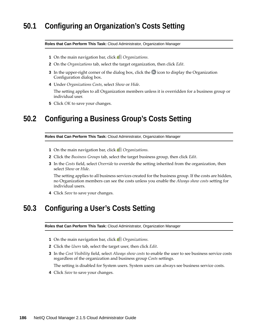### **50.1 Configuring an Organization's Costs Setting**

#### **Roles that Can Perform This Task:** Cloud Administrator, Organization Manager

- **1** On the main navigation bar, click *Organizations.*
- **2** On the *Organizations* tab, select the target organization, then click *Edit*.
- **3** In the upper-right corner of the dialog box, click the  $\mathbb{\ast}$  icon to display the Organization Configuration dialog box.
- **4** Under *Organizations Costs*, select *Show* or *Hide*.

The setting applies to all Organization members unless it is overridden for a business group or individual user.

**5** Click *OK* to save your changes.

### **50.2 Configuring a Business Group's Costs Setting**

**Roles that Can Perform This Task:** Cloud Administrator, Organization Manager

- **1** On the main navigation bar, click *Organizations.*
- **2** Click the *Business Groups* tab, select the target business group, then click *Edit*.
- **3** In the *Costs* field, select *Override* to override the setting inherited from the organization, then select *Show* or *Hide*.

The setting applies to all business services created for the business group. If the costs are hidden, no Organization members can see the costs unless you enable the *Always show costs* setting for individual users.

**4** Click *Save* to save your changes.

### **50.3 Configuring a User's Costs Setting**

**Roles that Can Perform This Task:** Cloud Administrator, Organization Manager

- **1** On the main navigation bar, click *Organizations.*
- **2** Click the *Users* tab, select the target user, then click *Edit*.
- **3** In the *Cost Visibility* field, select *Always show costs* to enable the user to see business service costs regardless of the organization and business group *Costs* settings.

The setting is disabled for System users. System users can always see business service costs.

**4** Click *Save* to save your changes.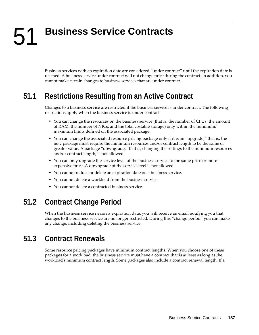# 51 <sup>51</sup>**Business Service Contracts**

Business services with an expiration date are considered "under contract" until the expiration date is reached. A business service under contract will not change price during the contract. In addition, you cannot make certain changes to business services that are under contract.

### **51.1 Restrictions Resulting from an Active Contract**

Changes to a business service are restricted if the business service is under contract. The following restrictions apply when the business service is under contract:

- You can change the resources on the business service (that is, the number of CPUs, the amount of RAM, the number of NICs, and the total costable storage) only within the minimum/ maximum limits defined on the associated package.
- You can change the associated resource pricing package only if it is an "upgrade," that is, the new package must require the minimum resources and/or contract length to be the same or greater value. A package "downgrade," that is, changing the settings to the minimum resources and/or contract length, is not allowed.
- You can only upgrade the service level of the business service to the same price or more expensive price. A downgrade of the service level is not allowed.
- You cannot reduce or delete an expiration date on a business service.
- You cannot delete a workload from the business service.
- You cannot delete a contracted business service.

### **51.2 Contract Change Period**

When the business service nears its expiration date, you will receive an email notifying you that changes to the business service are no longer restricted. During this "change period" you can make any change, including deleting the business service.

### **51.3 Contract Renewals**

Some resource pricing packages have minimum contract lengths. When you choose one of these packages for a workload, the business service must have a contract that is at least as long as the workload's minimum contract length. Some packages also include a contract renewal length. If a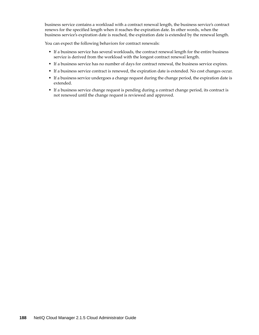business service contains a workload with a contract renewal length, the business service's contract renews for the specified length when it reaches the expiration date. In other words, when the business service's expiration date is reached, the expiration date is extended by the renewal length.

You can expect the following behaviors for contract renewals:

- If a business service has several workloads, the contract renewal length for the entire business service is derived from the workload with the longest contract renewal length.
- If a business service has no number of days for contract renewal, the business service expires.
- If a business service contract is renewed, the expiration date is extended. No cost changes occur.
- If a business service undergoes a change request during the change period, the expiration date is extended.
- If a business service change request is pending during a contract change period, its contract is not renewed until the change request is reviewed and approved.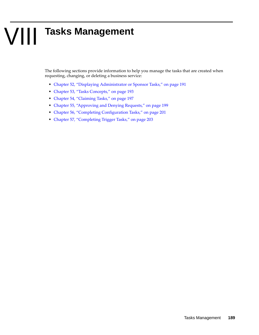# VIII **Tasks Management**

The following sections provide information to help you manage the tasks that are created when requesting, changing, or deleting a business service:

- [Chapter 52, "Displaying Administrator or Sponsor Tasks," on page 191](#page-190-0)
- [Chapter 53, "Tasks Concepts," on page 193](#page-192-0)
- [Chapter 54, "Claiming Tasks," on page 197](#page-196-0)
- [Chapter 55, "Approving and Denying Requests," on page 199](#page-198-0)
- [Chapter 56, "Completing Configuration Tasks," on page 201](#page-200-0)
- [Chapter 57, "Completing Trigger Tasks," on page 203](#page-202-0)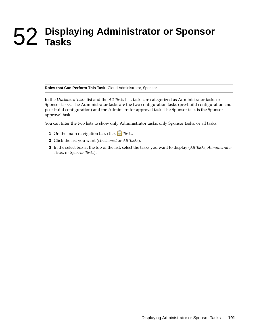# <span id="page-190-0"></span>52 <sup>52</sup>**Displaying Administrator or Sponsor Tasks**

#### **Roles that Can Perform This Task:** Cloud Administrator, Sponsor

In the *Unclaimed Tasks* list and the *All Tasks* list, tasks are categorized as Administrator tasks or Sponsor tasks. The Administrator tasks are the two configuration tasks (pre-build configuration and post-build configuration) and the Administrator approval task. The Sponsor task is the Sponsor approval task.

You can filter the two lists to show only Administrator tasks, only Sponsor tasks, or all tasks.

- **1** On the main navigation bar, click *Tasks*.
- **2** Click the list you want (*Unclaimed* or *All Tasks*).
- **3** In the select box at the top of the list, select the tasks you want to display (*All Tasks*, *Administrator Tasks*, or *Sponsor Tasks*).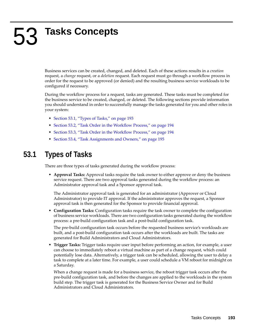# <span id="page-192-0"></span>53 <sup>53</sup>**Tasks Concepts**

Business services can be created, changed, and deleted. Each of these actions results in a *creation* request, a *change* request, or a *deletion* request. Each request must go through a workflow process in order for the request to be approved (or denied) and the resulting business service workloads to be configured if necessary.

During the workflow process for a request, tasks are generated. These tasks must be completed for the business service to be created, changed, or deleted. The following sections provide information you should understand in order to successfully manage the tasks generated for you and other roles in your system:

- [Section 53.1, "Types of Tasks," on page 193](#page-192-1)
- [Section 53.2, "Task Order in the Workflow Process," on page 194](#page-193-0)
- [Section 53.3, "Task Order in the Workflow Process," on page 194](#page-193-1)
- [Section 53.4, "Task Assignments and Owners," on page 195](#page-194-0)

### <span id="page-192-1"></span>**53.1 Types of Tasks**

There are three types of tasks generated during the workflow process:

 **Approval Tasks:** Approval tasks require the task owner to either approve or deny the business service request. There are two approval tasks generated during the workflow process: an Administrator approval task and a Sponsor approval task.

The Administrator approval task is generated for an administrator (Approver or Cloud Administrator) to provide IT approval. If the administrator approves the request, a Sponsor approval task is then generated for the Sponsor to provide financial approval.

 **Configuration Tasks:** Configuration tasks require the task owner to complete the configuration of business service workloads. There are two configuration tasks generated during the workflow process: a pre-build configuration task and a post-build configuration task.

The pre-build configuration task occurs before the requested business service's workloads are built, and a post-build configuration task occurs after the workloads are built. The tasks are generated for Build Administrators and Cloud Administrators.

 **Trigger Tasks:** Trigger tasks require user input before performing an action, for example, a user can choose to immediately reboot a virtual machine as part of a change request, which could potentially lose data. Alternatively, a trigger task can be scheduled, allowing the user to delay a task to complete at a later time. For example, a user could schedule a VM reboot for midnight on a Saturday.

When a change request is made for a business service, the reboot trigger task occurs after the pre-build configuration task, and before the changes are applied to the workloads in the system build step. The trigger task is generated for the Business Service Owner and for Build Administrators and Cloud Administrators.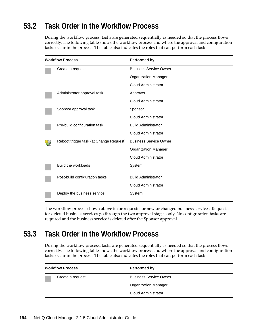### <span id="page-193-0"></span>**53.2 Task Order in the Workflow Process**

During the workflow process, tasks are generated sequentially as needed so that the process flows correctly. The following table shows the workflow process and where the approval and configuration tasks occur in the process. The table also indicates the roles that can perform each task.

| <b>Workflow Process</b> |                                         | <b>Performed by</b>           |
|-------------------------|-----------------------------------------|-------------------------------|
|                         | Create a request                        | <b>Business Service Owner</b> |
|                         |                                         | <b>Organization Manager</b>   |
|                         |                                         | <b>Cloud Administrator</b>    |
|                         | Administrator approval task             | Approver                      |
|                         |                                         | Cloud Administrator           |
|                         | Sponsor approval task                   | Sponsor                       |
|                         |                                         | Cloud Administrator           |
|                         | Pre-build configuration task            | <b>Build Administrator</b>    |
|                         |                                         | Cloud Administrator           |
|                         | Reboot trigger task (at Change Request) | <b>Business Service Owner</b> |
|                         |                                         | <b>Organization Manager</b>   |
|                         |                                         | <b>Cloud Administrator</b>    |
|                         | Build the workloads                     | System                        |
|                         | Post-build configuration tasks          | <b>Build Administrator</b>    |
|                         |                                         | <b>Cloud Administrator</b>    |
|                         | Deploy the business service             | System                        |

The workflow process shown above is for requests for new or changed business services. Requests for deleted business services go through the two approval stages only. No configuration tasks are required and the business service is deleted after the Sponsor approval.

### <span id="page-193-1"></span>**53.3 Task Order in the Workflow Process**

During the workflow process, tasks are generated sequentially as needed so that the process flows correctly. The following table shows the workflow process and where the approval and configuration tasks occur in the process. The table also indicates the roles that can perform each task.

| <b>Workflow Process</b> | Performed by                  |  |
|-------------------------|-------------------------------|--|
| Create a request        | <b>Business Service Owner</b> |  |
|                         | <b>Organization Manager</b>   |  |
|                         | Cloud Administrator           |  |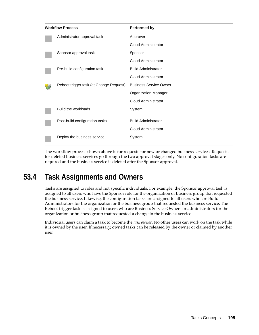| <b>Workflow Process</b> |                                         | <b>Performed by</b>           |
|-------------------------|-----------------------------------------|-------------------------------|
|                         | Administrator approval task             | Approver                      |
|                         |                                         | Cloud Administrator           |
|                         | Sponsor approval task                   | Sponsor                       |
|                         |                                         | Cloud Administrator           |
|                         | Pre-build configuration task            | <b>Build Administrator</b>    |
|                         |                                         | Cloud Administrator           |
|                         | Reboot trigger task (at Change Request) | <b>Business Service Owner</b> |
|                         |                                         | <b>Organization Manager</b>   |
|                         |                                         | Cloud Administrator           |
|                         | Build the workloads                     | System                        |
|                         | Post-build configuration tasks          | <b>Build Administrator</b>    |
|                         |                                         | Cloud Administrator           |
|                         | Deploy the business service             | System                        |

The workflow process shown above is for requests for new or changed business services. Requests for deleted business services go through the two approval stages only. No configuration tasks are required and the business service is deleted after the Sponsor approval.

### <span id="page-194-0"></span>**53.4 Task Assignments and Owners**

Tasks are assigned to roles and not specific individuals. For example, the Sponsor approval task is assigned to all users who have the Sponsor role for the organization or business group that requested the business service. Likewise, the configuration tasks are assigned to all users who are Build Administrators for the organization or the business group that requested the business service. The Reboot trigger task is assigned to users who are Business Service Owners or administrators for the organization or business group that requested a change in the business service.

Individual users can claim a task to become the *task owner*. No other users can work on the task while it is owned by the user. If necessary, owned tasks can be released by the owner or claimed by another user.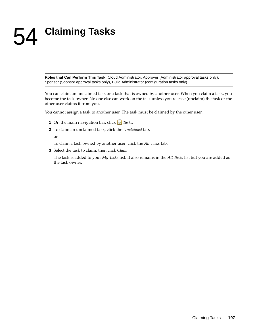# <span id="page-196-0"></span>54 <sup>54</sup>**Claiming Tasks**

**Roles that Can Perform This Task:** Cloud Administrator, Approver (Administrator approval tasks only), Sponsor (Sponsor approval tasks only), Build Administrator (configuration tasks only)

You can claim an unclaimed task or a task that is owned by another user. When you claim a task, you become the task owner. No one else can work on the task unless you release (unclaim) the task or the other user claims it from you.

You cannot assign a task to another user. The task must be claimed by the other user.

- **1** On the main navigation bar, click *Tasks*.
- **2** To claim an unclaimed task, click the *Unclaimed* tab.
	- or

To claim a task owned by another user, click the *All Tasks* tab.

**3** Select the task to claim, then click *Claim*.

The task is added to your *My Tasks* list. It also remains in the *All Tasks* list but you are added as the task owner.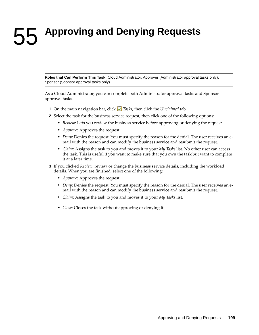<span id="page-198-0"></span>55 <sup>55</sup>**Approving and Denying Requests**

**Roles that Can Perform This Task:** Cloud Administrator, Approver (Administrator approval tasks only), Sponsor (Sponsor approval tasks only)

As a Cloud Administrator, you can complete both Administrator approval tasks and Sponsor approval tasks.

- **1** On the main navigation bar, click *Tasks*, then click the *Unclaimed* tab.
- **2** Select the task for the business service request, then click one of the following options:
	- *Review*: Lets you review the business service before approving or denying the request.
	- *Approve*: Approves the request.
	- *Deny*: Denies the request. You must specify the reason for the denial. The user receives an email with the reason and can modify the business service and resubmit the request.
	- *Claim*: Assigns the task to you and moves it to your *My Tasks* list. No other user can access the task. This is useful if you want to make sure that you own the task but want to complete it at a later time.
- **3** If you clicked *Review*, review or change the business service details, including the workload details. When you are finished, select one of the following:
	- *Approve*: Approves the request.
	- *Deny*: Denies the request. You must specify the reason for the denial. The user receives an email with the reason and can modify the business service and resubmit the request.
	- *Claim*: Assigns the task to you and moves it to your *My Tasks* list.
	- *Close*: Closes the task without approving or denying it.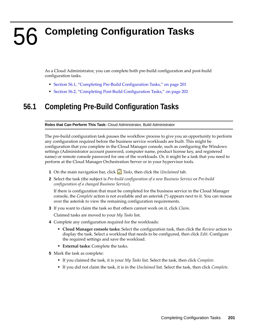# <span id="page-200-0"></span>56 <sup>56</sup>**Completing Configuration Tasks**

As a Cloud Administrator, you can complete both pre-build configuration and post-build configuration tasks.

- [Section 56.1, "Completing Pre-Build Configuration Tasks," on page 201](#page-200-1)
- [Section 56.2, "Completing Post-Build Configuration Tasks," on page 202](#page-201-0)

### <span id="page-200-1"></span>**56.1 Completing Pre-Build Configuration Tasks**

**Roles that Can Perform This Task:** Cloud Administrator, Build Administrator

The pre-build configuration task pauses the workflow process to give you an opportunity to perform any configuration required before the business service workloads are built. This might be configuration that you complete in the Cloud Manager console, such as configuring the Windows settings (Administrator account password, computer name, product license key, and registered name) or remote console password for one of the workloads. Or, it might be a task that you need to perform at the Cloud Manager Orchestration Server or in your hypervisor tools.

- **1** On the main navigation bar, click *Tasks*, then click the *Unclaimed* tab.
- **2** Select the task (the subject is *Pre-build configuration of a new Business Service* or *Pre-build configuration of a changed Business Service*).

If there is configuration that must be completed for the business service in the Cloud Manager console, the *Complete* action is not available and an asterisk (\*) appears next to it. You can mouse over the asterisk to view the remaining configuration requirements.

**3** If you want to claim the task so that others cannot work on it, click *Claim*.

Claimed tasks are moved to your *My Tasks* list.

- **4** Complete any configuration required for the workloads:
	- **Cloud Manager console tasks:** Select the configuration task, then click the *Review* action to display the task. Select a workload that needs to be configured, then click *Edit*. Configure the required settings and save the workload.
	- **External tasks:** Complete the tasks.
- **5** Mark the task as complete:
	- If you claimed the task, it is your *My Tasks* list. Select the task, then click *Complete*.
	- If you did not claim the task, it is in the *Unclaimed* list. Select the task, then click *Complete*.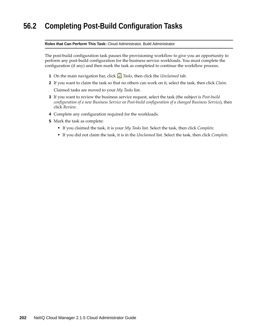### <span id="page-201-0"></span>**56.2 Completing Post-Build Configuration Tasks**

#### **Roles that Can Perform This Task:** Cloud Administrator, Build Administrator

The post-build configuration task pauses the provisioning workflow to give you an opportunity to perform any post-build configuration for the business service workloads. You must complete the configuration (if any) and then mark the task as completed to continue the workflow process.

- **1** On the main navigation bar, click *Tasks*, then click the *Unclaimed* tab.
- **2** If you want to claim the task so that no others can work on it, select the task, then click *Claim*. Claimed tasks are moved to your *My Tasks* list.
- **3** If you want to review the business service request, select the task (the subject is *Post-build configuration of a new Business Service* or *Post-build configuration of a changed Business Service*), then click *Review*.
- **4** Complete any configuration required for the workloads.
- **5** Mark the task as complete:
	- If you claimed the task, it is your *My Tasks* list. Select the task, then click *Complete*.
	- If you did not claim the task, it is in the *Unclaimed* list. Select the task, then click *Complete*.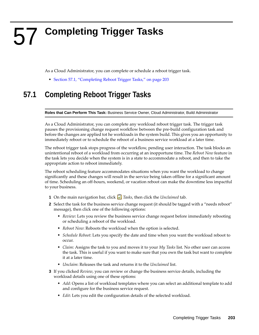# <span id="page-202-0"></span>57 <sup>57</sup>**Completing Trigger Tasks**

As a Cloud Administrator, you can complete or schedule a reboot trigger task.

[Section 57.1, "Completing Reboot Trigger Tasks," on page 203](#page-202-1)

### <span id="page-202-1"></span>**57.1 Completing Reboot Trigger Tasks**

**Roles that Can Perform This Task:** Business Service Owner, Cloud Administrator, Build Administrator

As a Cloud Administrator, you can complete any workload reboot trigger task. The trigger task pauses the provisioning change request workflow between the pre-build configuration task and before the changes are applied tot he workloads in the system build. This gives you an opportunity to immediately reboot or to schedule the reboot of a business service workload at a later time.

The reboot trigger task stops progress of the workflow, pending user interaction. The task blocks an unintentional reboot of a workload from occurring at an inopportune time. The *Reboot Now* feature in the task lets you decide when the system is in a state to accommodate a reboot, and then to take the appropriate action to reboot immediately.

The reboot scheduling feature accommodates situations when you want the workload to change significantly and these changes will result in the service being taken offline for a significant amount of time. Scheduling an off-hours, weekend, or vacation reboot can make the downtime less impactful to your business.

- **1** On the main navigation bar, click *Tasks*, then click the *Unclaimed* tab.
- **2** Select the task for the business service change request (it should be tagged with a "needs reboot" message), then click one of the following options:
	- *Review*: Lets you review the business service change request before immediately rebooting or scheduling a reboot of the workload.
	- *Reboot Now*: Reboots the workload when the option is selected.
	- *Schedule Reboot*: Lets you specify the date and time when you want the workload reboot to occur.
	- *Claim*: Assigns the task to you and moves it to your *My Tasks* list. No other user can access the task. This is useful if you want to make sure that you own the task but want to complete it at a later time.
	- *Unclaim*: Releases the task and returns it to the *Unclaimed* list.
- **3** If you clicked *Review*, you can review or change the business service details, including the workload details using one of these options:
	- *Add*: Opens a list of workload templates where you can select an additional template to add and configure for the business service request.
	- *Edit*: Lets you edit the configuration details of the selected workload.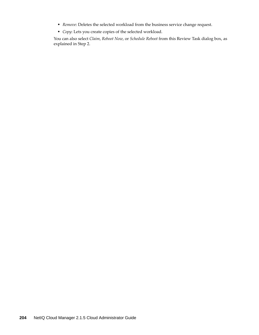- *Remove*: Deletes the selected workload from the business service change request.
- *Copy*: Lets you create copies of the selected workload.

You can also select *Claim*, *Reboot Now*, or *Schedule Reboot* from this Review Task dialog box, as explained in Step 2.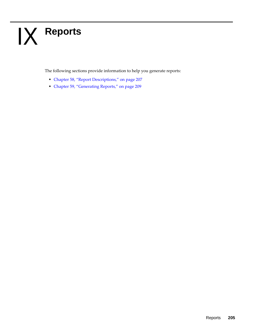# IX IX**Reports**

The following sections provide information to help you generate reports:

- [Chapter 58, "Report Descriptions," on page 207](#page-206-0)
- [Chapter 59, "Generating Reports," on page 209](#page-208-0)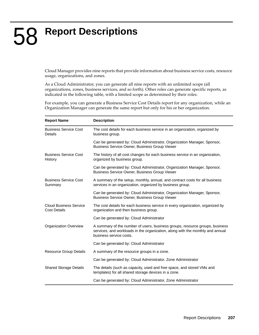# <span id="page-206-0"></span>58 <sup>58</sup>**Report Descriptions**

Cloud Manager provides nine reports that provide information about business service costs, resource usage, organizations, and zones.

As a Cloud Administrator, you can generate all nine reports with an unlimited scope (all organizations, zones, business services, and so forth). Other roles can generate specific reports, as indicated in the following table, with a limited scope as determined by their roles.

For example, you can generate a Business Service Cost Details report for any organization, while an Organization Manager can generate the same report but only for his or her organization.

| <b>Report Name</b>                                   | <b>Description</b>                                                                                                                                                                        |
|------------------------------------------------------|-------------------------------------------------------------------------------------------------------------------------------------------------------------------------------------------|
| <b>Business Service Cost</b><br>Details              | The cost details for each business service in an organization, organized by<br>business group.                                                                                            |
|                                                      | Can be generated by: Cloud Administrator, Organization Manager, Sponsor,<br><b>Business Service Owner, Business Group Viewer</b>                                                          |
| <b>Business Service Cost</b><br>History              | The history of all cost changes for each business service in an organization,<br>organized by business group.                                                                             |
|                                                      | Can be generated by: Cloud Administrator, Organization Manager, Sponsor,<br>Business Service Owner, Business Group Viewer                                                                 |
| <b>Business Service Cost</b><br>Summary              | A summary of the setup, monthly, annual, and contract costs for all business<br>services in an organization, organized by business group.                                                 |
|                                                      | Can be generated by: Cloud Administrator, Organization Manager, Sponsor,<br>Business Service Owner, Business Group Viewer                                                                 |
| <b>Cloud Business Service</b><br><b>Cost Details</b> | The cost details for each business service in every organization, organized by<br>organization and then business group.                                                                   |
|                                                      | Can be generated by: Cloud Administrator                                                                                                                                                  |
| <b>Organization Overview</b>                         | A summary of the number of users, business groups, resource groups, business<br>services, and workloads in the organization, along with the monthly and annual<br>business service costs. |
|                                                      | Can be generated by: Cloud Administrator                                                                                                                                                  |
| Resource Group Details                               | A summary of the resource groups in a zone.                                                                                                                                               |
|                                                      | Can be generated by: Cloud Administrator, Zone Administrator                                                                                                                              |
| <b>Shared Storage Details</b>                        | The details (such as capacity, used and free space, and stored VMs and<br>templates) for all shared storage devices in a zone.                                                            |
|                                                      | Can be generated by: Cloud Administrator, Zone Administrator                                                                                                                              |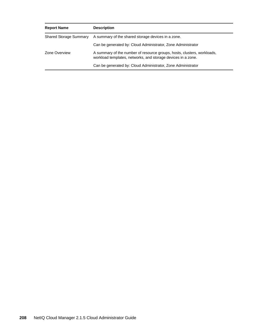| <b>Report Name</b>            | <b>Description</b>                                                                                                                      |
|-------------------------------|-----------------------------------------------------------------------------------------------------------------------------------------|
| <b>Shared Storage Summary</b> | A summary of the shared storage devices in a zone.                                                                                      |
|                               | Can be generated by: Cloud Administrator, Zone Administrator                                                                            |
| Zone Overview                 | A summary of the number of resource groups, hosts, clusters, workloads,<br>workload templates, networks, and storage devices in a zone. |
|                               | Can be generated by: Cloud Administrator, Zone Administrator                                                                            |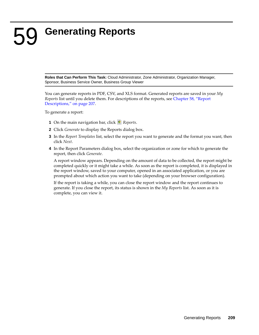# <span id="page-208-0"></span>59 <sup>59</sup>**Generating Reports**

**Roles that Can Perform This Task:** Cloud Administrator, Zone Administrator, Organization Manager, Sponsor, Business Service Owner, Business Group Viewer

You can generate reports in PDF, CSV, and XLS format. Generated reports are saved in your *My Reports* list until you delete them. For descriptions of the reports, see [Chapter 58, "Report](#page-206-0)  [Descriptions," on page 207](#page-206-0).

To generate a report:

- **1** On the main navigation bar, click **Reports**.
- **2** Click *Generate* to display the Reports dialog box.
- **3** In the *Report Templates* list, select the report you want to generate and the format you want, then click *Next*.
- **4** In the Report Parameters dialog box, select the organization or zone for which to generate the report, then click *Generate*.

A report window appears. Depending on the amount of data to be collected, the report might be completed quickly or it might take a while. As soon as the report is completed, it is displayed in the report window, saved to your computer, opened in an associated application, or you are prompted about which action you want to take (depending on your browser configuration).

If the report is taking a while, you can close the report window and the report continues to generate. If you close the report, its status is shown in the *My Reports* list. As soon as it is complete, you can view it.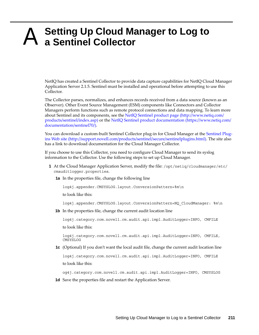## A <sup>A</sup>**Setting Up Cloud Manager to Log to a Sentinel Collector**

NetIQ has created a Sentinel Collector to provide data capture capabilities for NetIQ Cloud Manager Application Server 2.1.5. Sentinel must be installed and operational before attempting to use this Collector.

The Collector parses, normalizes, and enhances records received from a data source (known as an Observer). Other Event Source Management (ESM) components like Connectors and Collector Managers perform functions such as remote protocol connections and data mapping. To learn more about Sentinel and its components, see the [NetIQ Sentinel product page](http://www.netiq.com/products/sentinel/index.asp) (http://www.netiq.com/ products/sentinel/index.asp) or the [NetIQ Sentinel product documentation](https://www.netiq.com/documentation/sentinel70/) (https://www.netiq.com/ documentation/sentinel70/).

You can download a custom-built Sentinel Collector plug-in for Cloud Manager at the [Sentinel Plug](http://support.novell.com/products/sentinel/secure/sentinelplugins.html)[ins Web site](http://support.novell.com/products/sentinel/secure/sentinelplugins.html) (http://support.novell.com/products/sentinel/secure/sentinelplugins.html). The site also has a link to download documentation for the Cloud Manager Collector.

If you choose to use this Collector, you need to configure Cloud Manager to send its syslog information to the Collector. Use the following steps to set up Cloud Manager.

- **1** At the Cloud Manager Application Server, modify the file: /opt/netiq/cloudmanager/etc/ cmauditlogger.properties.
	- **1a** In the properties file, change the following line

log4j.appender.CMSYSLOG.layout.ConversionPattern=%m\n

to look like this:

log4j.appender.CMSYSLOG.layout.ConversionPattern=NQ\_CloudManager: %m\n

**1b** In the properties file, change the current audit location line

log4j.category.com.novell.cm.audit.api.impl.AuditLogger=INFO, CMFILE to look like this:

log4j.category.com.novell.cm.audit.api.impl.AuditLogger=INFO, CMFILE, CMSYSLOG

**1c** (Optional) If you don't want the local audit file, change the current audit location line

log4j.category.com.novell.cm.audit.api.impl.AuditLogger=INFO, CMFILE to look like this:

og4j.category.com.novell.cm.audit.api.impl.AuditLogger=INFO, CMSYSLOG

**1d** Save the properties file and restart the Application Server.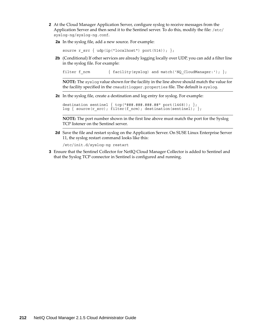- **2** At the Cloud Manager Application Server, configure syslog to receive messages from the Application Server and then send it to the Sentinel server. To do this, modify the file: /etc/ syslog-ng/syslog-ng.conf.
	- **2a** In the syslog file, add a new source. For example:

```
source r src { udp(ip("localhost") port(514)); };
```
**2b** (Conditional) If other services are already logging locally over UDP, you can add a filter line in the syslog file. For example:

filter f ncm  ${$  facility(syslog) and match('NQ CloudManager:'); };

**NOTE:** The syslog value shown for the facility in the line above should match the value for the facility specified in the cmauditlogger.properties file. The default is syslog.

**2c** In the syslog file, create a destination and log entry for syslog. For example:

```
destination sentinel { tcp("###.###.###.##" port(1468)); };
log { source(r src); filter(f ncm); destination(sentinel); };
```
**NOTE:** The port number shown in the first line above must match the port for the Syslog TCP listener on the Sentinel server.

2d Save the file and restart syslog on the Application Server. On SUSE Linux Enterprise Server 11, the syslog restart command looks like this:

```
/etc/init.d/syslog-ng restart
```
**3** Ensure that the Sentinel Collector for NetIQ Cloud Manager Collector is added to Sentinel and that the Syslog TCP connector in Sentinel is configured and running.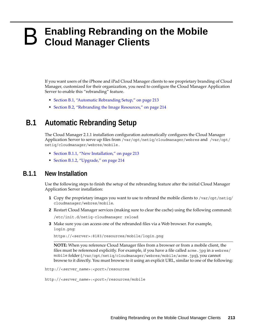## **B** Enabling Rebranding on the Mobile Cloud Manager Clients **Cloud Manager Clients**

If you want users of the iPhone and iPad Cloud Manager clients to see proprietary branding of Cloud Manager, customized for their organization, you need to configure the Cloud Manager Application Server to enable this "rebranding" feature.

- [Section B.1, "Automatic Rebranding Setup," on page 213](#page-212-0)
- [Section B.2, "Rebranding the Image Resources," on page 214](#page-213-0)

### <span id="page-212-0"></span>**B.1 Automatic Rebranding Setup**

The Cloud Manager 2.1.1 installation configuration automatically configures the Cloud Manager Application Server to serve up files from /var/opt/netiq/cloudmanager/webres and /var/opt/ netiq/cloudmanager/webres/mobile.

- [Section B.1.1, "New Installation," on page 213](#page-212-1)
- [Section B.1.2, "Upgrade," on page 214](#page-213-1)

#### <span id="page-212-1"></span>**B.1.1 New Installation**

Use the following steps to finish the setup of the rebranding feature after the initial Cloud Manager Application Server installation:

- **1** Copy the proprietary images you want to use to rebrand the mobile clients to /var/opt/netiq/ cloudmanager/webres/mobile.
- **2** Restart Cloud Manager services (making sure to clear the cache) using the following command:

/etc/init.d/netiq-cloudmanager reload

**3** Make sure you can access one of the rebranded files via a Web browser. For example, login.png:

```
https://<server>:8183/resources/mobile/login.png
```
**NOTE:** When you reference Cloud Manager files from a browser or from a mobile client, the files must be referenced explicitly. For example, if you have a file called acme.jpg in a webres/ mobile folder (/var/opt/netiq/cloudmanager/webres/mobile/acme.jpg), you cannot browse to it directly. You must browse to it using an explicit URL, similar to one of the following:

http://<*server\_name*>:<*port*>/resources

http://<*server\_name*>:<*port*>/resources/mobile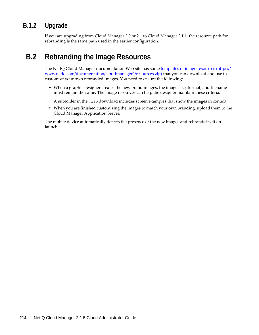### <span id="page-213-1"></span>**B.1.2 Upgrade**

If you are upgrading from Cloud Manager 2.0 or 2.1 to Cloud Manager 2.1.1, the resource path for rebranding is the same path used in the earlier configuration.

### <span id="page-213-0"></span>**B.2 Rebranding the Image Resources**

The NetIQ Cloud Manager documentation Web site has some [templates of image resources](https://www.netiq.com/documentation/cloudmanager2/resources.zip) (https:// www.netiq.com/documentation/cloudmanager2/resources.zip) that you can download and use to customize your own rebranded images. You need to ensure the following:

 When a graphic designer creates the new brand images, the image size, format, and filename must remain the same. The image resources can help the designer maintain these criteria.

A subfolder in the .zip download includes screen examples that show the images in context.

 When you are finished customizing the images to match your own branding, upload them to the Cloud Manager Application Server.

The mobile device automatically detects the presence of the new images and rebrands itself on launch.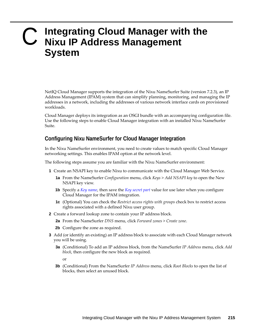### C <sup>C</sup>**Integrating Cloud Manager with the Nixu IP Address Management System**

NetIQ Cloud Manager supports the integration of the Nixu NameSurfer Suite (version 7.2.3), an IP Address Management (IPAM) system that can simplify planning, monitoring, and managing the IP addresses in a network, including the addresses of various network interface cards on provisioned workloads.

Cloud Manager deploys its integration as an OSGI bundle with an accompanying configuration file. Use the following steps to enable Cloud Manager integration with an installed Nixu NameSurfer Suite.

#### **Configuring Nixu NameSurfer for Cloud Manager Integration**

In the Nixu NameSurfer environment, you need to create values to match specific Cloud Manager networking settings. This enables IPAM option at the network level.

The following steps assume you are familiar with the Nixu NameSurfer environment:

- **1** Create an NSAPI key to enable Nixu to communicate with the Cloud Manager Web Service.
	- **1a** From the NameSurfer *Configuration* menu, click *Keys* > *Add NSAPI key* to open the New NSAPI key view.
	- **1b** Specify a *[Key name](#page-216-0)*, then save the *[Key secret part](#page-216-1)* value for use later when you configure Cloud Manager for the IPAM integration.
	- **1c** (Optional) You can check the *Restrict access rights with groups* check box to restrict access rights associated with a defined Nixu user group.
- <span id="page-214-0"></span>**2** Create a forward lookup zone to contain your IP address block.
	- **2a** From the NameSurfer *DNS* menu, click *Forward zones* > *Create zone*.
	- **2b** Configure the zone as required.
- **3** Add (or identify an existing) an IP address block to associate with each Cloud Manager network you will be using.
	- **3a** (Conditional) To add an IP address block, from the NameSurfer *IP Address* menu, click *Add block*, then configure the new block as required.

or

**3b** (Conditional) From the NameSurfer *IP Address* menu, click *Root Blocks* to open the list of blocks, then select an unused block.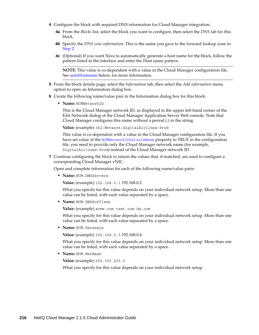- **4** Configure the block with required DNS information for Cloud Manager integration.
	- **4a** From the *Blocks* list, select the block you want to configure, then select the *DNS* tab for this block.
	- **4b** Specify the *DNS zone information*. This is the name you gave to the forward lookup zone in [Step 2.](#page-214-0)
	- **4c** (Optional) If you want Nixu to automatically generate a host name for the block, follow the pattern listed in the interface and enter the Host name pattern.

**NOTE:** This value is co-dependent with a value in the Cloud Manager configuration file. See [autoHostname](#page-217-0) below, for more information.

- **5** From the block details page, select the *Information* tab, then select the *Add information* menu option to open an Information dialog box.
- **6** Create the following name/value pair in the Information dialog box for this block:
	- **Name:** NCMNetworkID

This is the Cloud Manager network ID, as displayed in the upper left-hand corner of the Edit Network dialog of the Cloud Manager Application Server Web console. Note that Cloud Manager configures this name without a period (.) in the string.

**Value:** (example) 362:Network:digitalAirlines-Prod

This value is co-dependent with a value in the Cloud Manager configuration file. If you have set value of the [NCMNetworkIDValueIsName](#page-217-1) property to TRUE in the configuration file, you need to provide only the Cloud Manager network name (for example, DigitalAirlines-Prod) instead of the Cloud Manager network ID.

**7** Continue configuring the block to return the values that, if matched, are used to configure a corresponding Cloud Manager vNIC.

Open and complete information for each of the following name/value pairs:

**Name:** NCM.DNSServers

**Value:** (example) 192.168.0.1 192.168.0.2

What you specify for this value depends on your individual network setup. More than one value can be listed, with each value separated by a space.

**Name:** NCM.DNSSuffixes

**Value:** (example) acme.com test.com da.com

What you specify for this value depends on your individual network setup. More than one value can be listed, with each value separated by a space.

**Name:** NCM.Gateways

**Value:** (example) 192.168.0.3 192.168.0.4

What you specify for this value depends on your individual network setup. More than one value can be listed, with each value separated by a space.

**Name:** NCM.NetMask

**Value:** (example) 255.355.255.0

What you specify for this value depends on your individual network setup.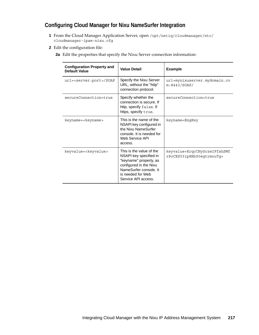## **Configuring Cloud Manager for Nixu NameSurfer Integration**

- **1** From the Cloud Manager Application Server, open /opt/netiq/cloudmanager/etc/ cloudmanager-ipam-nixu.cfg
- **2** Edit the configuration file:
	- **2a** Edit the properties that specify the Nixu Server connection information:

| <b>Configuration Property and</b><br>Default Value | <b>Value Detail</b>                                                                                                                                                          | <b>Example</b>                                            |
|----------------------------------------------------|------------------------------------------------------------------------------------------------------------------------------------------------------------------------------|-----------------------------------------------------------|
| url= <server:port>/SOAP</server:port>              | Specify the Nixu Server<br>URL, without the "http"<br>connection protocol.                                                                                                   | url=mynixuserver.mydomain.co<br>m:8443/SOAP/              |
| secureConnection=true                              | Specify whether the<br>connection is secure. If<br>http, specify false. If<br>https, specify true.                                                                           | secureConnection=true                                     |
| keyname= <keyname></keyname>                       | This is the name of the<br>NSAPI key configured in<br>the Nixu NameSurfer<br>console. It is needed for<br>Web Service API<br>access.                                         | keyname=EnqKey                                            |
| keyvalue= <keyvalue></keyvalue>                    | This is the value of the<br>NSAPI key specified in<br>"keyname" property, as<br>configured in the Nixu<br>NameSurfer console. It<br>is needed for Web<br>Service API access. | keyvalue=KrqcCHySczwIFfshSMf<br>rPoCESY3ip8Nh90eqtrmouTq= |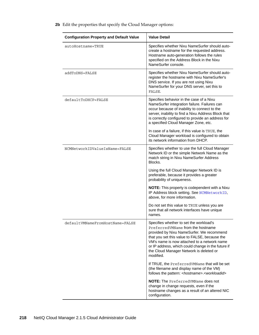| <b>Configuration Property and Default Value</b> | <b>Value Detail</b>                                                                                                                                                                                                                                                                                                                       |
|-------------------------------------------------|-------------------------------------------------------------------------------------------------------------------------------------------------------------------------------------------------------------------------------------------------------------------------------------------------------------------------------------------|
| autoHostname=TRUE                               | Specifies whether Nixu NameSurfer should auto-<br>create a hostname for the requested address.<br>Hostname auto-generation follows the rules<br>specified on the Address Block in the Nixu<br>NameSurfer console.                                                                                                                         |
| addToDNS=FALSE                                  | Specifies whether Nixu NameSurfer should auto-<br>register the hostname with Nixu NameSurfer's<br>DNS service. If you are not using Nixu<br>NameSurfer for your DNS server, set this to<br>FALSE.                                                                                                                                         |
| defaultToDHCP=FALSE                             | Specifies behavior in the case of a Nixu<br>NameSurfer integration failure. Failures can<br>occur because of inability to connect to the<br>server, inability to find a Nixu Address Block that<br>is correctly configured to provide an address for<br>a specified Cloud Manager Zone, etc.                                              |
|                                                 | In case of a failure, if this value is TRUE, the<br>Cloud Manager workload is configured to obtain<br>its network information from DHCP.                                                                                                                                                                                                  |
| NCMNetworkIDValueIsName=FALSE                   | Specifies whether to use the full Cloud Manager<br>Network ID or the simple Network Name as the<br>match string in Nixu NameSurfer Address<br>Blocks.                                                                                                                                                                                     |
|                                                 | Using the full Cloud Manager Network ID is<br>preferable, because it provides a greater<br>probability of uniqueness.                                                                                                                                                                                                                     |
|                                                 | NOTE: This property is codependent with a Nixu<br>IP Address block setting. See NCMNetworkID,<br>above, for more information.                                                                                                                                                                                                             |
|                                                 | Do not set this value to TRUE unless you are<br>sure that all network interfaces have unique<br>names.                                                                                                                                                                                                                                    |
| defaultVMNameFromHostName=FALSE                 | Specifies whether to set the workload's<br>Preferred VMN ame from the hostname<br>provided by Nixu NameSurfer. We recommend<br>that you set this value to FALSE, because the<br>VM's name is now attached to a network name<br>or IP address, which could change in the future if<br>the Cloud Manager Network is deleted or<br>modified. |
|                                                 | If TRUE, the PreferredVMName that will be set<br>(the filename and display name of the VM)<br>follows the pattern: <hostname>.<workloadid></workloadid></hostname>                                                                                                                                                                        |
|                                                 | <b>NOTE:</b> The PreferredVMName does not<br>change in change requests, even if the<br>hostname changes as a result of an altered NIC<br>configuration.                                                                                                                                                                                   |

**2b** Edit the properties that specify the Cloud Manager options: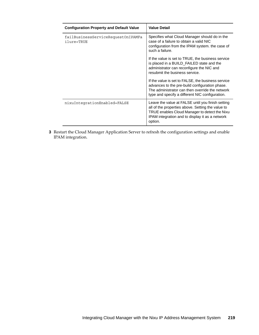| <b>Configuration Property and Default Value</b>  | <b>Value Detail</b>                                                                                                                                                                                                   |
|--------------------------------------------------|-----------------------------------------------------------------------------------------------------------------------------------------------------------------------------------------------------------------------|
| failBusinessServiceRequestOnIPAMFa<br>ilure=TRUE | Specifies what Cloud Manager should do in the<br>case of a failure to obtain a valid NIC<br>configuration from the IPAM system. the case of<br>such a failure.                                                        |
|                                                  | If the value is set to TRUE, the business service<br>is placed in a BUILD_FAILED state and the<br>administrator can reconfigure the NIC and<br>resubmit the business service.                                         |
|                                                  | If the value is set to FALSE, the business service<br>advances to the pre-build configuration phase.<br>The administrator can then override the network<br>type and specify a different NIC configuration.            |
| nixuIntegrationEnabled=FALSE                     | Leave the value at FALSE until you finish setting<br>all of the properties above. Setting the value to<br>TRUE enables Cloud Manager to detect the Nixu<br>IPAM integration and to display it as a network<br>option. |

**3** Restart the Cloud Manager Application Server to refresh the configuration settings and enable IPAM integration.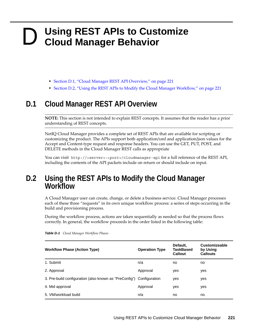# D <sup>D</sup>**Using REST APIs to Customize Cloud Manager Behavior**

- [Section D.1, "Cloud Manager REST API Overview," on page 221](#page-220-0)
- \* [Section D.2, "Using the REST APIs to Modify the Cloud Manager Workflow," on page 221](#page-220-1)

# <span id="page-220-0"></span>**D.1 Cloud Manager REST API Overview**

**NOTE:** This section is not intended to explain REST concepts. It assumes that the reader has a prior understanding of REST concepts.

NetIQ Cloud Manager provides a complete set of REST APIs that are available for scripting or customizing the product. The APIs support both application/xml and application/json values for the Accept and Content-type request and response headers. You can use the GET, PUT, POST, and DELETE methods in the Cloud Manager REST calls as appropriate

You can visit http://<server>:<*port*>/cloudmanager-api for a full reference of the REST API, including the contents of the API packets include on return or should include on input.

# <span id="page-220-1"></span>**D.2 Using the REST APIs to Modify the Cloud Manager Workflow**

A Cloud Manager user can create, change, or delete a business service. Cloud Manager processes each of these three "requests" in its own unique workflow process: a series of steps occurring in the build and provisioning process.

During the workflow process, actions are taken sequentially as needed so that the process flows correctly. In general, the workflow proceeds in the order listed in the following table:

| <b>Workflow Phase (Action Type)</b>                                  | <b>Operation Type</b> | Default,<br><b>TaskBased</b><br>Callout | <b>Customizeable</b><br>by Using<br><b>Callouts</b> |
|----------------------------------------------------------------------|-----------------------|-----------------------------------------|-----------------------------------------------------|
| 1. Submit                                                            | n/a                   | no                                      | no                                                  |
| 2. Approval                                                          | Approval              | yes                                     | yes                                                 |
| 3. Pre-build configuration (also known as "PreConfig") Configuration |                       | yes                                     | yes                                                 |
| 4. Mid approval                                                      | Approval              | yes                                     | yes                                                 |
| 5. VM/workload build                                                 | n/a                   | no                                      | no                                                  |

*Table D-1 Cloud Manager Workflow Phases*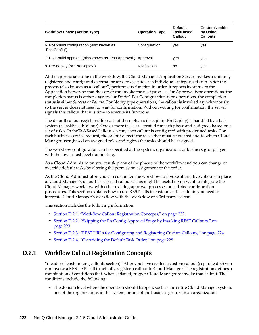| <b>Workflow Phase (Action Type)</b>                            | <b>Operation Type</b> | Default,<br><b>TaskBased</b><br>Callout | <b>Customizeable</b><br>by Using<br><b>Callouts</b> |
|----------------------------------------------------------------|-----------------------|-----------------------------------------|-----------------------------------------------------|
| 6. Post-build configuration (also known as<br>"PostConfig")    | Configuration         | yes                                     | yes                                                 |
| 7. Post-build approval (also known as "PostApproval") Approval |                       | ves                                     | yes                                                 |
| 8. Pre-deploy (or "PreDeploy")                                 | <b>Notification</b>   | no                                      | ves                                                 |

At the appropriate time in the workflow, the Cloud Manager Application Server invokes a uniquely registered and configured external process to execute each individual, categorized step. After the process (also known as a "callout") performs its function in order, it reports its status to the Application Server, so that the server can invoke the next process. For Approval type operations, the completion status is either *Approved* or *Denied*. For Configuration type operations, the completion status is either *Success* or *Failure*. For Notify type operations, the callout is invoked asynchronously, so the server does not need to wait for confirmation. Without waiting for confirmation, the server signals this callout that it is time to execute its functions.

The default callout registered for each of these phases (except for PreDeploy) is handled by a task system (a TaskBasedCallout). One or more tasks are created for each phase and assigned, based on a set of rules. In theTaskBasedCallout system, each callout is configured with predefined tasks. For each business service request, the callout detects the tasks that must be created and to which Cloud Manager user (based on assigned roles and rights) the tasks should be assigned.

The workflow configuration can be specified at the system, organization, or business group layer. with the lowermost level dominating.

As a Cloud Administrator, you can skip any of the phases of the workflow and you can change or override default tasks by altering the permission assignment or the order.

As the Cloud Administrator, you can customize the workflow to invoke alternative callouts in place of Cloud Manager's default task-based callouts. This might be useful if you want to integrate the Cloud Manager workflow with other existing approval processes or scripted configuration procedures. This section explains how to use REST calls to customize the callouts you need to integrate Cloud Manager's workflow with the workflow of a 3rd party system.

This section includes the following information:

- [Section D.2.1, "Workflow Callout Registration Concepts," on page 222](#page-221-0)
- [Section D.2.2, "Skipping the PreConfig Approval Stage by Invoking REST Callouts," on](#page-222-0)  [page 223](#page-222-0)
- [Section D.2.3, "REST URLs for Configuring and Registering Custom Callouts," on page 224](#page-223-0)
- [Section D.2.4, "Overriding the Default Task Order," on page 228](#page-227-0)

## <span id="page-221-0"></span>**D.2.1 Workflow Callout Registration Concepts**

"(header of customizing callouts section)" After you have created a custom callout (separate doc) you can invoke a REST API call to actually register a callout in Cloud Manager. The registration defines a combination of conditions that, when satisfied, trigger Cloud Manager to invoke that callout. The conditions include the following:

 The domain level where the operation should happen, such as the entire Cloud Manager system, one of the organizations in the system, or one of the business groups in an organization.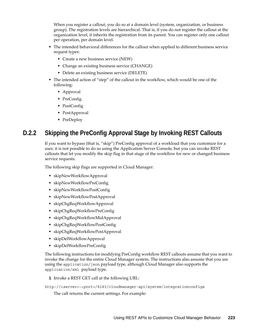When you register a callout, you do so at a domain level (system, organization, or business group). The registration levels are hierarchical. That is, if you do not register the callout at the organization level, it inherits the registration from its parent. You can register only one callout per operation, per domain level.

- The intended behavioral differences for the callout when applied to different business service request types:
	- Create a new business service (NEW)
	- Change an existing business service (CHANGE)
	- Delete an existing business service (DELETE)
- The intended action of "step" of the callout in the workflow, which would be one of the following:
	- Approval
	- PreConfig
	- PostConfig
	- PostApproval
	- PreDeploy

# <span id="page-222-0"></span>**D.2.2 Skipping the PreConfig Approval Stage by Invoking REST Callouts**

If you want to bypass (that is, "skip") PreConfig approval of a workload that you customize for a user, it is not possible to do so using the Application Server Console, but you can invoke REST callouts that let you modify the skip flag in that stage of the workflow for new or changed business service requests.

The following skip flags are supported in Cloud Manager:

- skipNewWorkflowApproval
- skipNewWorkflowPreConfig
- skipNewWorkflowPostConfig
- skipNewWorkflowPostApproval
- skipChgReqWorkflowApproval
- skipChgReqWorkflowPreConfig
- skipChgReqWorkflowMidApproval
- skipChgReqWorkflowPostConfig
- skipChgReqWorkflowPostApproval
- skipDelWorkflowApproval
- skipDelWorkflowPreConfig

The following instructions for modifying PreConfig workflow REST callouts assume that you want to invoke the change for the entire Cloud Manager system. The instructions also assume that you are using the application/json payload type, although Cloud Manager also supports the application/xml payload type.

**1** Invoke a REST GET call at the following URL:

http://<*server*>:<*port*>/8183/cloudmanager-api/system/integrationconfigs

The call returns the current settings. For example: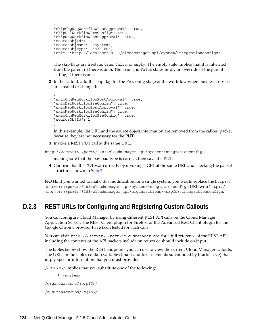```
{
"skipChgReqWorkflowPostApproval": true,
"skipDelWorkflowPreConfig": true,
"skipNewWorkflowPostApproval": true,
"sourceObjId": 1,
"sourceObjName": "System",
"sourceObjType": "SYSTEM",
"url": "http://localhost:8183/cloudmanager-api/system/integrationconfigs"
}
```
The skip flags are tri-state: true, false, or empty. The empty state implies that it is inherited from the parent (if there is one). The true and false states imply an override of the parent setting, if there is one.

<span id="page-223-1"></span>**2** In the callout, add the skip flag for the PreConfig stage of the workflow when business services are created or changed:

```
{
"skipChgReqWorkflowPostApproval": true,
"skipDelWorkflowPreConfig": true,
"skipNewWorkflowPostApproval": true,
"skipNewWorkflowPreConfig": true,
"skipChgReqWorkflowPreConfig": true,
"sourceObjId": 1
}
```
In this example, the URL and the source object information are removed from the callout packet because they are not necessary for the PUT.

**3** Invoke a REST PUT call at the same URL,

http://<*server*>:<*port*>/8183/cloudmanager-api/system/integrationconfigs

making sure that the payload type is correct, then save the PUT.

**4** Confirm that the PUT was correctly by invoking a GET at the same URL and checking the packet structure, shown in [Step 2](#page-223-1).

**NOTE:** If you wanted to make this modification for a single system, you would replace the http:// <server>:<port>/8183/cloudmanager-api/system/integrationconfigs URL with http:// <*server*>:<*port*>/8183/cloudmanager-api/organizations/<*orgId*>/integrationconfigs.

# <span id="page-223-0"></span>**D.2.3 REST URLs for Configuring and Registering Custom Callouts**

You can configure Cloud Manager by using different REST API calls on the Cloud Manager Application Server. The REST Client plugin for Firefox, or the Advanced Rest Client plugin for the Google Chrome browser have been tested for such calls.

You can visit http://<server>:<port>/cloudmanager-api for a full reference of the REST API, including the contents of the API packets include on return or should include on input.

The tables below show the REST endpoints you can use to view the current Cloud Manager callouts. The URLs in the tables contain variables (that is, address elements surrounded by brackets < >) that imply specific information that you must provide:

/<*domID*>/ implies that you substitute one of the following:

/system/

/organizations/<*orgID*>/

/businessgroups/<*bgID*>/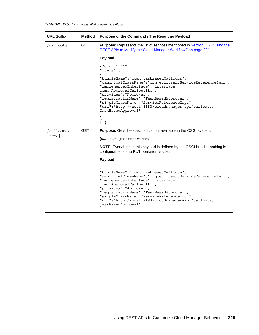### *Table D-2 REST Calls for installed or available callouts*

| <b>URL Suffix</b> | <b>Method</b> | Purpose of the Command / The Resulting Payload                                                                                                                                                                                                                                                                                                                                                                                                                           |
|-------------------|---------------|--------------------------------------------------------------------------------------------------------------------------------------------------------------------------------------------------------------------------------------------------------------------------------------------------------------------------------------------------------------------------------------------------------------------------------------------------------------------------|
| /callouts         | <b>GET</b>    | <b>Purpose:</b> Represents the list of services mentioned in Section D.2, "Using the<br>REST APIs to Modify the Cloud Manager Workflow," on page 221.                                                                                                                                                                                                                                                                                                                    |
|                   |               | Payload:                                                                                                                                                                                                                                                                                                                                                                                                                                                                 |
|                   |               | $\{$ "count": "4",<br>"items": [<br>"bundleName": "comtaskBasedCallouts",<br>"canonicalClassName": "org.eclipse ServiceReferenceImpl",<br>"implementedInterface": "interface<br>com ApprovalCalloutIfc",<br>"provides": "Approval",<br>"reqistrationName": "TaskBasedApproval",<br>"simpleClassName": "ServiceReferenceImpl",<br>"url": "http://host:8183/cloudmanager-api/callouts/<br>TaskBasedApproval"<br>$\}$ ,<br><br>$\left.\begin{array}{c} \end{array}\right\}$ |
| /callouts/        | <b>GET</b>    | <b>Purpose:</b> Gets the specified callout available in the OSGI system.                                                                                                                                                                                                                                                                                                                                                                                                 |
| $\{name\}$        |               | {name}=reqistrationName                                                                                                                                                                                                                                                                                                                                                                                                                                                  |
|                   |               | NOTE: Everything in this payload is defined by the OSGI bundle, nothing is<br>configurable, so no PUT operation is used.                                                                                                                                                                                                                                                                                                                                                 |
|                   |               | Payload:                                                                                                                                                                                                                                                                                                                                                                                                                                                                 |
|                   |               | "bundleName": "comtaskBasedCallouts",<br>"canonicalClassName": "org.eclipse ServiceReferenceImpl",<br>"implementedInterface": "interface<br>com ApprovalCalloutIfc",<br>"provides": "Approval",<br>"registrationName": "TaskBasedApproval",<br>"simpleClassName": "ServiceReferenceImpl",<br>"url":"http://host:8183/cloudmanager-api/callouts/<br>TaskBasedApproval"                                                                                                    |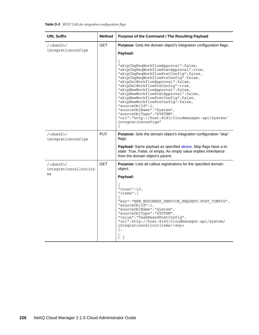### *Table D-3 REST Calls for integration configuration flags*

| <b>URL Suffix</b>                                              | <b>Method</b> | Purpose of the Command / The Resulting Payload                                                                                                                                                                                                                                                                                                                                                                                                                                                                                                                                                                                             |
|----------------------------------------------------------------|---------------|--------------------------------------------------------------------------------------------------------------------------------------------------------------------------------------------------------------------------------------------------------------------------------------------------------------------------------------------------------------------------------------------------------------------------------------------------------------------------------------------------------------------------------------------------------------------------------------------------------------------------------------------|
| $\sqrt{\langle domID \rangle}$<br>integrationconfigs           | <b>GET</b>    | Purpose: Gets the domain object's integration configuration flags.<br>Payload:<br>"skipChqReqWorkflowApproval":false,<br>"skipChqReqWorkflowPostApproval":true,<br>"skipChgReqWorkflowPostConfig":false,<br>"skipChgReqWorkflowPreConfig":false,<br>"skipDelWorkflowApproval":false,<br>"skipDelWorkflowPreConfig":true,<br>"skipNewWorkflowApproval":false,<br>"skipNewWorkflowPostApproval":false,<br>"skipNewWorkflowPostConfig":false,<br>"skipNewWorkflowPreConfig":false,<br>"sourceObjId":1,<br>"sourceObjName": "System",<br>"sourceObjType": "SYSTEM",<br>"url":"http://host:8183/cloudmanager-api/system/<br>integrationconfigs" |
| $/\text{cdomID}>/$<br>integrationconfigs                       | <b>PUT</b>    | Purpose: Sets the domain object's integration configuration "skip"<br>flags.<br>Payload: Same payload as specified above. Skip flags have a tri-<br>state: True, False, or empty. An empty value implies inheritance<br>from the domain object's parent.                                                                                                                                                                                                                                                                                                                                                                                   |
| $\sqrt{\langle domID \rangle}/$<br>integrationcalloutite<br>ms | <b>GET</b>    | Purpose: Lists all callout registrations for the specified domain<br>object.<br>Payload:<br>"count":10,<br>"items":<br>"key": "NEW BUSINESS SERVICE REQUEST: POST CONFIG",<br>"sourceObj $\overline{Id}$ ":1,<br>"sourceObjName": "System",<br>"sourceObjType": "SYSTEM",<br>"value": "TaskBasedPostConfig",<br>"url":http://host:8183/cloudmanager-api/system/<br>integrationcalloutitems/ <key><br/><math>\}</math> ,<br/><math>\left\{ \begin{array}{c} 1 \end{array} \right\}</math></key>                                                                                                                                             |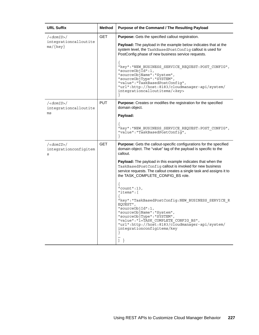| <b>URL Suffix</b>                                             | <b>Method</b> | Purpose of the Command / The Resulting Payload                                                                                                                                                                                                                                                                                                                                                                                                                                                                                                                                                                                                                                                                                                                     |
|---------------------------------------------------------------|---------------|--------------------------------------------------------------------------------------------------------------------------------------------------------------------------------------------------------------------------------------------------------------------------------------------------------------------------------------------------------------------------------------------------------------------------------------------------------------------------------------------------------------------------------------------------------------------------------------------------------------------------------------------------------------------------------------------------------------------------------------------------------------------|
| $\frac{\sqrt{d}}{d}$<br>integrationcalloutite<br>$ms/\{key\}$ | <b>GET</b>    | Purpose: Gets the specified callout registration.<br>Payload: The payload in the example below indicates that at the<br>system level, the TaskBasedPostConfig callout is used for<br>PostConfig phase of new business service requests.<br>"key": "NEW BUSINESS SERVICE REQUEST: POST CONFIG",<br>"source $Obj\overline{Id}$ ":1,<br>"sourceObjName": "System",<br>"sourceObjType": "SYSTEM",<br>"value": "TaskBasedPostConfig",<br>"url":http://host:8183/cloudmanager-api/system/<br>integrationcalloutitems/ <key></key>                                                                                                                                                                                                                                        |
| $\frac{\sqrt{d}}{d}$<br>integrationcalloutite<br>ms           | <b>PUT</b>    | <b>Purpose:</b> Creates or modifies the registration for the specified<br>domain object.<br>Payload:<br>"key": "NEW BUSINESS SERVICE REQUEST: POST CONFIG",<br>"value": "TaskBasedPostConfig",                                                                                                                                                                                                                                                                                                                                                                                                                                                                                                                                                                     |
| $\frac{\sqrt{d}}{d}$<br>integrationconfigitem<br>S            | <b>GET</b>    | <b>Purpose:</b> Gets the callout-specific configurations for the specified<br>domain object. The "value" tag of the payload is specific to the<br>callout.<br>Payload: The payload in this example indicates that when the<br>TaskBasedPostConfig callout is invoked for new business<br>service requests. The callout creates a single task and assigns it to<br>the TASK_COMPLETE_CONFIG_BS role.<br>$"count":13$ ,<br>"items": [<br>"key": "TaskBasedPostConfig:NEW BUSINESS SERVICE R<br>EQUEST",<br>"sourceObjId":1,<br>"sourceObjName":"System",<br>"sourceObjType":"SYSTEM",<br>"value": "1=TASK COMPLETE CONFIG BS",<br>"url":http://host:8183/cloudmanager-api/system/<br>integrationconfigitems/key<br>$\left\{ \begin{array}{c} 1 \end{array} \right\}$ |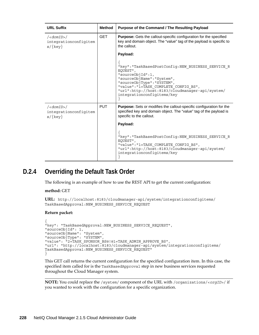| <b>URL Suffix</b>                                                   | <b>Method</b> | Purpose of the Command / The Resulting Payload                                                                                                                                                                                                                          |
|---------------------------------------------------------------------|---------------|-------------------------------------------------------------------------------------------------------------------------------------------------------------------------------------------------------------------------------------------------------------------------|
| $\frac{\sqrt{d}}{\sqrt{d}}$<br>integrationconfigitem<br>$s/\{key\}$ | <b>GET</b>    | <b>Purpose:</b> Gets the callout-specific configuration for the specified<br>key and domain object. The "value" tag of the payload is specific to<br>the callout.                                                                                                       |
|                                                                     |               | Payload:                                                                                                                                                                                                                                                                |
|                                                                     |               | "key": "TaskBasedPostConfig:NEW_BUSINESS_SERVICE_R<br>EQUEST",<br>"sourceObjId":1,<br>"sourceObjName": "System",<br>"sourceObjType":"SYSTEM",<br>"value": "1=TASK COMPLETE CONFIG BS",<br>"url":http://host:8183/cloudmanager-api/system/<br>integrationconfigitems/key |
| $\frac{\sqrt{d}}{\sqrt{d}}$<br>integrationconfigitem<br>$s/\{key\}$ | <b>PUT</b>    | <b>Purpose:</b> Sets or modifies the callout-specific configuration for the<br>specified key and domain object. The "value" tag of the payload is<br>specific to the callout.                                                                                           |
|                                                                     |               | Payload:                                                                                                                                                                                                                                                                |
|                                                                     |               | "key": "TaskBasedPostConfig:NEW_BUSINESS_SERVICE_R<br>EOUEST",<br>"value": "1=TASK COMPLETE CONFIG BS",<br>"url":http://host:8183/cloudmanager-api/system/<br>integrationconfigitems/key                                                                                |

# <span id="page-227-0"></span>**D.2.4 Overriding the Default Task Order**

The following is an example of how to use the REST API to get the current configuration:

#### **method:** GET

```
URL: http://localhost:8183/cloudmanager-api/system/integrationconfigitems/
TaskBasedApproval:NEW_BUSINESS_SERVICE_REQUEST
```
#### **Return packet:**

```
{
"key": "TaskBasedApproval:NEW_BUSINESS_SERVICE_REQUEST",
"sourceObjId": 1,
"sourceObjName": "System",
"sourceObjType": "SYSTEM",
"value": "2=TASK_SPONSOR_BS@!@1=TASK_ADMIN_APPROVE_BS",
"url": "http://localhost:8183/cloudmanager-api/system/integrationconfigitems/
TaskBasedApproval:NEW_BUSINESS_SERVICE_REQUEST"
}
```
This GET call returns the current configuration for the specified configuration item. In this case, the specified item called for is the TaskBasedApproval step in new business services requested throughout the Cloud Manager system.

**NOTE:** You could replace the /system/ component of the URL with /organizations/<*orgID*>/ if you wanted to work with the configuration for a specific organization.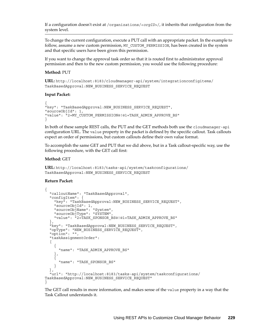If a configuration doesn't exist at /organizations/<*orgID*>/, it inherits that configuration from the system level.

To change the current configuration, execute a PUT call with an appropriate packet. In the example to follow, assume a new custom permission, MY\_CUSTOM\_PERMISSION, has been created in the system and that specific users have been given this permission.

If you want to change the approval task order so that it is routed first to administrator approval permission and then to the new custom permission, you would use the following procedure:

#### **Method:** PUT

**URL:** http://localhost:8183/cloudmanager-api/system/integrationconfigitems/ TaskBasedApproval:NEW\_BUSINESS\_SERVICE\_REQUEST

#### **Input Packet:**

```
{
"key": "TaskBasedApproval:NEW_BUSINESS_SERVICE_REQUEST",
"sourceObjId": 1,
"value": "2=MY_CUSTOM_PERMISSION@!@1=TASK_ADMIN_APPROVE_BS"
}
```
In both of these sample REST calls, the PUT and the GET methods both use the cloudmanager-api configuration URL. The value property in the packet is defined by the specific callout. Task callouts expect an order of permissions, but custom callouts define their own value format.

To accomplish the same GET and PUT that we did above, but in a Task callout-specific way, use the following procedure, with the GET call first:

#### **Method:** GET

```
URL: http://localhost:8183/tasks-api/system/taskconfigurations/
TaskBasedApproval:NEW_BUSINESS_SERVICE_REQUEST
```
#### **Return Packet:**

```
{
   "calloutName": "TaskBasedApproval",
   "configItem": {
    "key": "TaskBasedApproval:NEW BUSINESS SERVICE REQUEST",
     "sourceObjId": 1,
     "sourceObjName": "System",
     "sourceObjType": "SYSTEM",
     "value": "2=TASK_SPONSOR_BS@!@1=TASK_ADMIN_APPROVE_BS"
 },
   "key": "TaskBasedApproval:NEW_BUSINESS_SERVICE_REQUEST",
  "opType": "NEW BUSINESS SERVICE REQUEST",
   "option": "",
   "taskAssignmentOrder": 
   [
     {
       "name": "TASK_ADMIN_APPROVE_BS"
 },
 {
       "name": "TASK_SPONSOR_BS"
 }
   ],
   "url": "http://localhost:8183/tasks-api/system/taskconfigurations/
TaskBasedApproval:NEW_BUSINESS_SERVICE_REQUEST"
}
```
The GET call results in more information, and makes sense of the value property in a way that the Task Callout understands it.